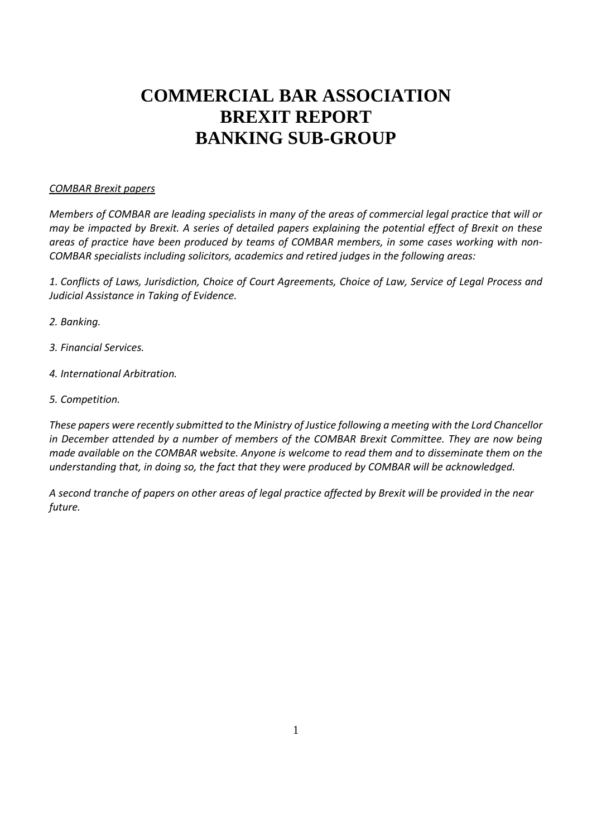# **COMMERCIAL BAR ASSOCIATION BREXIT REPORT BANKING SUB-GROUP**

## *COMBAR Brexit papers*

*Members of COMBAR are leading specialists in many of the areas of commercial legal practice that will or may be impacted by Brexit. A series of detailed papers explaining the potential effect of Brexit on these areas of practice have been produced by teams of COMBAR members, in some cases working with non-COMBAR specialists including solicitors, academics and retired judges in the following areas:*

*1. Conflicts of Laws, Jurisdiction, Choice of Court Agreements, Choice of Law, Service of Legal Process and Judicial Assistance in Taking of Evidence.*

- *2. Banking.*
- *3. Financial Services.*
- *4. International Arbitration.*
- *5. Competition.*

*These papers were recently submitted to the Ministry of Justice following a meeting with the Lord Chancellor in December attended by a number of members of the COMBAR Brexit Committee. They are now being made available on the COMBAR website. Anyone is welcome to read them and to disseminate them on the understanding that, in doing so, the fact that they were produced by COMBAR will be acknowledged.*

*A second tranche of papers on other areas of legal practice affected by Brexit will be provided in the near future.*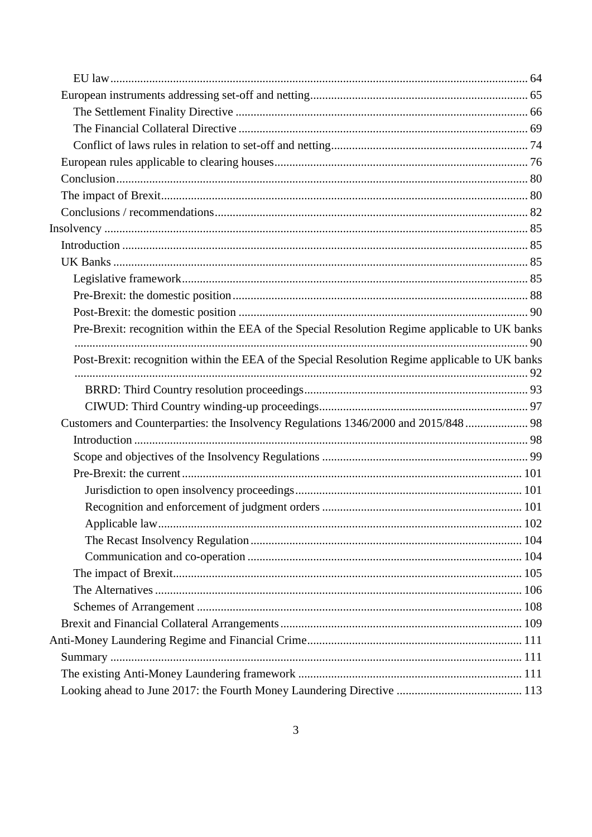| Pre-Brexit: recognition within the EEA of the Special Resolution Regime applicable to UK banks  |  |
|-------------------------------------------------------------------------------------------------|--|
|                                                                                                 |  |
| Post-Brexit: recognition within the EEA of the Special Resolution Regime applicable to UK banks |  |
|                                                                                                 |  |
|                                                                                                 |  |
| Customers and Counterparties: the Insolvency Regulations 1346/2000 and 2015/848 98              |  |
|                                                                                                 |  |
|                                                                                                 |  |
|                                                                                                 |  |
|                                                                                                 |  |
|                                                                                                 |  |
|                                                                                                 |  |
|                                                                                                 |  |
|                                                                                                 |  |
|                                                                                                 |  |
|                                                                                                 |  |
|                                                                                                 |  |
|                                                                                                 |  |
|                                                                                                 |  |
|                                                                                                 |  |
|                                                                                                 |  |
|                                                                                                 |  |
|                                                                                                 |  |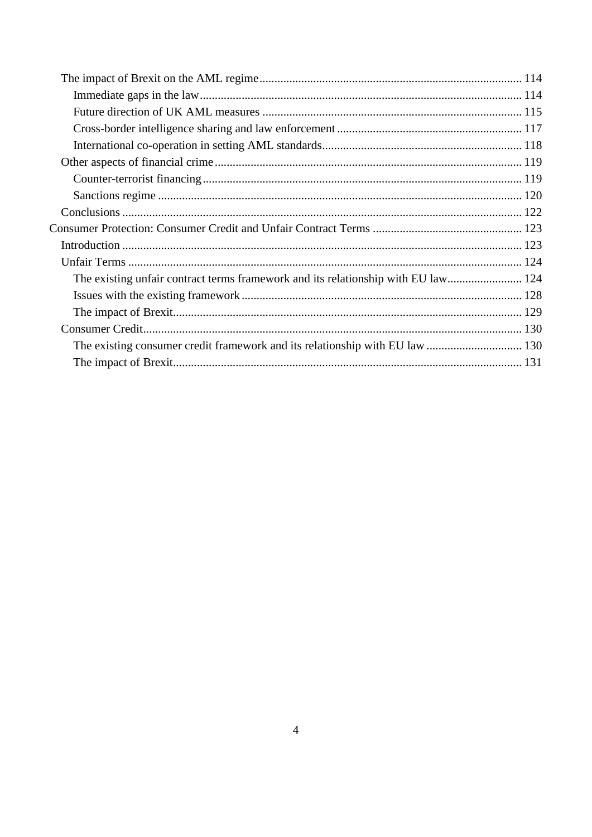| The existing unfair contract terms framework and its relationship with EU law 124 |  |
|-----------------------------------------------------------------------------------|--|
|                                                                                   |  |
|                                                                                   |  |
|                                                                                   |  |
|                                                                                   |  |
|                                                                                   |  |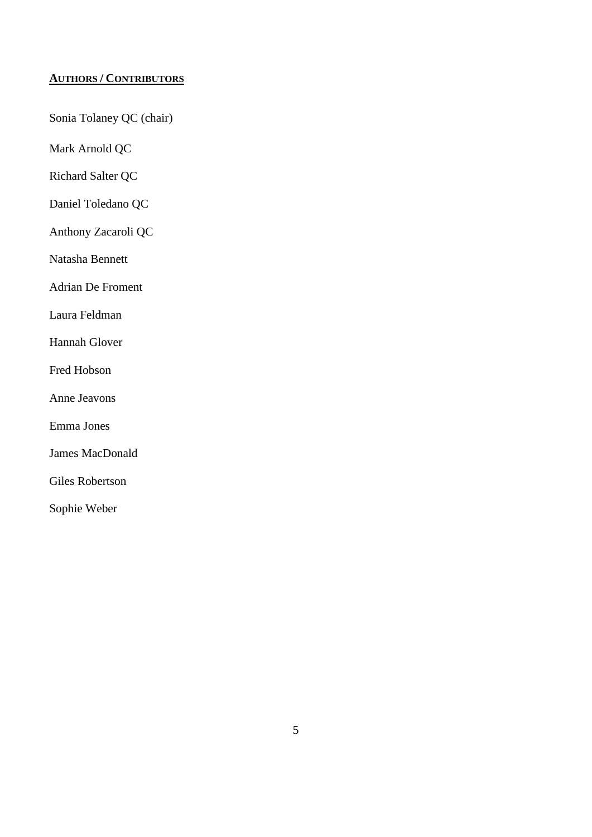# <span id="page-4-0"></span>**AUTHORS / CONTRIBUTORS**

Sonia Tolaney QC (chair)

Mark Arnold QC

Richard Salter QC

Daniel Toledano QC

Anthony Zacaroli QC

Natasha Bennett

Adrian De Froment

Laura Feldman

Hannah Glover

Fred Hobson

Anne Jeavons

Emma Jones

James MacDonald

Giles Robertson

Sophie Weber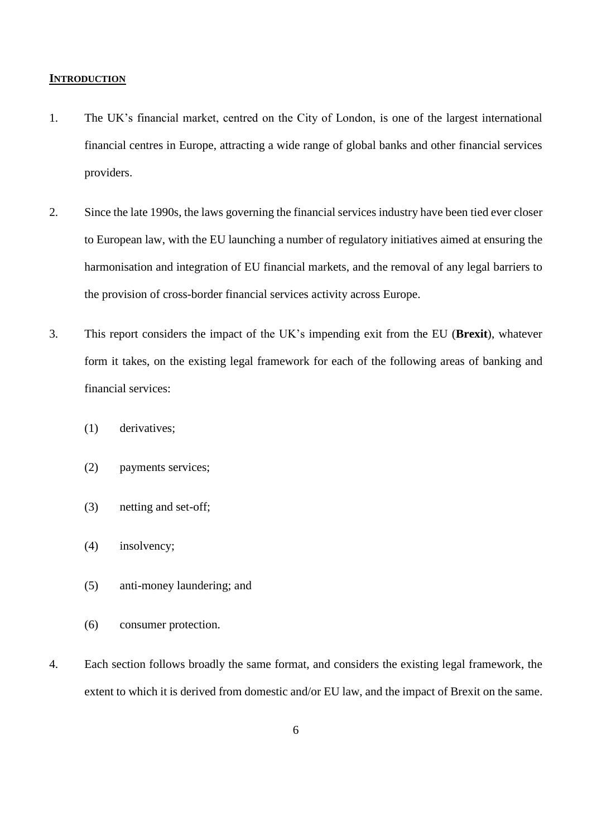#### <span id="page-5-0"></span>**INTRODUCTION**

- 1. The UK's financial market, centred on the City of London, is one of the largest international financial centres in Europe, attracting a wide range of global banks and other financial services providers.
- 2. Since the late 1990s, the laws governing the financial services industry have been tied ever closer to European law, with the EU launching a number of regulatory initiatives aimed at ensuring the harmonisation and integration of EU financial markets, and the removal of any legal barriers to the provision of cross-border financial services activity across Europe.
- 3. This report considers the impact of the UK's impending exit from the EU (**Brexit**), whatever form it takes, on the existing legal framework for each of the following areas of banking and financial services:
	- (1) derivatives;
	- (2) payments services;
	- (3) netting and set-off;
	- (4) insolvency;
	- (5) anti-money laundering; and
	- (6) consumer protection.
- 4. Each section follows broadly the same format, and considers the existing legal framework, the extent to which it is derived from domestic and/or EU law, and the impact of Brexit on the same.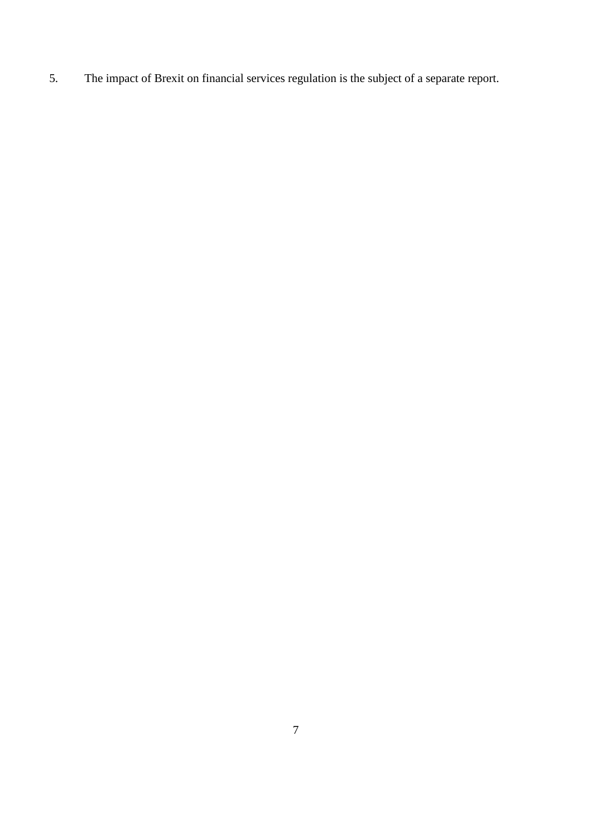5. The impact of Brexit on financial services regulation is the subject of a separate report.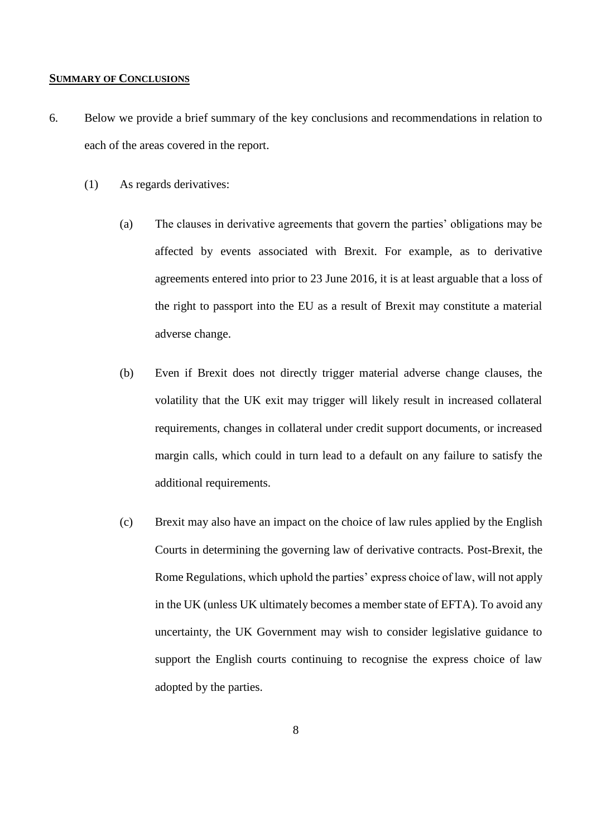## <span id="page-7-0"></span>**SUMMARY OF CONCLUSIONS**

- 6. Below we provide a brief summary of the key conclusions and recommendations in relation to each of the areas covered in the report.
	- (1) As regards derivatives:
		- (a) The clauses in derivative agreements that govern the parties' obligations may be affected by events associated with Brexit. For example, as to derivative agreements entered into prior to 23 June 2016, it is at least arguable that a loss of the right to passport into the EU as a result of Brexit may constitute a material adverse change.
		- (b) Even if Brexit does not directly trigger material adverse change clauses, the volatility that the UK exit may trigger will likely result in increased collateral requirements, changes in collateral under credit support documents, or increased margin calls, which could in turn lead to a default on any failure to satisfy the additional requirements.
		- (c) Brexit may also have an impact on the choice of law rules applied by the English Courts in determining the governing law of derivative contracts. Post-Brexit, the Rome Regulations, which uphold the parties' express choice of law, will not apply in the UK (unless UK ultimately becomes a member state of EFTA). To avoid any uncertainty, the UK Government may wish to consider legislative guidance to support the English courts continuing to recognise the express choice of law adopted by the parties.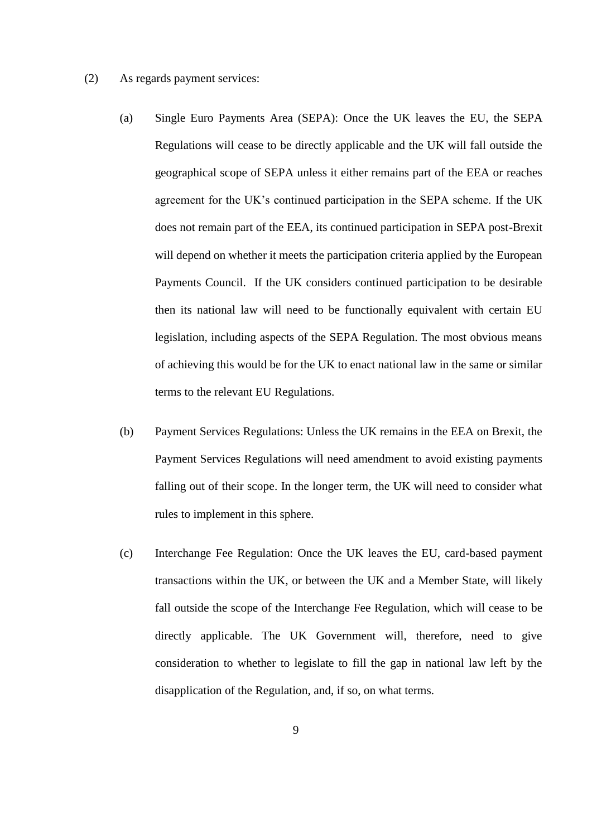- (2) As regards payment services:
	- (a) Single Euro Payments Area (SEPA): Once the UK leaves the EU, the SEPA Regulations will cease to be directly applicable and the UK will fall outside the geographical scope of SEPA unless it either remains part of the EEA or reaches agreement for the UK's continued participation in the SEPA scheme. If the UK does not remain part of the EEA, its continued participation in SEPA post-Brexit will depend on whether it meets the participation criteria applied by the European Payments Council. If the UK considers continued participation to be desirable then its national law will need to be functionally equivalent with certain EU legislation, including aspects of the SEPA Regulation. The most obvious means of achieving this would be for the UK to enact national law in the same or similar terms to the relevant EU Regulations.
	- (b) Payment Services Regulations: Unless the UK remains in the EEA on Brexit, the Payment Services Regulations will need amendment to avoid existing payments falling out of their scope. In the longer term, the UK will need to consider what rules to implement in this sphere.
	- (c) Interchange Fee Regulation: Once the UK leaves the EU, card-based payment transactions within the UK, or between the UK and a Member State, will likely fall outside the scope of the Interchange Fee Regulation, which will cease to be directly applicable. The UK Government will, therefore, need to give consideration to whether to legislate to fill the gap in national law left by the disapplication of the Regulation, and, if so, on what terms.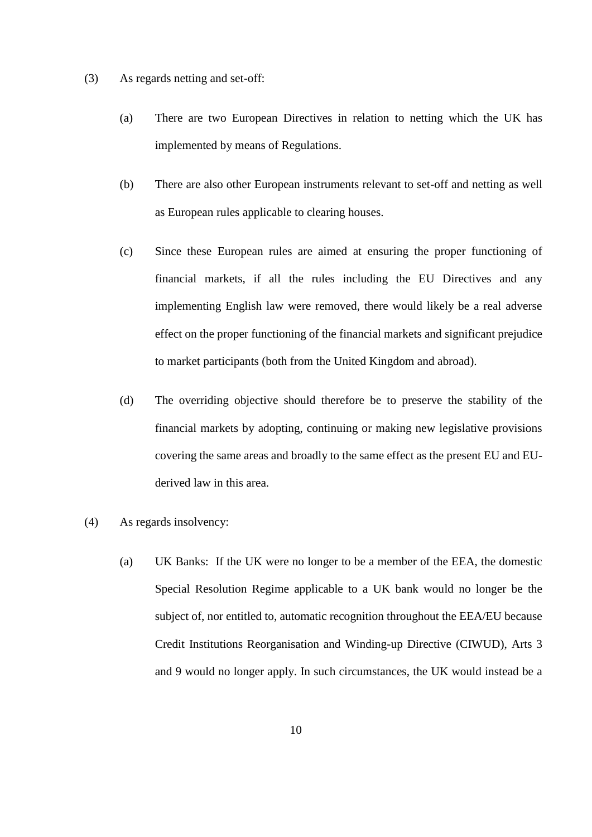- (3) As regards netting and set-off:
	- (a) There are two European Directives in relation to netting which the UK has implemented by means of Regulations.
	- (b) There are also other European instruments relevant to set-off and netting as well as European rules applicable to clearing houses.
	- (c) Since these European rules are aimed at ensuring the proper functioning of financial markets, if all the rules including the EU Directives and any implementing English law were removed, there would likely be a real adverse effect on the proper functioning of the financial markets and significant prejudice to market participants (both from the United Kingdom and abroad).
	- (d) The overriding objective should therefore be to preserve the stability of the financial markets by adopting, continuing or making new legislative provisions covering the same areas and broadly to the same effect as the present EU and EUderived law in this area.
- (4) As regards insolvency:
	- (a) UK Banks: If the UK were no longer to be a member of the EEA, the domestic Special Resolution Regime applicable to a UK bank would no longer be the subject of, nor entitled to, automatic recognition throughout the EEA/EU because Credit Institutions Reorganisation and Winding-up Directive (CIWUD), Arts 3 and 9 would no longer apply. In such circumstances, the UK would instead be a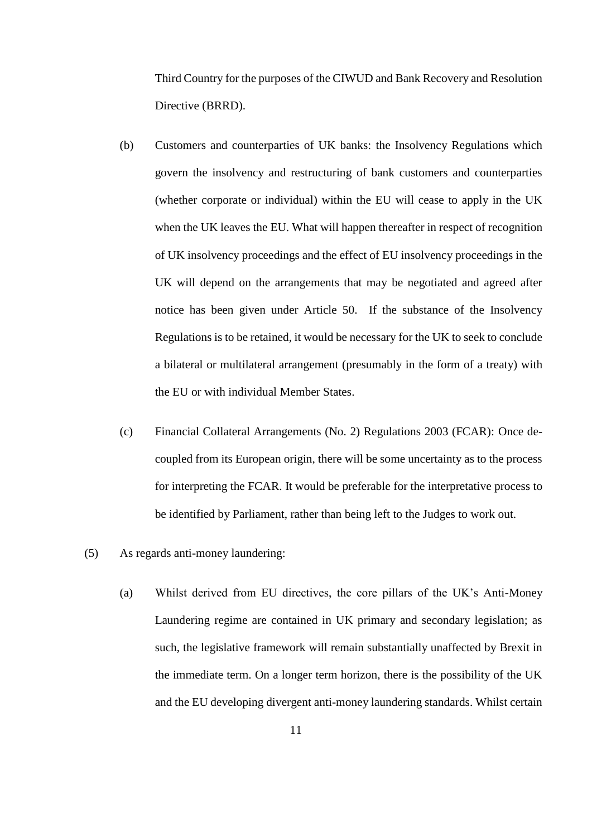Third Country for the purposes of the CIWUD and Bank Recovery and Resolution Directive (BRRD).

- (b) Customers and counterparties of UK banks: the Insolvency Regulations which govern the insolvency and restructuring of bank customers and counterparties (whether corporate or individual) within the EU will cease to apply in the UK when the UK leaves the EU. What will happen thereafter in respect of recognition of UK insolvency proceedings and the effect of EU insolvency proceedings in the UK will depend on the arrangements that may be negotiated and agreed after notice has been given under Article 50. If the substance of the Insolvency Regulations is to be retained, it would be necessary for the UK to seek to conclude a bilateral or multilateral arrangement (presumably in the form of a treaty) with the EU or with individual Member States.
- (c) Financial Collateral Arrangements (No. 2) Regulations 2003 (FCAR): Once decoupled from its European origin, there will be some uncertainty as to the process for interpreting the FCAR. It would be preferable for the interpretative process to be identified by Parliament, rather than being left to the Judges to work out.
- (5) As regards anti-money laundering:
	- (a) Whilst derived from EU directives, the core pillars of the UK's Anti-Money Laundering regime are contained in UK primary and secondary legislation; as such, the legislative framework will remain substantially unaffected by Brexit in the immediate term. On a longer term horizon, there is the possibility of the UK and the EU developing divergent anti-money laundering standards. Whilst certain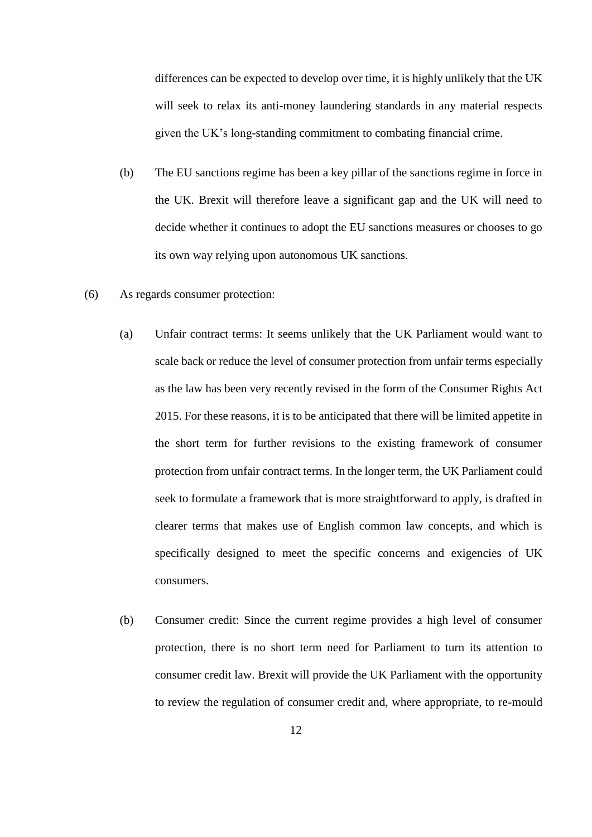differences can be expected to develop over time, it is highly unlikely that the UK will seek to relax its anti-money laundering standards in any material respects given the UK's long-standing commitment to combating financial crime.

- (b) The EU sanctions regime has been a key pillar of the sanctions regime in force in the UK. Brexit will therefore leave a significant gap and the UK will need to decide whether it continues to adopt the EU sanctions measures or chooses to go its own way relying upon autonomous UK sanctions.
- (6) As regards consumer protection:
	- (a) Unfair contract terms: It seems unlikely that the UK Parliament would want to scale back or reduce the level of consumer protection from unfair terms especially as the law has been very recently revised in the form of the Consumer Rights Act 2015. For these reasons, it is to be anticipated that there will be limited appetite in the short term for further revisions to the existing framework of consumer protection from unfair contract terms. In the longer term, the UK Parliament could seek to formulate a framework that is more straightforward to apply, is drafted in clearer terms that makes use of English common law concepts, and which is specifically designed to meet the specific concerns and exigencies of UK consumers.
	- (b) Consumer credit: Since the current regime provides a high level of consumer protection, there is no short term need for Parliament to turn its attention to consumer credit law. Brexit will provide the UK Parliament with the opportunity to review the regulation of consumer credit and, where appropriate, to re-mould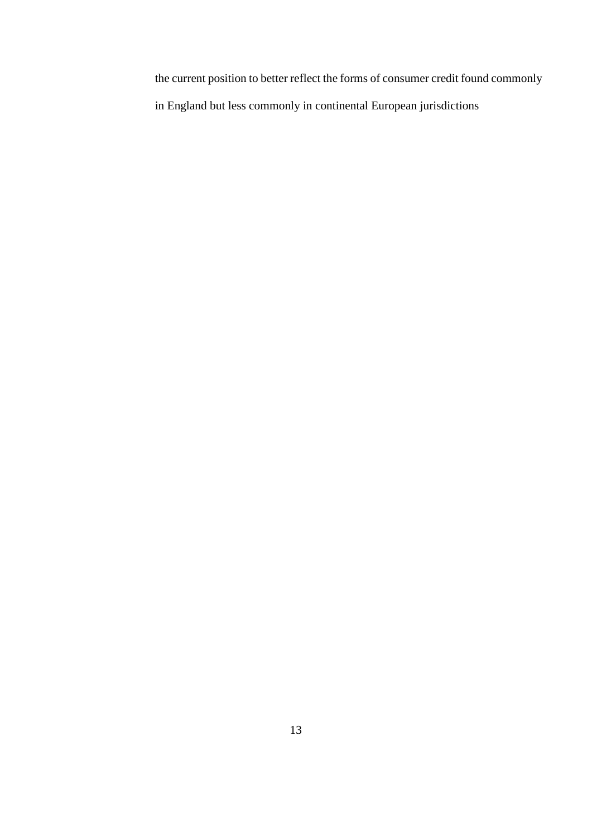the current position to better reflect the forms of consumer credit found commonly in England but less commonly in continental European jurisdictions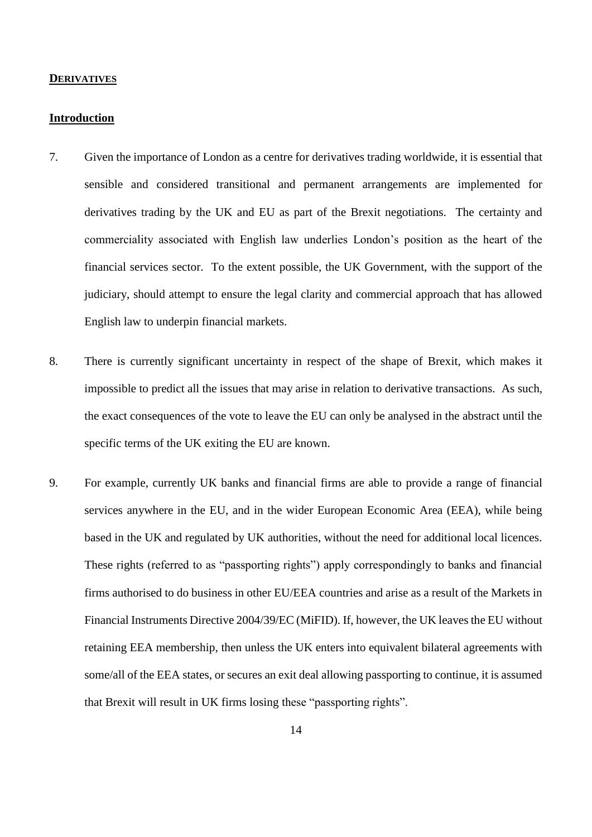#### <span id="page-13-0"></span>**DERIVATIVES**

## <span id="page-13-1"></span>**Introduction**

- 7. Given the importance of London as a centre for derivatives trading worldwide, it is essential that sensible and considered transitional and permanent arrangements are implemented for derivatives trading by the UK and EU as part of the Brexit negotiations. The certainty and commerciality associated with English law underlies London's position as the heart of the financial services sector. To the extent possible, the UK Government, with the support of the judiciary, should attempt to ensure the legal clarity and commercial approach that has allowed English law to underpin financial markets.
- 8. There is currently significant uncertainty in respect of the shape of Brexit, which makes it impossible to predict all the issues that may arise in relation to derivative transactions. As such, the exact consequences of the vote to leave the EU can only be analysed in the abstract until the specific terms of the UK exiting the EU are known.
- 9. For example, currently UK banks and financial firms are able to provide a range of financial services anywhere in the EU, and in the wider European Economic Area (EEA), while being based in the UK and regulated by UK authorities, without the need for additional local licences. These rights (referred to as "passporting rights") apply correspondingly to banks and financial firms authorised to do business in other EU/EEA countries and arise as a result of the Markets in Financial Instruments Directive 2004/39/EC (MiFID). If, however, the UK leaves the EU without retaining EEA membership, then unless the UK enters into equivalent bilateral agreements with some/all of the EEA states, or secures an exit deal allowing passporting to continue, it is assumed that Brexit will result in UK firms losing these "passporting rights".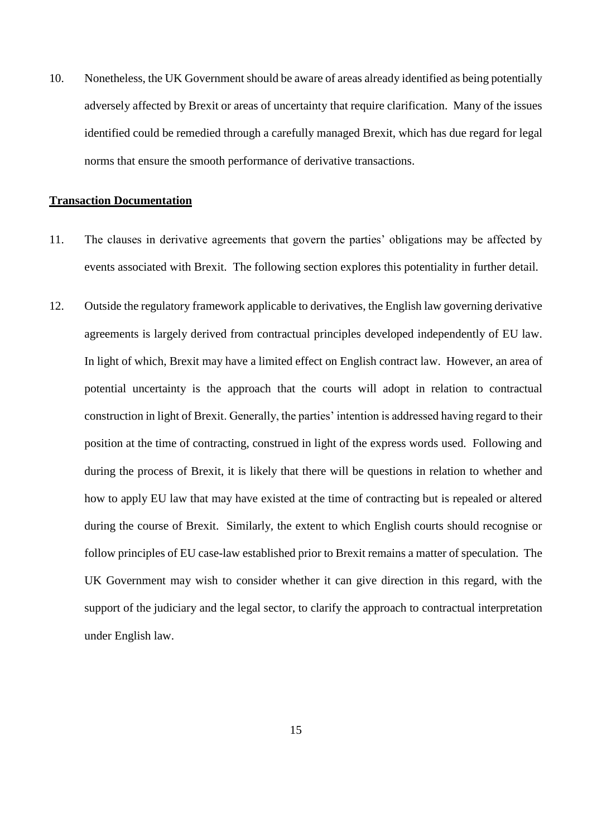10. Nonetheless, the UK Government should be aware of areas already identified as being potentially adversely affected by Brexit or areas of uncertainty that require clarification. Many of the issues identified could be remedied through a carefully managed Brexit, which has due regard for legal norms that ensure the smooth performance of derivative transactions.

## <span id="page-14-0"></span>**Transaction Documentation**

- 11. The clauses in derivative agreements that govern the parties' obligations may be affected by events associated with Brexit. The following section explores this potentiality in further detail.
- 12. Outside the regulatory framework applicable to derivatives, the English law governing derivative agreements is largely derived from contractual principles developed independently of EU law. In light of which, Brexit may have a limited effect on English contract law. However, an area of potential uncertainty is the approach that the courts will adopt in relation to contractual construction in light of Brexit. Generally, the parties' intention is addressed having regard to their position at the time of contracting, construed in light of the express words used. Following and during the process of Brexit, it is likely that there will be questions in relation to whether and how to apply EU law that may have existed at the time of contracting but is repealed or altered during the course of Brexit. Similarly, the extent to which English courts should recognise or follow principles of EU case-law established prior to Brexit remains a matter of speculation. The UK Government may wish to consider whether it can give direction in this regard, with the support of the judiciary and the legal sector, to clarify the approach to contractual interpretation under English law.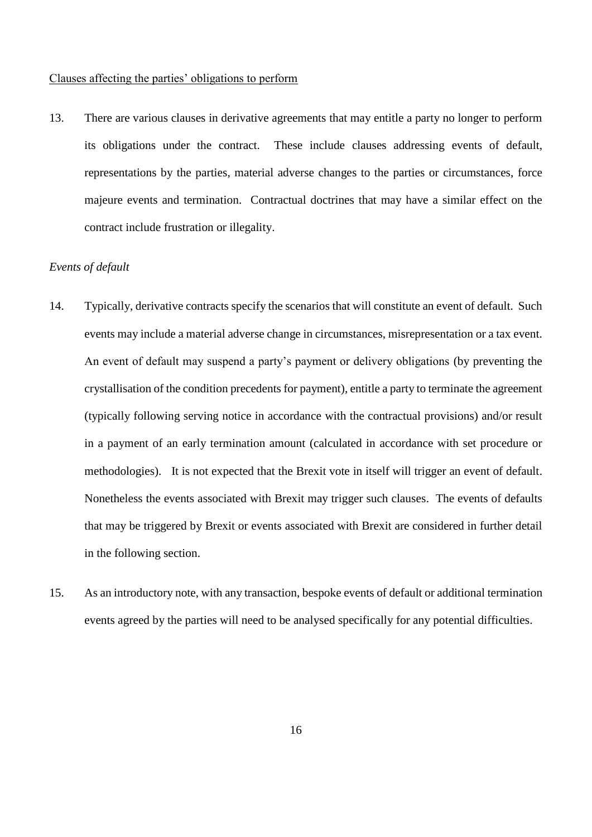## <span id="page-15-0"></span>Clauses affecting the parties' obligations to perform

13. There are various clauses in derivative agreements that may entitle a party no longer to perform its obligations under the contract. These include clauses addressing events of default, representations by the parties, material adverse changes to the parties or circumstances, force majeure events and termination. Contractual doctrines that may have a similar effect on the contract include frustration or illegality.

# <span id="page-15-1"></span>*Events of default*

- 14. Typically, derivative contracts specify the scenarios that will constitute an event of default. Such events may include a material adverse change in circumstances, misrepresentation or a tax event. An event of default may suspend a party's payment or delivery obligations (by preventing the crystallisation of the condition precedents for payment), entitle a party to terminate the agreement (typically following serving notice in accordance with the contractual provisions) and/or result in a payment of an early termination amount (calculated in accordance with set procedure or methodologies). It is not expected that the Brexit vote in itself will trigger an event of default. Nonetheless the events associated with Brexit may trigger such clauses. The events of defaults that may be triggered by Brexit or events associated with Brexit are considered in further detail in the following section.
- 15. As an introductory note, with any transaction, bespoke events of default or additional termination events agreed by the parties will need to be analysed specifically for any potential difficulties.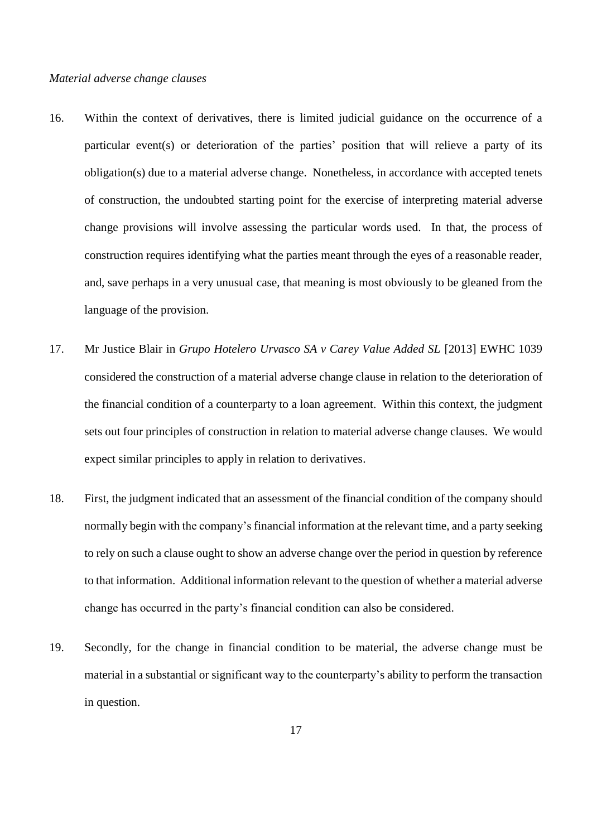# *Material adverse change clauses*

- 16. Within the context of derivatives, there is limited judicial guidance on the occurrence of a particular event(s) or deterioration of the parties' position that will relieve a party of its obligation(s) due to a material adverse change. Nonetheless, in accordance with accepted tenets of construction, the undoubted starting point for the exercise of interpreting material adverse change provisions will involve assessing the particular words used. In that, the process of construction requires identifying what the parties meant through the eyes of a reasonable reader, and, save perhaps in a very unusual case, that meaning is most obviously to be gleaned from the language of the provision.
- 17. Mr Justice Blair in *Grupo Hotelero Urvasco SA v Carey Value Added SL* [2013] EWHC 1039 considered the construction of a material adverse change clause in relation to the deterioration of the financial condition of a counterparty to a loan agreement. Within this context, the judgment sets out four principles of construction in relation to material adverse change clauses. We would expect similar principles to apply in relation to derivatives.
- 18. First, the judgment indicated that an assessment of the financial condition of the company should normally begin with the company's financial information at the relevant time, and a party seeking to rely on such a clause ought to show an adverse change over the period in question by reference to that information. Additional information relevant to the question of whether a material adverse change has occurred in the party's financial condition can also be considered.
- 19. Secondly, for the change in financial condition to be material, the adverse change must be material in a substantial or significant way to the counterparty's ability to perform the transaction in question.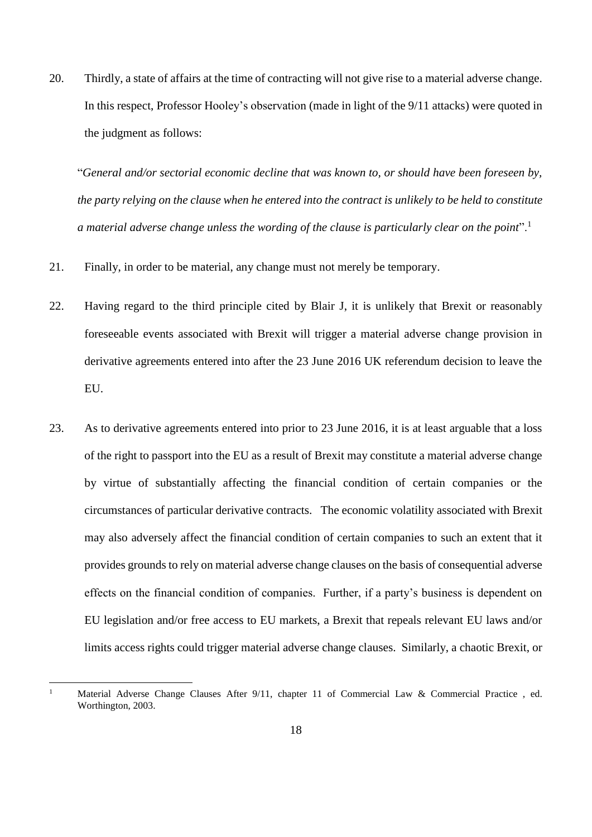20. Thirdly, a state of affairs at the time of contracting will not give rise to a material adverse change. In this respect, Professor Hooley's observation (made in light of the 9/11 attacks) were quoted in the judgment as follows:

"*General and/or sectorial economic decline that was known to, or should have been foreseen by, the party relying on the clause when he entered into the contract is unlikely to be held to constitute a material adverse change unless the wording of the clause is particularly clear on the point*".<sup>1</sup>

- 21. Finally, in order to be material, any change must not merely be temporary.
- 22. Having regard to the third principle cited by Blair J, it is unlikely that Brexit or reasonably foreseeable events associated with Brexit will trigger a material adverse change provision in derivative agreements entered into after the 23 June 2016 UK referendum decision to leave the EU.
- 23. As to derivative agreements entered into prior to 23 June 2016, it is at least arguable that a loss of the right to passport into the EU as a result of Brexit may constitute a material adverse change by virtue of substantially affecting the financial condition of certain companies or the circumstances of particular derivative contracts. The economic volatility associated with Brexit may also adversely affect the financial condition of certain companies to such an extent that it provides grounds to rely on material adverse change clauses on the basis of consequential adverse effects on the financial condition of companies. Further, if a party's business is dependent on EU legislation and/or free access to EU markets, a Brexit that repeals relevant EU laws and/or limits access rights could trigger material adverse change clauses. Similarly, a chaotic Brexit, or

<sup>&</sup>lt;sup>1</sup> Material Adverse Change Clauses After 9/11, chapter 11 of Commercial Law & Commercial Practice, ed. Worthington, 2003.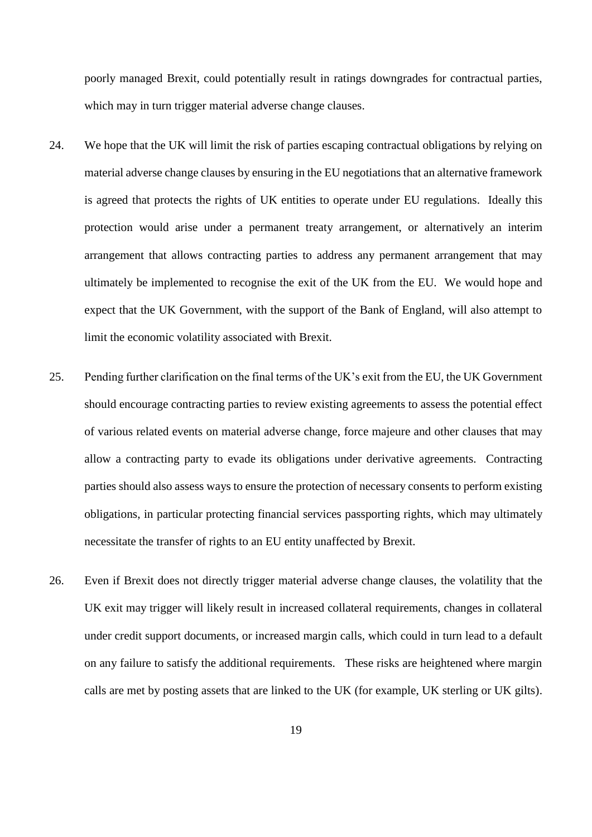poorly managed Brexit, could potentially result in ratings downgrades for contractual parties, which may in turn trigger material adverse change clauses.

- 24. We hope that the UK will limit the risk of parties escaping contractual obligations by relying on material adverse change clauses by ensuring in the EU negotiations that an alternative framework is agreed that protects the rights of UK entities to operate under EU regulations. Ideally this protection would arise under a permanent treaty arrangement, or alternatively an interim arrangement that allows contracting parties to address any permanent arrangement that may ultimately be implemented to recognise the exit of the UK from the EU. We would hope and expect that the UK Government, with the support of the Bank of England, will also attempt to limit the economic volatility associated with Brexit.
- 25. Pending further clarification on the final terms of the UK's exit from the EU, the UK Government should encourage contracting parties to review existing agreements to assess the potential effect of various related events on material adverse change, force majeure and other clauses that may allow a contracting party to evade its obligations under derivative agreements. Contracting parties should also assess ways to ensure the protection of necessary consents to perform existing obligations, in particular protecting financial services passporting rights, which may ultimately necessitate the transfer of rights to an EU entity unaffected by Brexit.
- 26. Even if Brexit does not directly trigger material adverse change clauses, the volatility that the UK exit may trigger will likely result in increased collateral requirements, changes in collateral under credit support documents, or increased margin calls, which could in turn lead to a default on any failure to satisfy the additional requirements. These risks are heightened where margin calls are met by posting assets that are linked to the UK (for example, UK sterling or UK gilts).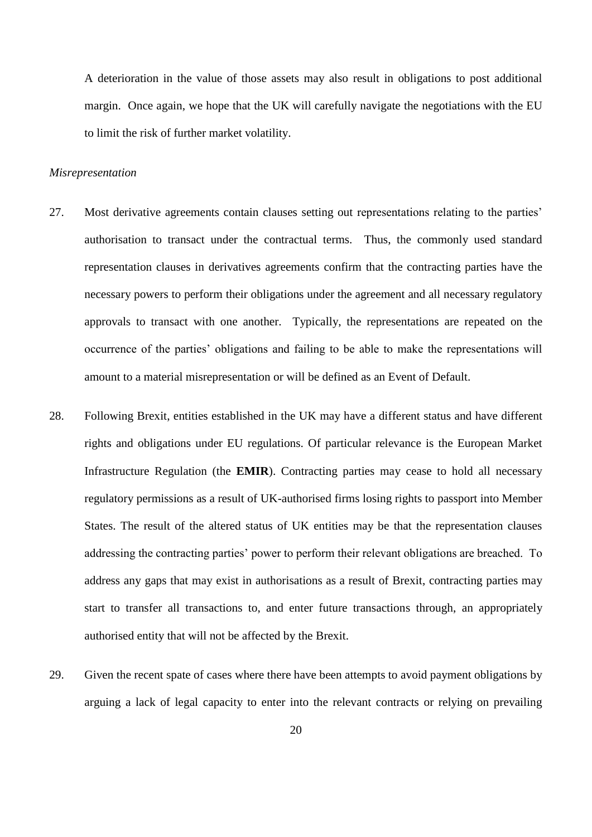A deterioration in the value of those assets may also result in obligations to post additional margin. Once again, we hope that the UK will carefully navigate the negotiations with the EU to limit the risk of further market volatility.

#### *Misrepresentation*

- 27. Most derivative agreements contain clauses setting out representations relating to the parties' authorisation to transact under the contractual terms. Thus, the commonly used standard representation clauses in derivatives agreements confirm that the contracting parties have the necessary powers to perform their obligations under the agreement and all necessary regulatory approvals to transact with one another. Typically, the representations are repeated on the occurrence of the parties' obligations and failing to be able to make the representations will amount to a material misrepresentation or will be defined as an Event of Default.
- 28. Following Brexit, entities established in the UK may have a different status and have different rights and obligations under EU regulations. Of particular relevance is the European Market Infrastructure Regulation (the **EMIR**). Contracting parties may cease to hold all necessary regulatory permissions as a result of UK-authorised firms losing rights to passport into Member States. The result of the altered status of UK entities may be that the representation clauses addressing the contracting parties' power to perform their relevant obligations are breached. To address any gaps that may exist in authorisations as a result of Brexit, contracting parties may start to transfer all transactions to, and enter future transactions through, an appropriately authorised entity that will not be affected by the Brexit.
- 29. Given the recent spate of cases where there have been attempts to avoid payment obligations by arguing a lack of legal capacity to enter into the relevant contracts or relying on prevailing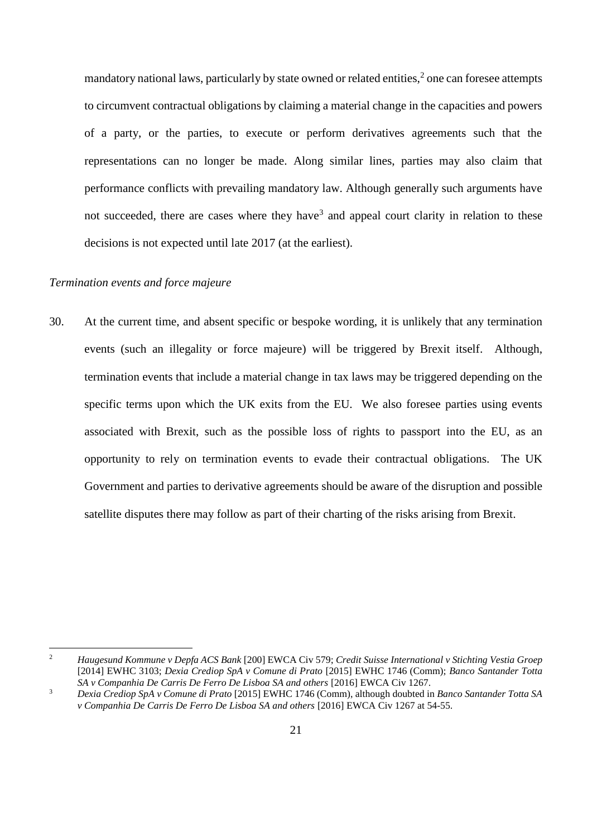mandatory national laws, particularly by state owned or related entities, $2$  one can foresee attempts to circumvent contractual obligations by claiming a material change in the capacities and powers of a party, or the parties, to execute or perform derivatives agreements such that the representations can no longer be made. Along similar lines, parties may also claim that performance conflicts with prevailing mandatory law. Although generally such arguments have not succeeded, there are cases where they have<sup>3</sup> and appeal court clarity in relation to these decisions is not expected until late 2017 (at the earliest).

# <span id="page-20-0"></span>*Termination events and force majeure*

 $\overline{a}$ 

30. At the current time, and absent specific or bespoke wording, it is unlikely that any termination events (such an illegality or force majeure) will be triggered by Brexit itself. Although, termination events that include a material change in tax laws may be triggered depending on the specific terms upon which the UK exits from the EU. We also foresee parties using events associated with Brexit, such as the possible loss of rights to passport into the EU, as an opportunity to rely on termination events to evade their contractual obligations. The UK Government and parties to derivative agreements should be aware of the disruption and possible satellite disputes there may follow as part of their charting of the risks arising from Brexit.

<sup>2</sup> *Haugesund Kommune v Depfa ACS Bank* [200] EWCA Civ 579; *Credit Suisse International v Stichting Vestia Groep* [2014] EWHC 3103; *Dexia Crediop SpA v Comune di Prato* [2015] EWHC 1746 (Comm); *Banco Santander Totta SA v Companhia De Carris De Ferro De Lisboa SA and others* [2016] EWCA Civ 1267.

<sup>3</sup> *Dexia Crediop SpA v Comune di Prato* [2015] EWHC 1746 (Comm), although doubted in *Banco Santander Totta SA v Companhia De Carris De Ferro De Lisboa SA and others* [2016] EWCA Civ 1267 at 54-55.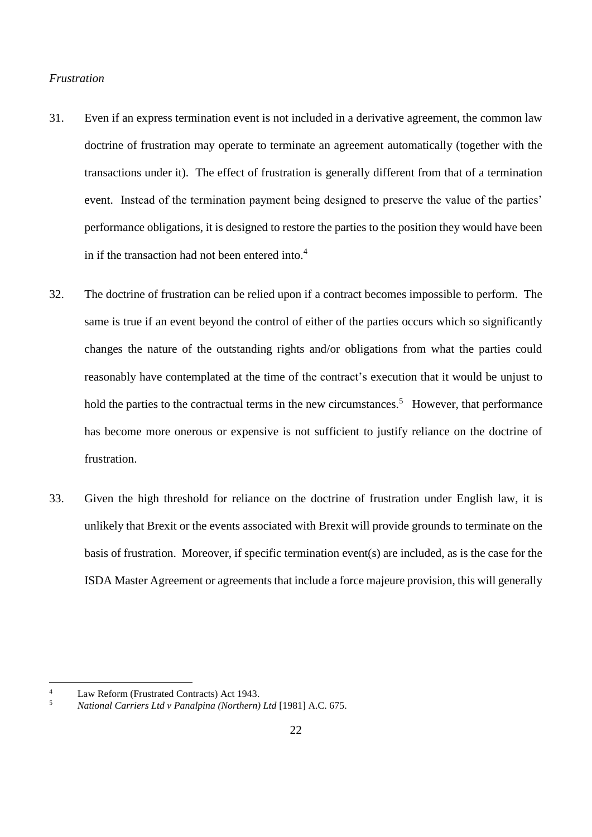### <span id="page-21-0"></span>*Frustration*

- 31. Even if an express termination event is not included in a derivative agreement, the common law doctrine of frustration may operate to terminate an agreement automatically (together with the transactions under it). The effect of frustration is generally different from that of a termination event. Instead of the termination payment being designed to preserve the value of the parties' performance obligations, it is designed to restore the parties to the position they would have been in if the transaction had not been entered into.<sup>4</sup>
- 32. The doctrine of frustration can be relied upon if a contract becomes impossible to perform. The same is true if an event beyond the control of either of the parties occurs which so significantly changes the nature of the outstanding rights and/or obligations from what the parties could reasonably have contemplated at the time of the contract's execution that it would be unjust to hold the parties to the contractual terms in the new circumstances.<sup>5</sup> However, that performance has become more onerous or expensive is not sufficient to justify reliance on the doctrine of frustration.
- 33. Given the high threshold for reliance on the doctrine of frustration under English law, it is unlikely that Brexit or the events associated with Brexit will provide grounds to terminate on the basis of frustration. Moreover, if specific termination event(s) are included, as is the case for the ISDA Master Agreement or agreements that include a force majeure provision, this will generally

<sup>4</sup> Law Reform (Frustrated Contracts) Act 1943.

<sup>5</sup> *National Carriers Ltd v Panalpina (Northern) Ltd* [1981] A.C. 675.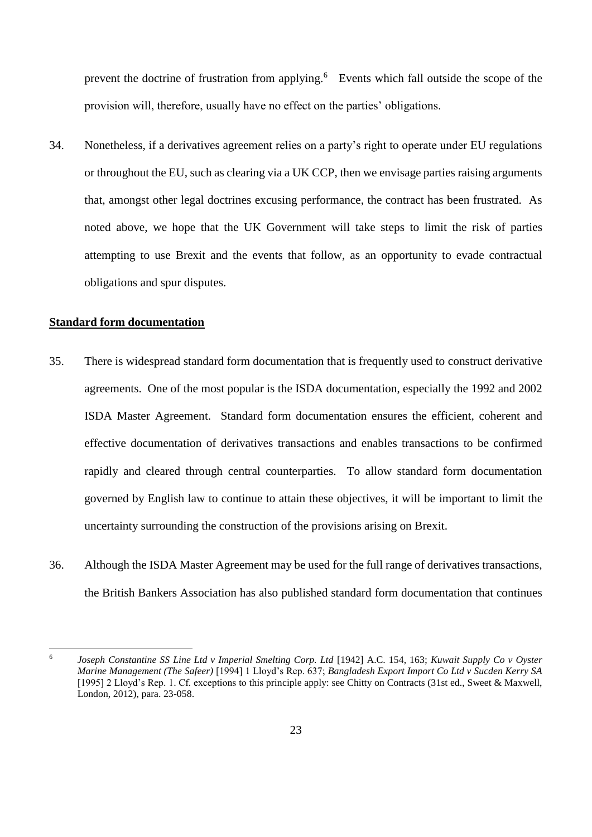prevent the doctrine of frustration from applying.<sup>6</sup> Events which fall outside the scope of the provision will, therefore, usually have no effect on the parties' obligations.

34. Nonetheless, if a derivatives agreement relies on a party's right to operate under EU regulations or throughout the EU, such as clearing via a UK CCP, then we envisage parties raising arguments that, amongst other legal doctrines excusing performance, the contract has been frustrated. As noted above, we hope that the UK Government will take steps to limit the risk of parties attempting to use Brexit and the events that follow, as an opportunity to evade contractual obligations and spur disputes.

# <span id="page-22-0"></span>**Standard form documentation**

- 35. There is widespread standard form documentation that is frequently used to construct derivative agreements. One of the most popular is the ISDA documentation, especially the 1992 and 2002 ISDA Master Agreement. Standard form documentation ensures the efficient, coherent and effective documentation of derivatives transactions and enables transactions to be confirmed rapidly and cleared through central counterparties. To allow standard form documentation governed by English law to continue to attain these objectives, it will be important to limit the uncertainty surrounding the construction of the provisions arising on Brexit.
- 36. Although the ISDA Master Agreement may be used for the full range of derivatives transactions, the British Bankers Association has also published standard form documentation that continues

<sup>6</sup> *Joseph Constantine SS Line Ltd v Imperial Smelting Corp. Ltd* [1942] A.C. 154, 163; *Kuwait Supply Co v Oyster Marine Management (The Safeer)* [1994] 1 Lloyd's Rep. 637; *Bangladesh Export Import Co Ltd v Sucden Kerry SA* [1995] 2 Lloyd's Rep. 1. Cf. exceptions to this principle apply: see Chitty on Contracts (31st ed., Sweet & Maxwell, London, 2012), para. 23-058.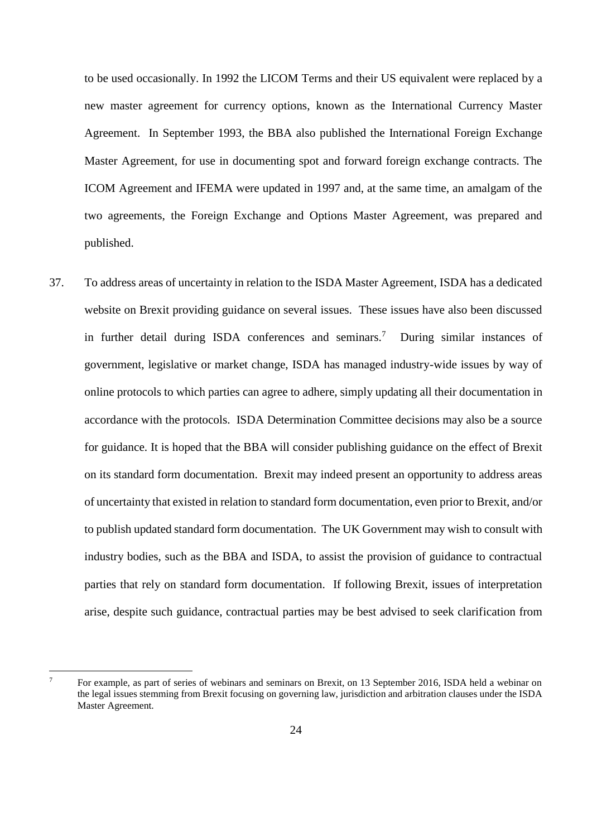to be used occasionally. In 1992 the LICOM Terms and their US equivalent were replaced by a new master agreement for currency options, known as the International Currency Master Agreement. In September 1993, the BBA also published the International Foreign Exchange Master Agreement, for use in documenting spot and forward foreign exchange contracts. The ICOM Agreement and IFEMA were updated in 1997 and, at the same time, an amalgam of the two agreements, the Foreign Exchange and Options Master Agreement, was prepared and published.

37. To address areas of uncertainty in relation to the ISDA Master Agreement, ISDA has a dedicated website on Brexit providing guidance on several issues. These issues have also been discussed in further detail during ISDA conferences and seminars.<sup>7</sup> During similar instances of government, legislative or market change, ISDA has managed industry-wide issues by way of online protocols to which parties can agree to adhere, simply updating all their documentation in accordance with the protocols. ISDA Determination Committee decisions may also be a source for guidance. It is hoped that the BBA will consider publishing guidance on the effect of Brexit on its standard form documentation. Brexit may indeed present an opportunity to address areas of uncertainty that existed in relation to standard form documentation, even prior to Brexit, and/or to publish updated standard form documentation. The UK Government may wish to consult with industry bodies, such as the BBA and ISDA, to assist the provision of guidance to contractual parties that rely on standard form documentation. If following Brexit, issues of interpretation arise, despite such guidance, contractual parties may be best advised to seek clarification from

<sup>7</sup> For example, as part of series of webinars and seminars on Brexit, on 13 September 2016, ISDA held a webinar on the legal issues stemming from Brexit focusing on governing law, jurisdiction and arbitration clauses under the ISDA Master Agreement.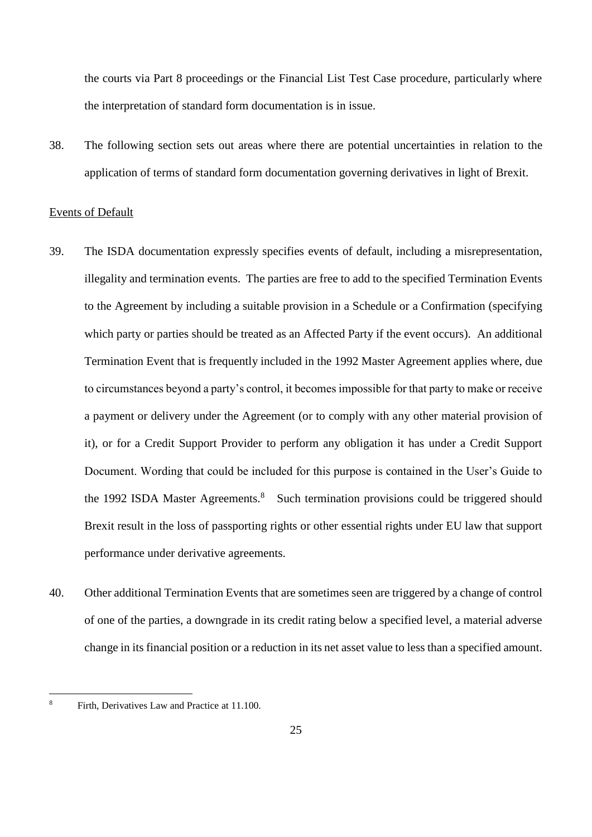the courts via Part 8 proceedings or the Financial List Test Case procedure, particularly where the interpretation of standard form documentation is in issue.

38. The following section sets out areas where there are potential uncertainties in relation to the application of terms of standard form documentation governing derivatives in light of Brexit.

## <span id="page-24-0"></span>Events of Default

- 39. The ISDA documentation expressly specifies events of default, including a misrepresentation, illegality and termination events. The parties are free to add to the specified Termination Events to the Agreement by including a suitable provision in a Schedule or a Confirmation (specifying which party or parties should be treated as an Affected Party if the event occurs). An additional Termination Event that is frequently included in the 1992 Master Agreement applies where, due to circumstances beyond a party's control, it becomes impossible for that party to make or receive a payment or delivery under the Agreement (or to comply with any other material provision of it), or for a Credit Support Provider to perform any obligation it has under a Credit Support Document. Wording that could be included for this purpose is contained in the User's Guide to the 1992 ISDA Master Agreements.<sup>8</sup> Such termination provisions could be triggered should Brexit result in the loss of passporting rights or other essential rights under EU law that support performance under derivative agreements.
- 40. Other additional Termination Events that are sometimes seen are triggered by a change of control of one of the parties, a downgrade in its credit rating below a specified level, a material adverse change in its financial position or a reduction in its net asset value to less than a specified amount.

<sup>8</sup> Firth, Derivatives Law and Practice at 11.100.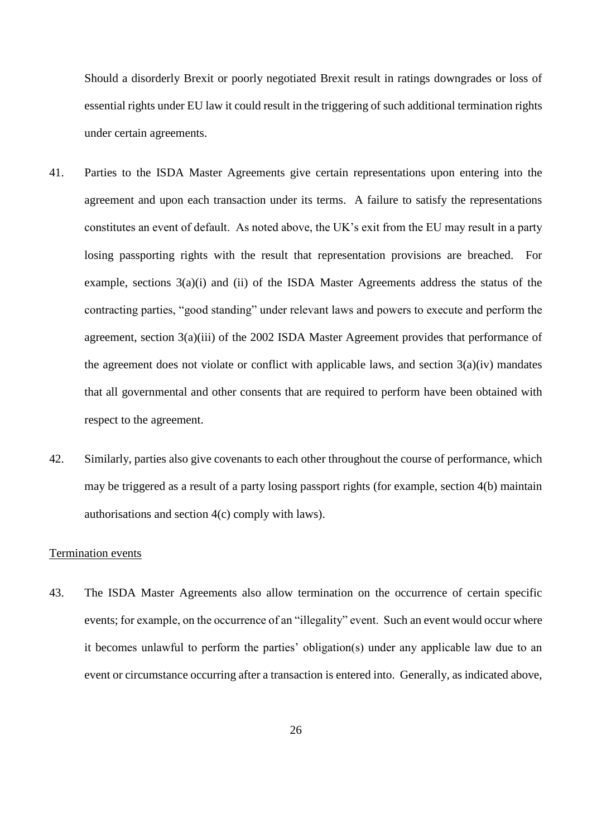Should a disorderly Brexit or poorly negotiated Brexit result in ratings downgrades or loss of essential rights under EU law it could result in the triggering of such additional termination rights under certain agreements.

- 41. Parties to the ISDA Master Agreements give certain representations upon entering into the agreement and upon each transaction under its terms. A failure to satisfy the representations constitutes an event of default. As noted above, the UK's exit from the EU may result in a party losing passporting rights with the result that representation provisions are breached. For example, sections 3(a)(i) and (ii) of the ISDA Master Agreements address the status of the contracting parties, "good standing" under relevant laws and powers to execute and perform the agreement, section 3(a)(iii) of the 2002 ISDA Master Agreement provides that performance of the agreement does not violate or conflict with applicable laws, and section  $3(a)(iv)$  mandates that all governmental and other consents that are required to perform have been obtained with respect to the agreement.
- 42. Similarly, parties also give covenants to each other throughout the course of performance, which may be triggered as a result of a party losing passport rights (for example, section 4(b) maintain authorisations and section 4(c) comply with laws).

# <span id="page-25-0"></span>Termination events

43. The ISDA Master Agreements also allow termination on the occurrence of certain specific events; for example, on the occurrence of an "illegality" event. Such an event would occur where it becomes unlawful to perform the parties' obligation(s) under any applicable law due to an event or circumstance occurring after a transaction is entered into. Generally, as indicated above,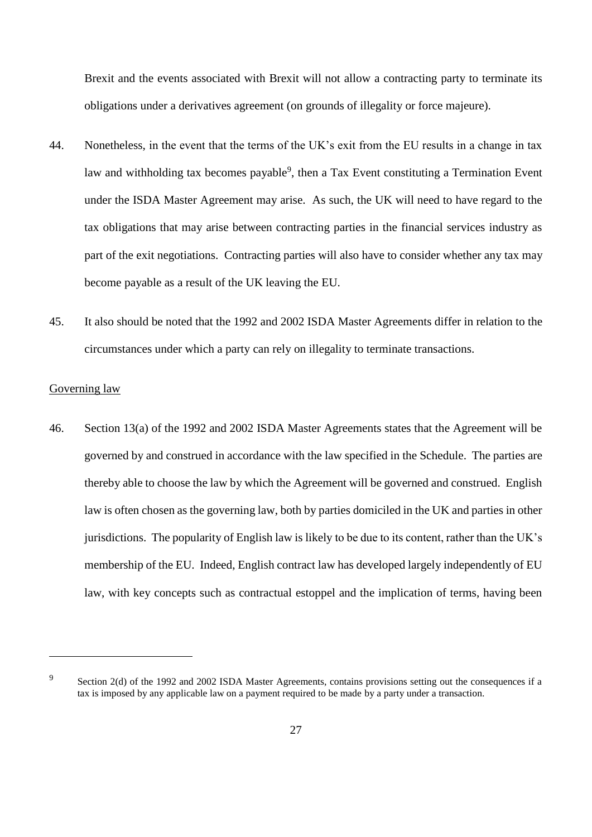Brexit and the events associated with Brexit will not allow a contracting party to terminate its obligations under a derivatives agreement (on grounds of illegality or force majeure).

- 44. Nonetheless, in the event that the terms of the UK's exit from the EU results in a change in tax law and withholding tax becomes payable<sup>9</sup>, then a Tax Event constituting a Termination Event under the ISDA Master Agreement may arise. As such, the UK will need to have regard to the tax obligations that may arise between contracting parties in the financial services industry as part of the exit negotiations. Contracting parties will also have to consider whether any tax may become payable as a result of the UK leaving the EU.
- 45. It also should be noted that the 1992 and 2002 ISDA Master Agreements differ in relation to the circumstances under which a party can rely on illegality to terminate transactions.

## <span id="page-26-0"></span>Governing law

46. Section 13(a) of the 1992 and 2002 ISDA Master Agreements states that the Agreement will be governed by and construed in accordance with the law specified in the Schedule. The parties are thereby able to choose the law by which the Agreement will be governed and construed. English law is often chosen as the governing law, both by parties domiciled in the UK and parties in other jurisdictions. The popularity of English law is likely to be due to its content, rather than the UK's membership of the EU. Indeed, English contract law has developed largely independently of EU law, with key concepts such as contractual estoppel and the implication of terms, having been

9

Section 2(d) of the 1992 and 2002 ISDA Master Agreements, contains provisions setting out the consequences if a tax is imposed by any applicable law on a payment required to be made by a party under a transaction.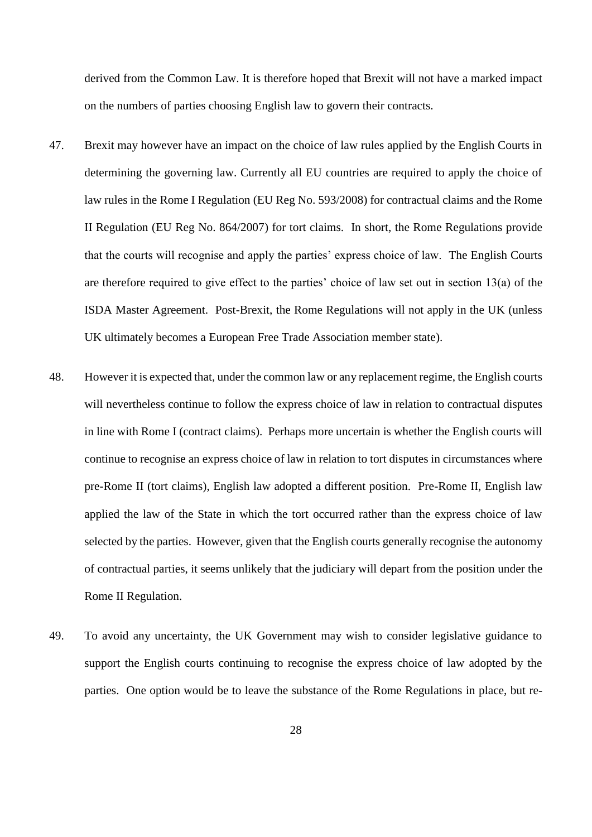derived from the Common Law. It is therefore hoped that Brexit will not have a marked impact on the numbers of parties choosing English law to govern their contracts.

- 47. Brexit may however have an impact on the choice of law rules applied by the English Courts in determining the governing law. Currently all EU countries are required to apply the choice of law rules in the Rome I Regulation (EU Reg No. 593/2008) for contractual claims and the Rome II Regulation (EU Reg No. 864/2007) for tort claims. In short, the Rome Regulations provide that the courts will recognise and apply the parties' express choice of law. The English Courts are therefore required to give effect to the parties' choice of law set out in section 13(a) of the ISDA Master Agreement. Post-Brexit, the Rome Regulations will not apply in the UK (unless UK ultimately becomes a European Free Trade Association member state).
- 48. However it is expected that, under the common law or any replacement regime, the English courts will nevertheless continue to follow the express choice of law in relation to contractual disputes in line with Rome I (contract claims). Perhaps more uncertain is whether the English courts will continue to recognise an express choice of law in relation to tort disputes in circumstances where pre-Rome II (tort claims), English law adopted a different position. Pre-Rome II, English law applied the law of the State in which the tort occurred rather than the express choice of law selected by the parties. However, given that the English courts generally recognise the autonomy of contractual parties, it seems unlikely that the judiciary will depart from the position under the Rome II Regulation.
- 49. To avoid any uncertainty, the UK Government may wish to consider legislative guidance to support the English courts continuing to recognise the express choice of law adopted by the parties. One option would be to leave the substance of the Rome Regulations in place, but re-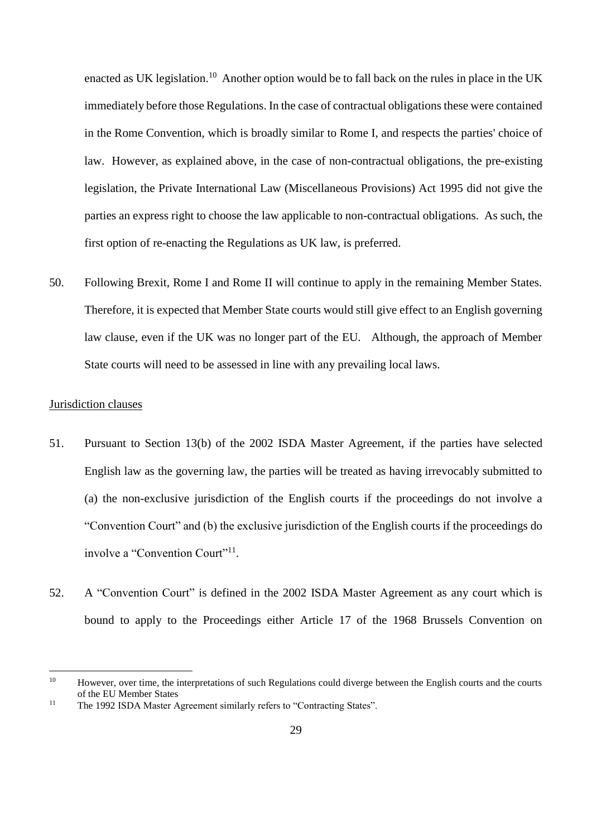enacted as UK legislation.<sup>10</sup> Another option would be to fall back on the rules in place in the UK immediately before those Regulations. In the case of contractual obligations these were contained in the Rome Convention, which is broadly similar to Rome I, and respects the parties' choice of law. However, as explained above, in the case of non-contractual obligations, the pre-existing legislation, the Private International Law (Miscellaneous Provisions) Act 1995 did not give the parties an express right to choose the law applicable to non-contractual obligations. As such, the first option of re-enacting the Regulations as UK law, is preferred.

50. Following Brexit, Rome I and Rome II will continue to apply in the remaining Member States. Therefore, it is expected that Member State courts would still give effect to an English governing law clause, even if the UK was no longer part of the EU. Although, the approach of Member State courts will need to be assessed in line with any prevailing local laws.

## <span id="page-28-0"></span>Jurisdiction clauses

- 51. Pursuant to Section 13(b) of the 2002 ISDA Master Agreement, if the parties have selected English law as the governing law, the parties will be treated as having irrevocably submitted to (a) the non-exclusive jurisdiction of the English courts if the proceedings do not involve a "Convention Court" and (b) the exclusive jurisdiction of the English courts if the proceedings do involve a "Convention Court"<sup>11</sup>.
- 52. A "Convention Court" is defined in the 2002 ISDA Master Agreement as any court which is bound to apply to the Proceedings either Article 17 of the 1968 Brussels Convention on

<sup>&</sup>lt;sup>10</sup> However, over time, the interpretations of such Regulations could diverge between the English courts and the courts of the EU Member States

<sup>&</sup>lt;sup>11</sup> The 1992 ISDA Master Agreement similarly refers to "Contracting States".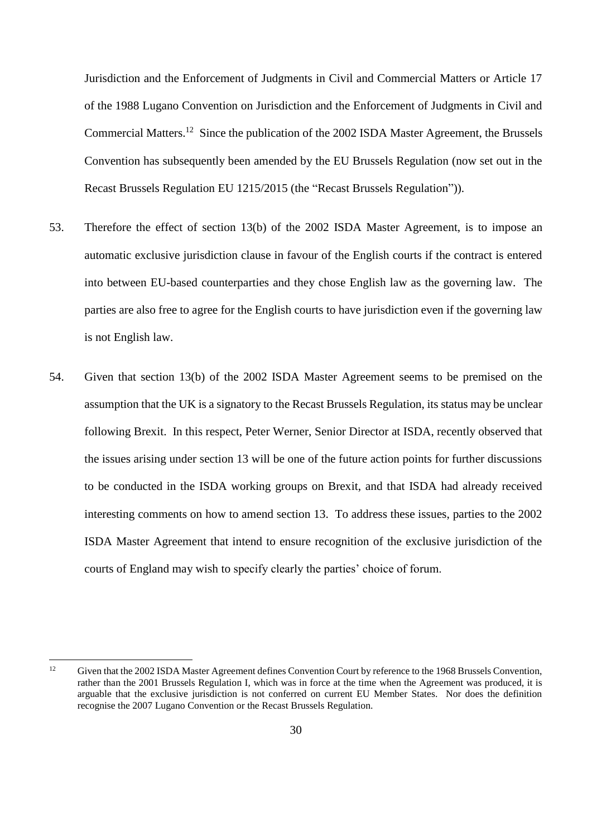Jurisdiction and the Enforcement of Judgments in Civil and Commercial Matters or Article 17 of the 1988 Lugano Convention on Jurisdiction and the Enforcement of Judgments in Civil and Commercial Matters.<sup>12</sup> Since the publication of the 2002 ISDA Master Agreement, the Brussels Convention has subsequently been amended by the EU Brussels Regulation (now set out in the Recast Brussels Regulation EU 1215/2015 (the "Recast Brussels Regulation")).

- 53. Therefore the effect of section 13(b) of the 2002 ISDA Master Agreement, is to impose an automatic exclusive jurisdiction clause in favour of the English courts if the contract is entered into between EU-based counterparties and they chose English law as the governing law. The parties are also free to agree for the English courts to have jurisdiction even if the governing law is not English law.
- 54. Given that section 13(b) of the 2002 ISDA Master Agreement seems to be premised on the assumption that the UK is a signatory to the Recast Brussels Regulation, its status may be unclear following Brexit. In this respect, Peter Werner, Senior Director at ISDA, recently observed that the issues arising under section 13 will be one of the future action points for further discussions to be conducted in the ISDA working groups on Brexit, and that ISDA had already received interesting comments on how to amend section 13. To address these issues, parties to the 2002 ISDA Master Agreement that intend to ensure recognition of the exclusive jurisdiction of the courts of England may wish to specify clearly the parties' choice of forum.

 $12$ 

Given that the 2002 ISDA Master Agreement defines Convention Court by reference to the 1968 Brussels Convention, rather than the 2001 Brussels Regulation I, which was in force at the time when the Agreement was produced, it is arguable that the exclusive jurisdiction is not conferred on current EU Member States. Nor does the definition recognise the 2007 Lugano Convention or the Recast Brussels Regulation.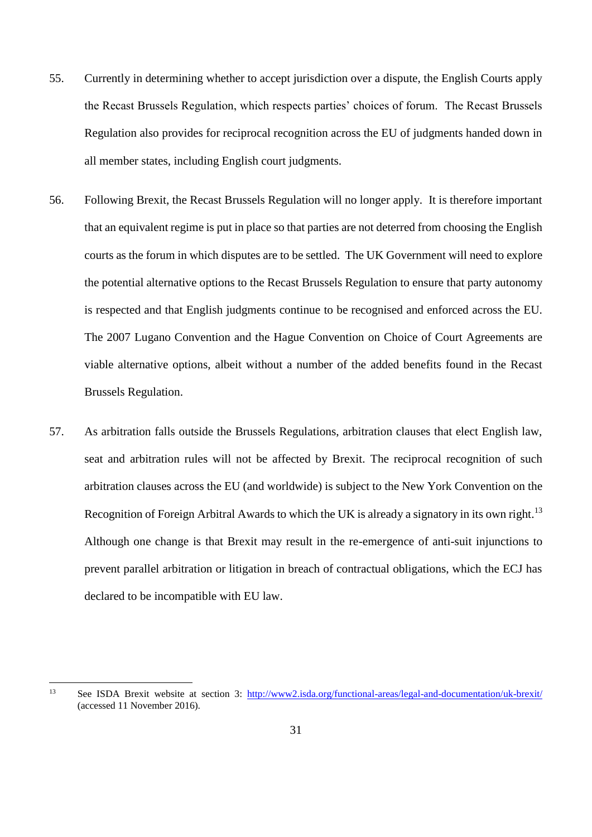- 55. Currently in determining whether to accept jurisdiction over a dispute, the English Courts apply the Recast Brussels Regulation, which respects parties' choices of forum. The Recast Brussels Regulation also provides for reciprocal recognition across the EU of judgments handed down in all member states, including English court judgments.
- 56. Following Brexit, the Recast Brussels Regulation will no longer apply. It is therefore important that an equivalent regime is put in place so that parties are not deterred from choosing the English courts as the forum in which disputes are to be settled. The UK Government will need to explore the potential alternative options to the Recast Brussels Regulation to ensure that party autonomy is respected and that English judgments continue to be recognised and enforced across the EU. The 2007 Lugano Convention and the Hague Convention on Choice of Court Agreements are viable alternative options, albeit without a number of the added benefits found in the Recast Brussels Regulation.
- 57. As arbitration falls outside the Brussels Regulations, arbitration clauses that elect English law, seat and arbitration rules will not be affected by Brexit. The reciprocal recognition of such arbitration clauses across the EU (and worldwide) is subject to the New York Convention on the Recognition of Foreign Arbitral Awards to which the UK is already a signatory in its own right.<sup>13</sup> Although one change is that Brexit may result in the re-emergence of anti-suit injunctions to prevent parallel arbitration or litigation in breach of contractual obligations, which the ECJ has declared to be incompatible with EU law.

 $13$ See ISDA Brexit website at section 3:<http://www2.isda.org/functional-areas/legal-and-documentation/uk-brexit/> (accessed 11 November 2016).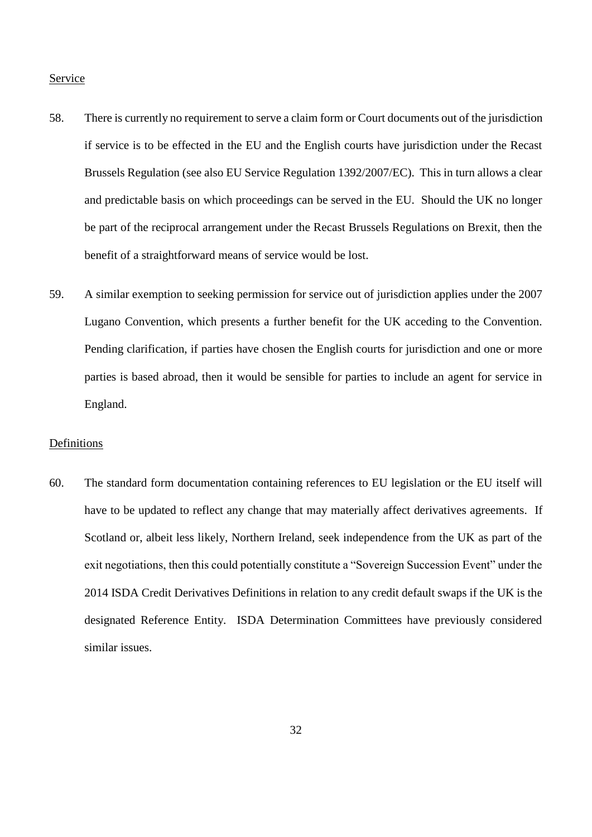## <span id="page-31-0"></span>Service

- 58. There is currently no requirement to serve a claim form or Court documents out of the jurisdiction if service is to be effected in the EU and the English courts have jurisdiction under the Recast Brussels Regulation (see also EU Service Regulation 1392/2007/EC). This in turn allows a clear and predictable basis on which proceedings can be served in the EU. Should the UK no longer be part of the reciprocal arrangement under the Recast Brussels Regulations on Brexit, then the benefit of a straightforward means of service would be lost.
- 59. A similar exemption to seeking permission for service out of jurisdiction applies under the 2007 Lugano Convention, which presents a further benefit for the UK acceding to the Convention. Pending clarification, if parties have chosen the English courts for jurisdiction and one or more parties is based abroad, then it would be sensible for parties to include an agent for service in England.

## <span id="page-31-1"></span>**Definitions**

60. The standard form documentation containing references to EU legislation or the EU itself will have to be updated to reflect any change that may materially affect derivatives agreements. If Scotland or, albeit less likely, Northern Ireland, seek independence from the UK as part of the exit negotiations, then this could potentially constitute a "Sovereign Succession Event" under the 2014 ISDA Credit Derivatives Definitions in relation to any credit default swaps if the UK is the designated Reference Entity. ISDA Determination Committees have previously considered similar issues.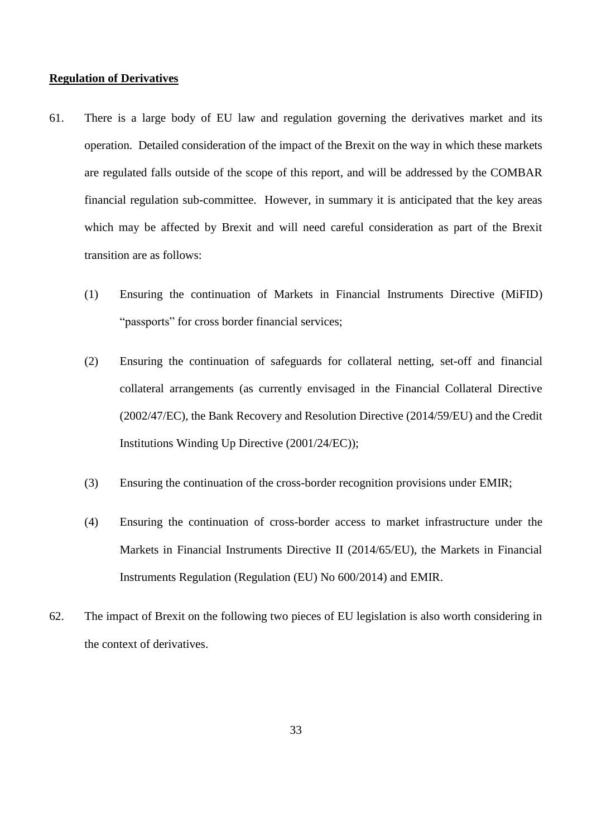## <span id="page-32-0"></span>**Regulation of Derivatives**

- 61. There is a large body of EU law and regulation governing the derivatives market and its operation. Detailed consideration of the impact of the Brexit on the way in which these markets are regulated falls outside of the scope of this report, and will be addressed by the COMBAR financial regulation sub-committee. However, in summary it is anticipated that the key areas which may be affected by Brexit and will need careful consideration as part of the Brexit transition are as follows:
	- (1) Ensuring the continuation of Markets in Financial Instruments Directive (MiFID) "passports" for cross border financial services;
	- (2) Ensuring the continuation of safeguards for collateral netting, set-off and financial collateral arrangements (as currently envisaged in the Financial Collateral Directive (2002/47/EC), the Bank Recovery and Resolution Directive (2014/59/EU) and the Credit Institutions Winding Up Directive (2001/24/EC));
	- (3) Ensuring the continuation of the cross-border recognition provisions under EMIR;
	- (4) Ensuring the continuation of cross-border access to market infrastructure under the Markets in Financial Instruments Directive II (2014/65/EU), the Markets in Financial Instruments Regulation (Regulation (EU) No 600/2014) and EMIR.
- 62. The impact of Brexit on the following two pieces of EU legislation is also worth considering in the context of derivatives.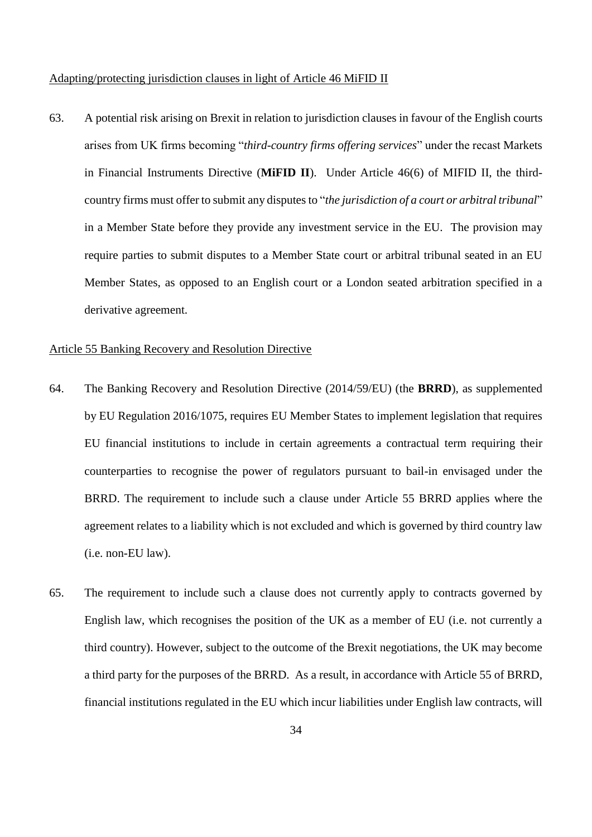<span id="page-33-0"></span>Adapting/protecting jurisdiction clauses in light of Article 46 MiFID II

63. A potential risk arising on Brexit in relation to jurisdiction clauses in favour of the English courts arises from UK firms becoming "*third-country firms offering services*" under the recast Markets in Financial Instruments Directive (**MiFID II**). Under Article 46(6) of MIFID II, the thirdcountry firms must offer to submit any disputes to "*the jurisdiction of a court or arbitral tribunal*" in a Member State before they provide any investment service in the EU. The provision may require parties to submit disputes to a Member State court or arbitral tribunal seated in an EU Member States, as opposed to an English court or a London seated arbitration specified in a derivative agreement.

## <span id="page-33-1"></span>Article 55 Banking Recovery and Resolution Directive

- 64. The Banking Recovery and Resolution Directive (2014/59/EU) (the **BRRD**), as supplemented by EU Regulation 2016/1075, requires EU Member States to implement legislation that requires EU financial institutions to include in certain agreements a contractual term requiring their counterparties to recognise the power of regulators pursuant to bail-in envisaged under the BRRD. The requirement to include such a clause under Article 55 BRRD applies where the agreement relates to a liability which is not excluded and which is governed by third country law (i.e. non-EU law).
- 65. The requirement to include such a clause does not currently apply to contracts governed by English law, which recognises the position of the UK as a member of EU (i.e. not currently a third country). However, subject to the outcome of the Brexit negotiations, the UK may become a third party for the purposes of the BRRD. As a result, in accordance with Article 55 of BRRD, financial institutions regulated in the EU which incur liabilities under English law contracts, will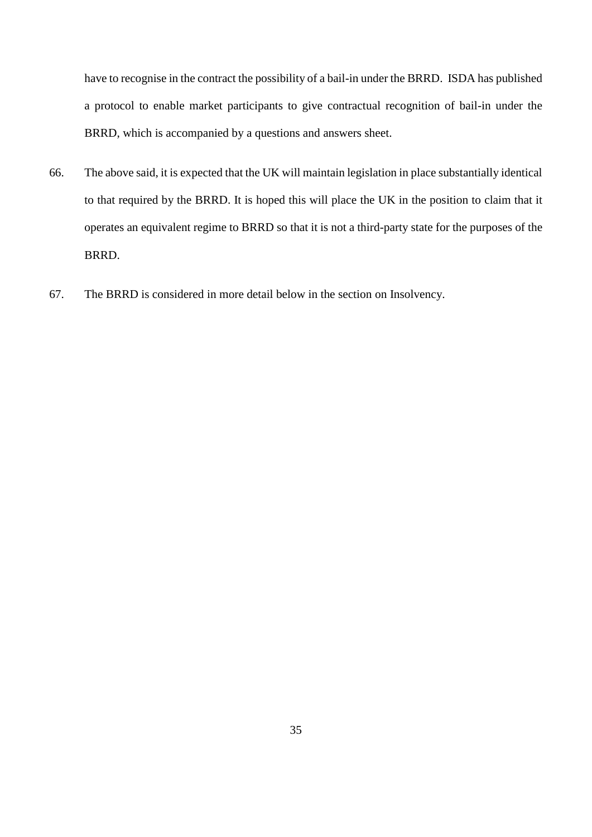have to recognise in the contract the possibility of a bail-in under the BRRD. ISDA has published a protocol to enable market participants to give contractual recognition of bail-in under the BRRD, which is accompanied by a questions and answers sheet.

- 66. The above said, it is expected that the UK will maintain legislation in place substantially identical to that required by the BRRD. It is hoped this will place the UK in the position to claim that it operates an equivalent regime to BRRD so that it is not a third-party state for the purposes of the BRRD.
- 67. The BRRD is considered in more detail below in the section on Insolvency.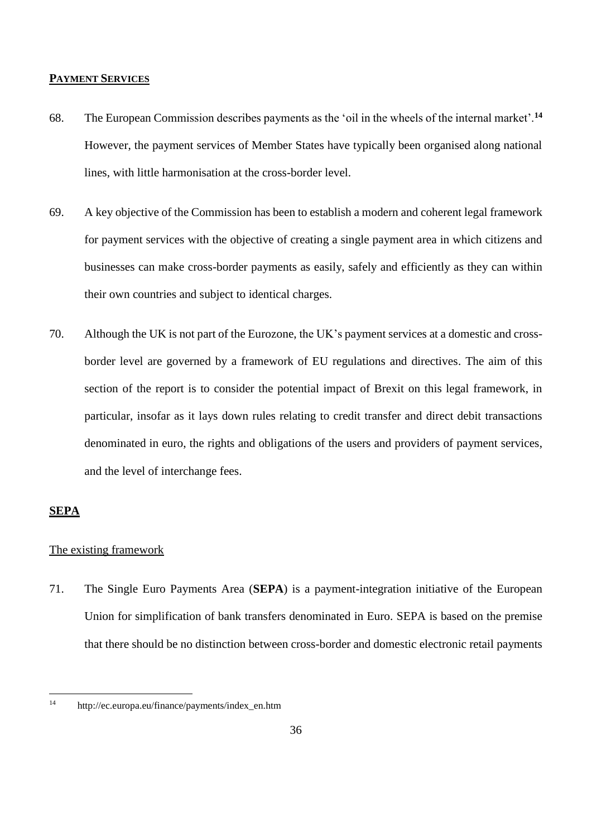## <span id="page-35-0"></span>**PAYMENT SERVICES**

- 68. The European Commission describes payments as the 'oil in the wheels of the internal market'.**<sup>14</sup>** However, the payment services of Member States have typically been organised along national lines, with little harmonisation at the cross-border level.
- 69. A key objective of the Commission has been to establish a modern and coherent legal framework for payment services with the objective of creating a single payment area in which citizens and businesses can make cross-border payments as easily, safely and efficiently as they can within their own countries and subject to identical charges.
- 70. Although the UK is not part of the Eurozone, the UK's payment services at a domestic and crossborder level are governed by a framework of EU regulations and directives. The aim of this section of the report is to consider the potential impact of Brexit on this legal framework, in particular, insofar as it lays down rules relating to credit transfer and direct debit transactions denominated in euro, the rights and obligations of the users and providers of payment services, and the level of interchange fees.

# <span id="page-35-1"></span>**SEPA**

# <span id="page-35-2"></span>The existing framework

71. The Single Euro Payments Area (**SEPA**) is a payment-integration initiative of the European Union for simplification of bank transfers denominated in Euro. SEPA is based on the premise that there should be no distinction between cross-border and domestic electronic retail payments

 $14$ http://ec.europa.eu/finance/payments/index\_en.htm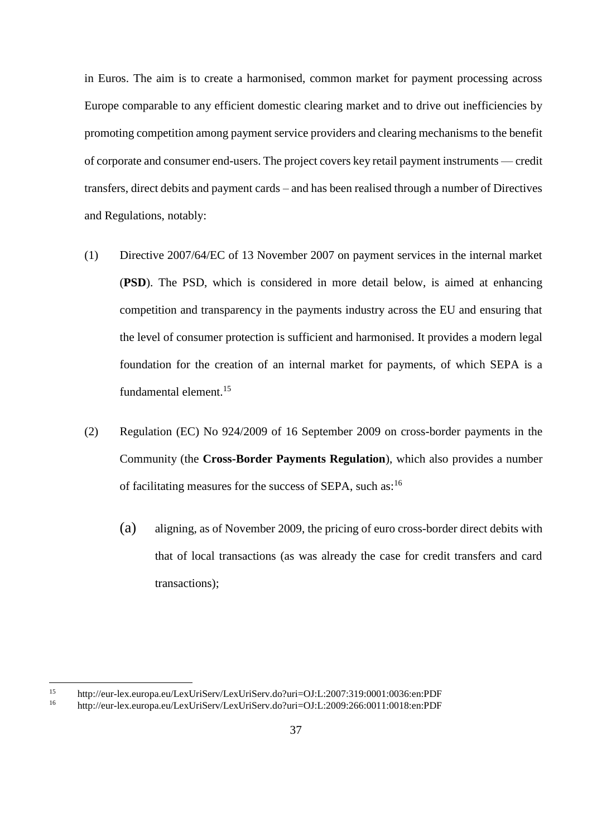in Euros. The aim is to create a harmonised, common market for payment processing across Europe comparable to any efficient domestic clearing market and to drive out inefficiencies by promoting competition among payment service providers and clearing mechanisms to the benefit of corporate and consumer end-users. The project covers key retail payment instruments — credit transfers, direct debits and payment cards – and has been realised through a number of Directives and Regulations, notably:

- (1) Directive 2007/64/EC of 13 November 2007 on payment services in the internal market (**PSD**). The PSD, which is considered in more detail below, is aimed at enhancing competition and transparency in the payments industry across the EU and ensuring that the level of consumer protection is sufficient and harmonised. It provides a modern legal foundation for the creation of an internal market for payments, of which SEPA is a fundamental element.<sup>15</sup>
- (2) Regulation (EC) No 924/2009 of 16 September 2009 on cross-border payments in the Community (the **Cross-Border Payments Regulation**), which also provides a number of facilitating measures for the success of SEPA, such as: $16$ 
	- (a) aligning, as of November 2009, the pricing of euro cross-border direct debits with that of local transactions (as was already the case for credit transfers and card transactions);

 $15$ 15 http://eur-lex.europa.eu/LexUriServ/LexUriServ.do?uri=OJ:L:2007:319:0001:0036:en:PDF<br>16 http://eur-lex.europa.eu/LexUriServ/LexUriServ.do?uri=OJ:L:2000:266:0011:0018:en:PDF

<sup>16</sup> http://eur-lex.europa.eu/LexUriServ/LexUriServ.do?uri=OJ:L:2009:266:0011:0018:en:PDF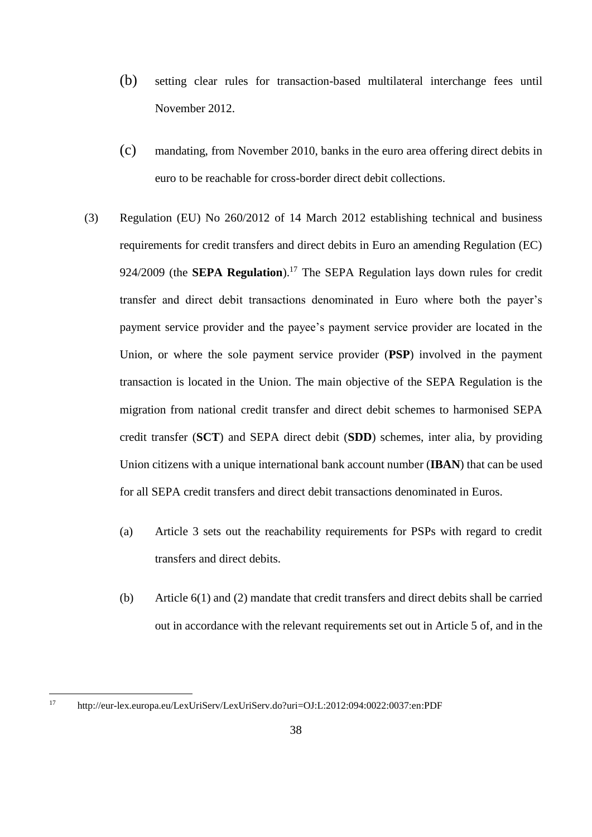- (b) setting clear rules for transaction-based multilateral interchange fees until November 2012.
- (c) mandating, from November 2010, banks in the euro area offering direct debits in euro to be reachable for cross-border direct debit collections.
- (3) Regulation (EU) No 260/2012 of 14 March 2012 establishing technical and business requirements for credit transfers and direct debits in Euro an amending Regulation (EC) 924/2009 (the **SEPA Regulation**).<sup>17</sup> The SEPA Regulation lays down rules for credit transfer and direct debit transactions denominated in Euro where both the payer's payment service provider and the payee's payment service provider are located in the Union, or where the sole payment service provider (**PSP**) involved in the payment transaction is located in the Union. The main objective of the SEPA Regulation is the migration from national credit transfer and direct debit schemes to harmonised SEPA credit transfer (**SCT**) and SEPA direct debit (**SDD**) schemes, inter alia, by providing Union citizens with a unique international bank account number (**IBAN**) that can be used for all SEPA credit transfers and direct debit transactions denominated in Euros.
	- (a) Article 3 sets out the reachability requirements for PSPs with regard to credit transfers and direct debits.
	- (b) Article 6(1) and (2) mandate that credit transfers and direct debits shall be carried out in accordance with the relevant requirements set out in Article 5 of, and in the

 $17$ <sup>17</sup> http://eur-lex.europa.eu/LexUriServ/LexUriServ.do?uri=OJ:L:2012:094:0022:0037:en:PDF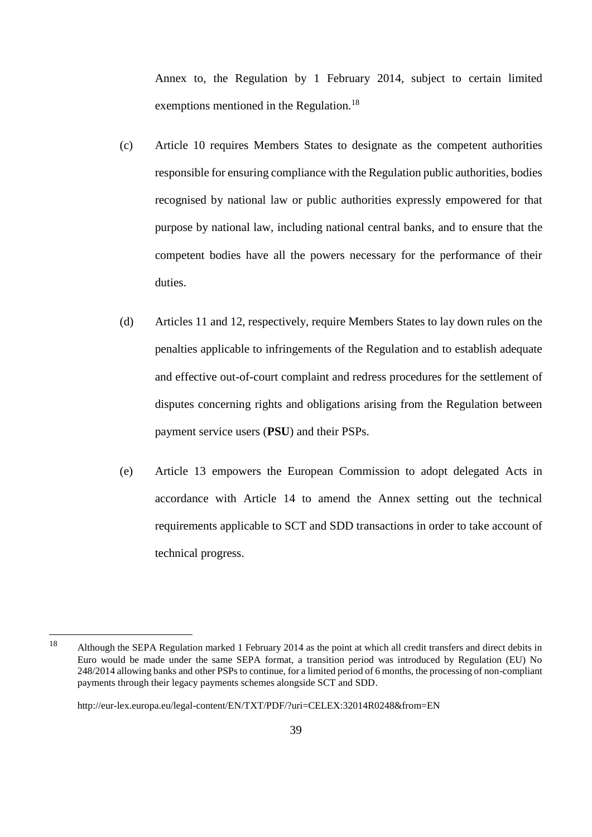Annex to, the Regulation by 1 February 2014, subject to certain limited exemptions mentioned in the Regulation.<sup>18</sup>

- (c) Article 10 requires Members States to designate as the competent authorities responsible for ensuring compliance with the Regulation public authorities, bodies recognised by national law or public authorities expressly empowered for that purpose by national law, including national central banks, and to ensure that the competent bodies have all the powers necessary for the performance of their duties.
- (d) Articles 11 and 12, respectively, require Members States to lay down rules on the penalties applicable to infringements of the Regulation and to establish adequate and effective out-of-court complaint and redress procedures for the settlement of disputes concerning rights and obligations arising from the Regulation between payment service users (**PSU**) and their PSPs.
- (e) Article 13 empowers the European Commission to adopt delegated Acts in accordance with Article 14 to amend the Annex setting out the technical requirements applicable to SCT and SDD transactions in order to take account of technical progress.

<sup>&</sup>lt;sup>18</sup> Although the SEPA Regulation marked 1 February 2014 as the point at which all credit transfers and direct debits in Euro would be made under the same SEPA format, a transition period was introduced by Regulation (EU) No 248/2014 allowing banks and other PSPs to continue, for a limited period of 6 months, the processing of non-compliant payments through their legacy payments schemes alongside SCT and SDD.

http://eur-lex.europa.eu/legal-content/EN/TXT/PDF/?uri=CELEX:32014R0248&from=EN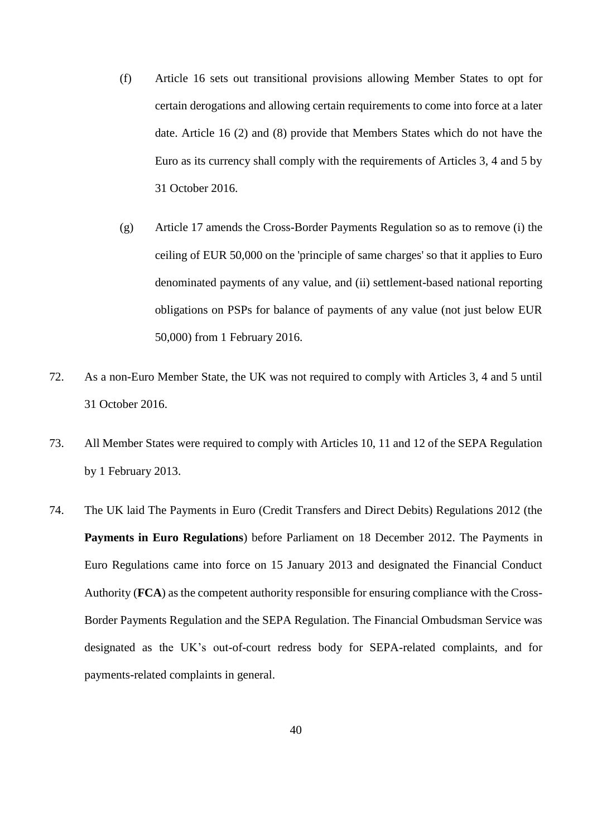- (f) Article 16 sets out transitional provisions allowing Member States to opt for certain derogations and allowing certain requirements to come into force at a later date. Article 16 (2) and (8) provide that Members States which do not have the Euro as its currency shall comply with the requirements of Articles 3, 4 and 5 by 31 October 2016.
- (g) Article 17 amends the Cross-Border Payments Regulation so as to remove (i) the ceiling of EUR 50,000 on the 'principle of same charges' so that it applies to Euro denominated payments of any value, and (ii) settlement-based national reporting obligations on PSPs for balance of payments of any value (not just below EUR 50,000) from 1 February 2016.
- 72. As a non-Euro Member State, the UK was not required to comply with Articles 3, 4 and 5 until 31 October 2016.
- 73. All Member States were required to comply with Articles 10, 11 and 12 of the SEPA Regulation by 1 February 2013.
- 74. The UK laid The Payments in Euro (Credit Transfers and Direct Debits) Regulations 2012 (the **Payments in Euro Regulations**) before Parliament on 18 December 2012. The Payments in Euro Regulations came into force on 15 January 2013 and designated the Financial Conduct Authority (**FCA**) as the competent authority responsible for ensuring compliance with the Cross-Border Payments Regulation and the SEPA Regulation. The Financial Ombudsman Service was designated as the UK's out-of-court redress body for SEPA-related complaints, and for payments-related complaints in general.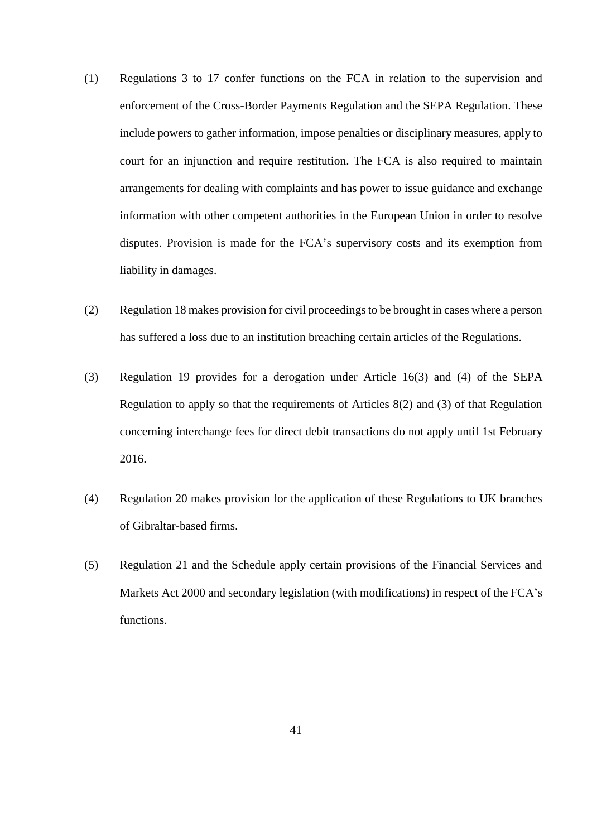- (1) Regulations 3 to 17 confer functions on the FCA in relation to the supervision and enforcement of the Cross-Border Payments Regulation and the SEPA Regulation. These include powers to gather information, impose penalties or disciplinary measures, apply to court for an injunction and require restitution. The FCA is also required to maintain arrangements for dealing with complaints and has power to issue guidance and exchange information with other competent authorities in the European Union in order to resolve disputes. Provision is made for the FCA's supervisory costs and its exemption from liability in damages.
- (2) Regulation 18 makes provision for civil proceedings to be brought in cases where a person has suffered a loss due to an institution breaching certain articles of the Regulations.
- (3) Regulation 19 provides for a derogation under Article 16(3) and (4) of the SEPA Regulation to apply so that the requirements of Articles 8(2) and (3) of that Regulation concerning interchange fees for direct debit transactions do not apply until 1st February 2016.
- (4) Regulation 20 makes provision for the application of these Regulations to UK branches of Gibraltar-based firms.
- (5) Regulation 21 and the Schedule apply certain provisions of the Financial Services and Markets Act 2000 and secondary legislation (with modifications) in respect of the FCA's functions.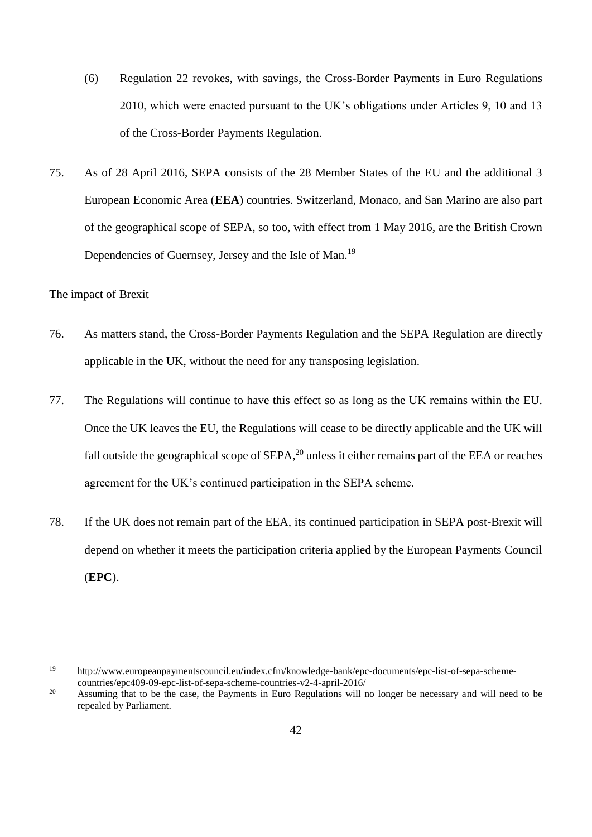- (6) Regulation 22 revokes, with savings, the Cross-Border Payments in Euro Regulations 2010, which were enacted pursuant to the UK's obligations under Articles 9, 10 and 13 of the Cross-Border Payments Regulation.
- 75. As of 28 April 2016, SEPA consists of the 28 Member States of the EU and the additional 3 European Economic Area (**EEA**) countries. Switzerland, Monaco, and San Marino are also part of the geographical scope of SEPA, so too, with effect from 1 May 2016, are the British Crown Dependencies of Guernsey, Jersey and the Isle of Man.<sup>19</sup>

## The impact of Brexit

- 76. As matters stand, the Cross-Border Payments Regulation and the SEPA Regulation are directly applicable in the UK, without the need for any transposing legislation.
- 77. The Regulations will continue to have this effect so as long as the UK remains within the EU. Once the UK leaves the EU, the Regulations will cease to be directly applicable and the UK will fall outside the geographical scope of  $SEPA$ ,<sup>20</sup> unless it either remains part of the EEA or reaches agreement for the UK's continued participation in the SEPA scheme.
- 78. If the UK does not remain part of the EEA, its continued participation in SEPA post-Brexit will depend on whether it meets the participation criteria applied by the European Payments Council (**EPC**).

<sup>19</sup> http://www.europeanpaymentscouncil.eu/index.cfm/knowledge-bank/epc-documents/epc-list-of-sepa-schemecountries/epc409-09-epc-list-of-sepa-scheme-countries-v2-4-april-2016/

<sup>&</sup>lt;sup>20</sup> Assuming that to be the case, the Payments in Euro Regulations will no longer be necessary and will need to be repealed by Parliament.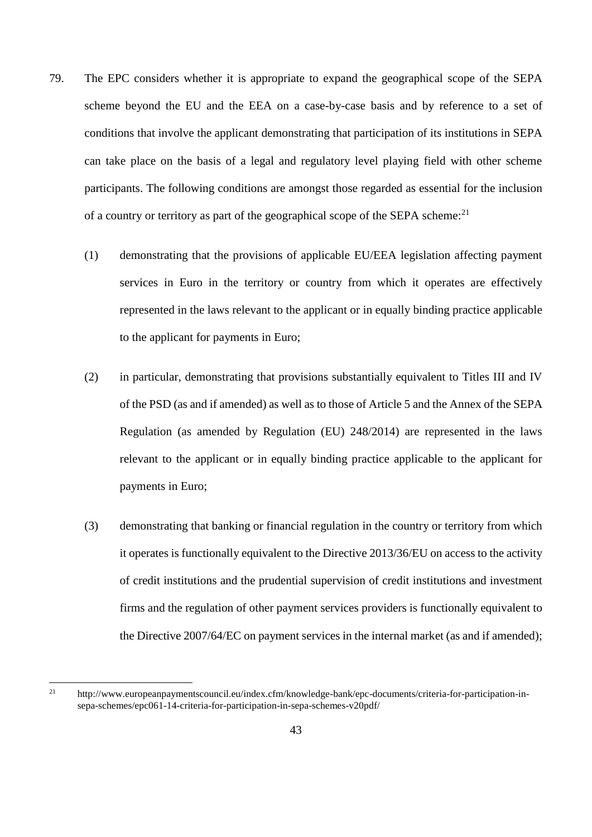- 79. The EPC considers whether it is appropriate to expand the geographical scope of the SEPA scheme beyond the EU and the EEA on a case-by-case basis and by reference to a set of conditions that involve the applicant demonstrating that participation of its institutions in SEPA can take place on the basis of a legal and regulatory level playing field with other scheme participants. The following conditions are amongst those regarded as essential for the inclusion of a country or territory as part of the geographical scope of the SEPA scheme:<sup>21</sup>
	- (1) demonstrating that the provisions of applicable EU/EEA legislation affecting payment services in Euro in the territory or country from which it operates are effectively represented in the laws relevant to the applicant or in equally binding practice applicable to the applicant for payments in Euro;
	- (2) in particular, demonstrating that provisions substantially equivalent to Titles III and IV of the PSD (as and if amended) as well as to those of Article 5 and the Annex of the SEPA Regulation (as amended by Regulation (EU) 248/2014) are represented in the laws relevant to the applicant or in equally binding practice applicable to the applicant for payments in Euro;
	- (3) demonstrating that banking or financial regulation in the country or territory from which it operates is functionally equivalent to the Directive 2013/36/EU on access to the activity of credit institutions and the prudential supervision of credit institutions and investment firms and the regulation of other payment services providers is functionally equivalent to the Directive 2007/64/EC on payment services in the internal market (as and if amended);

 $21$ <sup>21</sup> http://www.europeanpaymentscouncil.eu/index.cfm/knowledge-bank/epc-documents/criteria-for-participation-insepa-schemes/epc061-14-criteria-for-participation-in-sepa-schemes-v20pdf/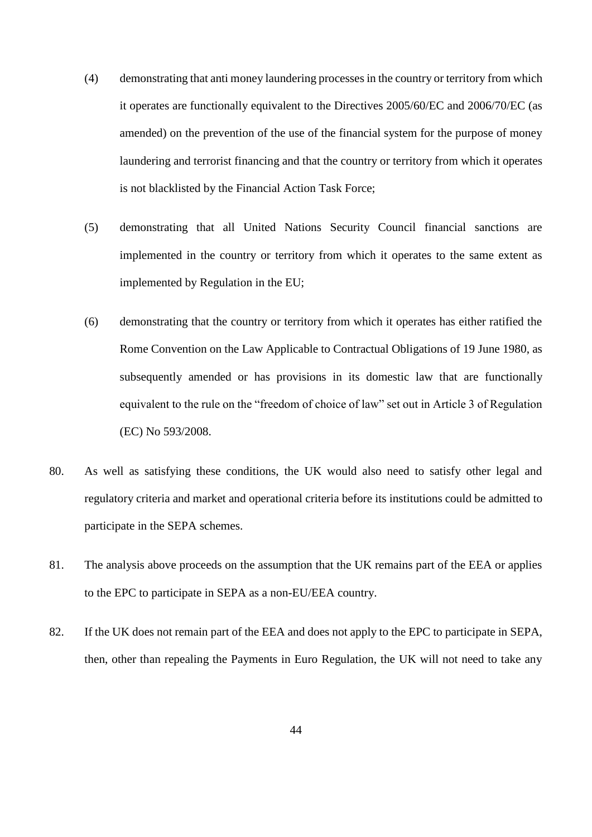- (4) demonstrating that anti money laundering processes in the country or territory from which it operates are functionally equivalent to the Directives 2005/60/EC and 2006/70/EC (as amended) on the prevention of the use of the financial system for the purpose of money laundering and terrorist financing and that the country or territory from which it operates is not blacklisted by the Financial Action Task Force;
- (5) demonstrating that all United Nations Security Council financial sanctions are implemented in the country or territory from which it operates to the same extent as implemented by Regulation in the EU;
- (6) demonstrating that the country or territory from which it operates has either ratified the Rome Convention on the Law Applicable to Contractual Obligations of 19 June 1980, as subsequently amended or has provisions in its domestic law that are functionally equivalent to the rule on the "freedom of choice of law" set out in Article 3 of Regulation (EC) No 593/2008.
- 80. As well as satisfying these conditions, the UK would also need to satisfy other legal and regulatory criteria and market and operational criteria before its institutions could be admitted to participate in the SEPA schemes.
- 81. The analysis above proceeds on the assumption that the UK remains part of the EEA or applies to the EPC to participate in SEPA as a non-EU/EEA country.
- 82. If the UK does not remain part of the EEA and does not apply to the EPC to participate in SEPA, then, other than repealing the Payments in Euro Regulation, the UK will not need to take any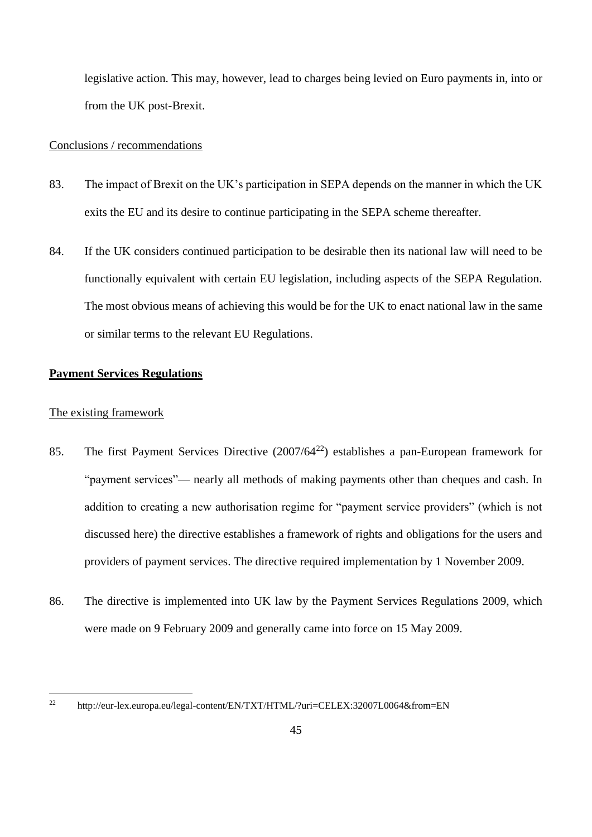legislative action. This may, however, lead to charges being levied on Euro payments in, into or from the UK post-Brexit.

### Conclusions / recommendations

- 83. The impact of Brexit on the UK's participation in SEPA depends on the manner in which the UK exits the EU and its desire to continue participating in the SEPA scheme thereafter.
- 84. If the UK considers continued participation to be desirable then its national law will need to be functionally equivalent with certain EU legislation, including aspects of the SEPA Regulation. The most obvious means of achieving this would be for the UK to enact national law in the same or similar terms to the relevant EU Regulations.

## **Payment Services Regulations**

## The existing framework

- 85. The first Payment Services Directive (2007/64<sup>22</sup>) establishes a pan-European framework for "payment services"— nearly all methods of making payments other than cheques and cash. In addition to creating a new authorisation regime for "payment service providers" (which is not discussed here) the directive establishes a framework of rights and obligations for the users and providers of payment services. The directive required implementation by 1 November 2009.
- 86. The directive is implemented into UK law by the Payment Services Regulations 2009, which were made on 9 February 2009 and generally came into force on 15 May 2009.

 $22$ <sup>22</sup> http://eur-lex.europa.eu/legal-content/EN/TXT/HTML/?uri=CELEX:32007L0064&from=EN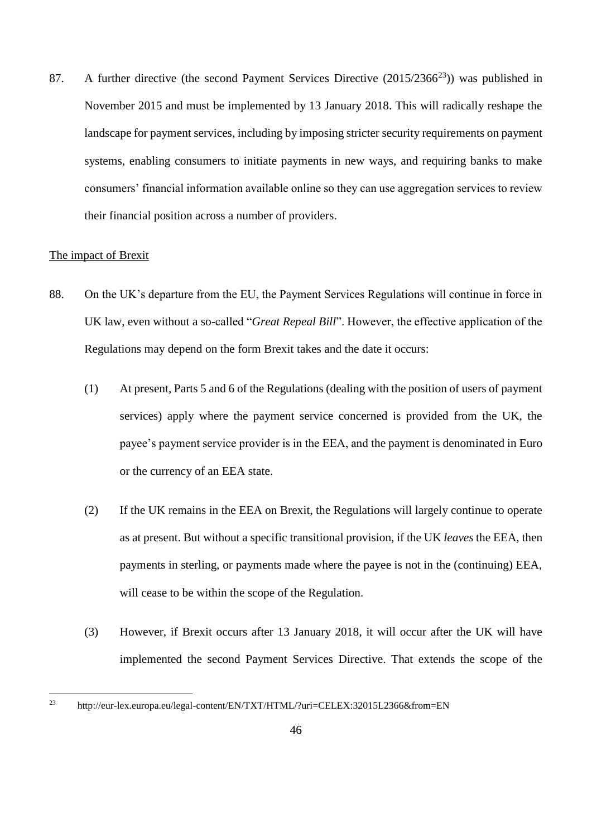87. A further directive (the second Payment Services Directive  $(2015/2366^{23})$ ) was published in November 2015 and must be implemented by 13 January 2018. This will radically reshape the landscape for payment services, including by imposing stricter security requirements on payment systems, enabling consumers to initiate payments in new ways, and requiring banks to make consumers' financial information available online so they can use aggregation services to review their financial position across a number of providers.

# The impact of Brexit

- 88. On the UK's departure from the EU, the Payment Services Regulations will continue in force in UK law, even without a so-called "*Great Repeal Bill*". However, the effective application of the Regulations may depend on the form Brexit takes and the date it occurs:
	- (1) At present, Parts 5 and 6 of the Regulations (dealing with the position of users of payment services) apply where the payment service concerned is provided from the UK, the payee's payment service provider is in the EEA, and the payment is denominated in Euro or the currency of an EEA state.
	- (2) If the UK remains in the EEA on Brexit, the Regulations will largely continue to operate as at present. But without a specific transitional provision, if the UK *leaves* the EEA, then payments in sterling, or payments made where the payee is not in the (continuing) EEA, will cease to be within the scope of the Regulation.
	- (3) However, if Brexit occurs after 13 January 2018, it will occur after the UK will have implemented the second Payment Services Directive. That extends the scope of the

 $23$ <sup>23</sup> http://eur-lex.europa.eu/legal-content/EN/TXT/HTML/?uri=CELEX:32015L2366&from=EN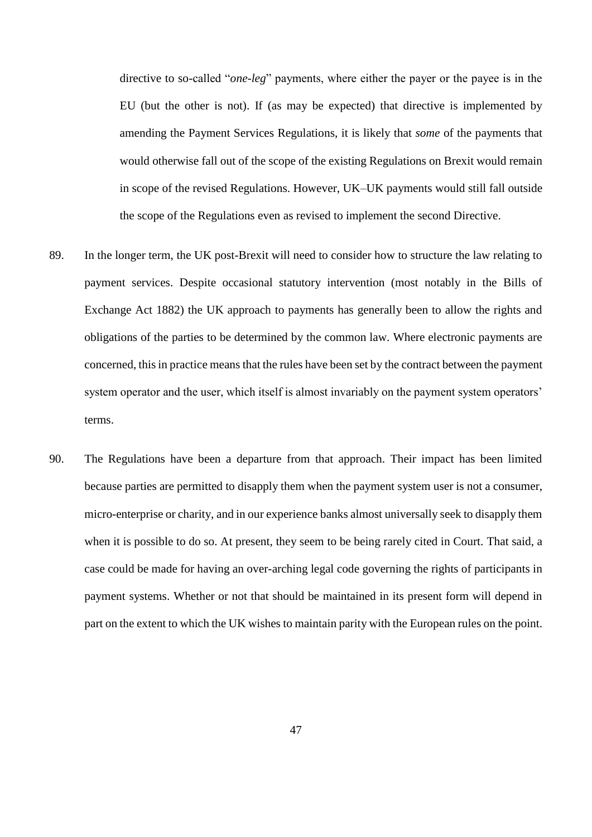directive to so-called "*one-leg*" payments, where either the payer or the payee is in the EU (but the other is not). If (as may be expected) that directive is implemented by amending the Payment Services Regulations, it is likely that *some* of the payments that would otherwise fall out of the scope of the existing Regulations on Brexit would remain in scope of the revised Regulations. However, UK–UK payments would still fall outside the scope of the Regulations even as revised to implement the second Directive.

- 89. In the longer term, the UK post-Brexit will need to consider how to structure the law relating to payment services. Despite occasional statutory intervention (most notably in the Bills of Exchange Act 1882) the UK approach to payments has generally been to allow the rights and obligations of the parties to be determined by the common law. Where electronic payments are concerned, this in practice means that the rules have been set by the contract between the payment system operator and the user, which itself is almost invariably on the payment system operators' terms.
- 90. The Regulations have been a departure from that approach. Their impact has been limited because parties are permitted to disapply them when the payment system user is not a consumer, micro-enterprise or charity, and in our experience banks almost universally seek to disapply them when it is possible to do so. At present, they seem to be being rarely cited in Court. That said, a case could be made for having an over-arching legal code governing the rights of participants in payment systems. Whether or not that should be maintained in its present form will depend in part on the extent to which the UK wishes to maintain parity with the European rules on the point.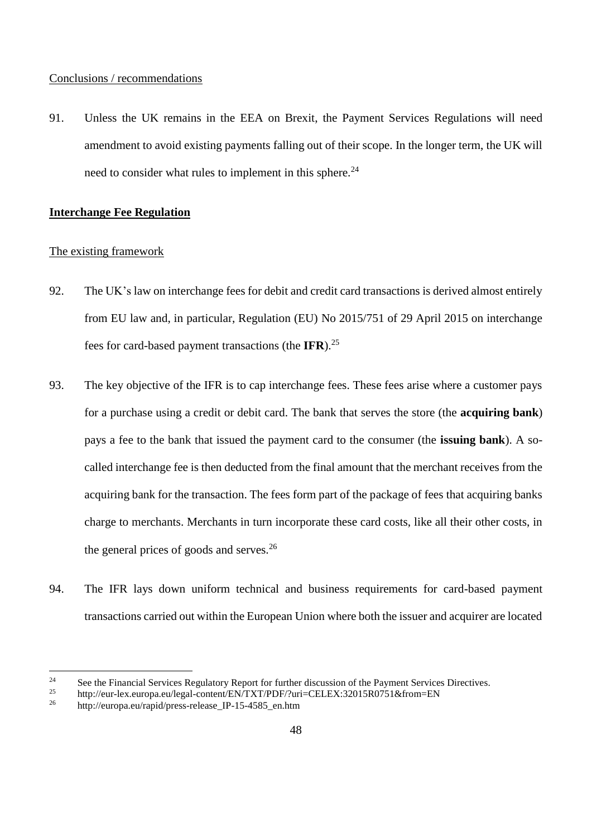### Conclusions / recommendations

91. Unless the UK remains in the EEA on Brexit, the Payment Services Regulations will need amendment to avoid existing payments falling out of their scope. In the longer term, the UK will need to consider what rules to implement in this sphere.<sup>24</sup>

## **Interchange Fee Regulation**

## The existing framework

- 92. The UK's law on interchange fees for debit and credit card transactions is derived almost entirely from EU law and, in particular, Regulation (EU) No 2015/751 of 29 April 2015 on interchange fees for card-based payment transactions (the **IFR**).<sup>25</sup>
- 93. The key objective of the IFR is to cap interchange fees. These fees arise where a customer pays for a purchase using a credit or debit card. The bank that serves the store (the **acquiring bank**) pays a fee to the bank that issued the payment card to the consumer (the **issuing bank**). A socalled interchange fee is then deducted from the final amount that the merchant receives from the acquiring bank for the transaction. The fees form part of the package of fees that acquiring banks charge to merchants. Merchants in turn incorporate these card costs, like all their other costs, in the general prices of goods and serves. $26$
- 94. The IFR lays down uniform technical and business requirements for card-based payment transactions carried out within the European Union where both the issuer and acquirer are located

<sup>&</sup>lt;sup>24</sup> See the Financial Services Regulatory Report for further discussion of the Payment Services Directives.<br><sup>25</sup> http://our.lox.our.pp.gr/logal.content/EN/TYT/PDE/2uri–CEI EX:22015B0751&from–EN

<sup>&</sup>lt;sup>25</sup> http://eur-lex.europa.eu/legal-content/EN/TXT/PDF/?uri=CELEX:32015R0751&from=EN<br><sup>26</sup> http://ouropa.ou/rapid/press\_ralasse\_IB\_15\_4585\_op.htm

http://europa.eu/rapid/press-release IP-15-4585 en.htm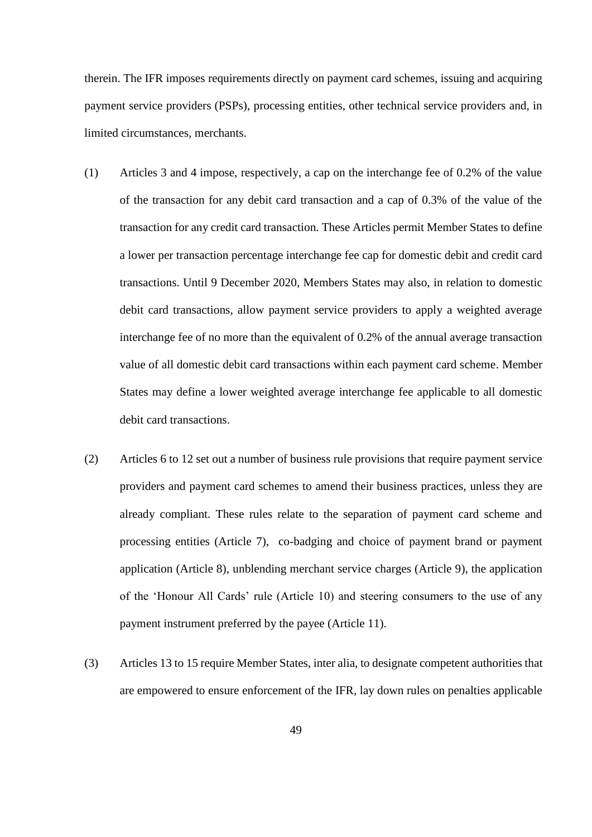therein. The IFR imposes requirements directly on payment card schemes, issuing and acquiring payment service providers (PSPs), processing entities, other technical service providers and, in limited circumstances, merchants.

- (1) Articles 3 and 4 impose, respectively, a cap on the interchange fee of 0.2% of the value of the transaction for any debit card transaction and a cap of 0.3% of the value of the transaction for any credit card transaction. These Articles permit Member States to define a lower per transaction percentage interchange fee cap for domestic debit and credit card transactions. Until 9 December 2020, Members States may also, in relation to domestic debit card transactions, allow payment service providers to apply a weighted average interchange fee of no more than the equivalent of 0.2% of the annual average transaction value of all domestic debit card transactions within each payment card scheme. Member States may define a lower weighted average interchange fee applicable to all domestic debit card transactions.
- (2) Articles 6 to 12 set out a number of business rule provisions that require payment service providers and payment card schemes to amend their business practices, unless they are already compliant. These rules relate to the separation of payment card scheme and processing entities (Article 7), co-badging and choice of payment brand or payment application (Article 8), unblending merchant service charges (Article 9), the application of the 'Honour All Cards' rule (Article 10) and steering consumers to the use of any payment instrument preferred by the payee (Article 11).
- (3) Articles 13 to 15 require Member States, inter alia, to designate competent authorities that are empowered to ensure enforcement of the IFR, lay down rules on penalties applicable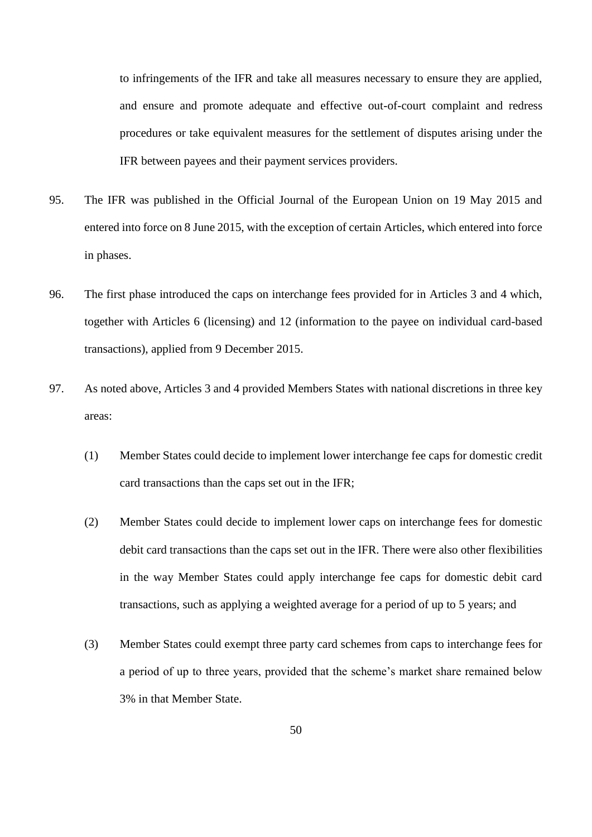to infringements of the IFR and take all measures necessary to ensure they are applied, and ensure and promote adequate and effective out-of-court complaint and redress procedures or take equivalent measures for the settlement of disputes arising under the IFR between payees and their payment services providers.

- 95. The IFR was published in the Official Journal of the European Union on 19 May 2015 and entered into force on 8 June 2015, with the exception of certain Articles, which entered into force in phases.
- 96. The first phase introduced the caps on interchange fees provided for in Articles 3 and 4 which, together with Articles 6 (licensing) and 12 (information to the payee on individual card-based transactions), applied from 9 December 2015.
- 97. As noted above, Articles 3 and 4 provided Members States with national discretions in three key areas:
	- (1) Member States could decide to implement lower interchange fee caps for domestic credit card transactions than the caps set out in the IFR;
	- (2) Member States could decide to implement lower caps on interchange fees for domestic debit card transactions than the caps set out in the IFR. There were also other flexibilities in the way Member States could apply interchange fee caps for domestic debit card transactions, such as applying a weighted average for a period of up to 5 years; and
	- (3) Member States could exempt three party card schemes from caps to interchange fees for a period of up to three years, provided that the scheme's market share remained below 3% in that Member State.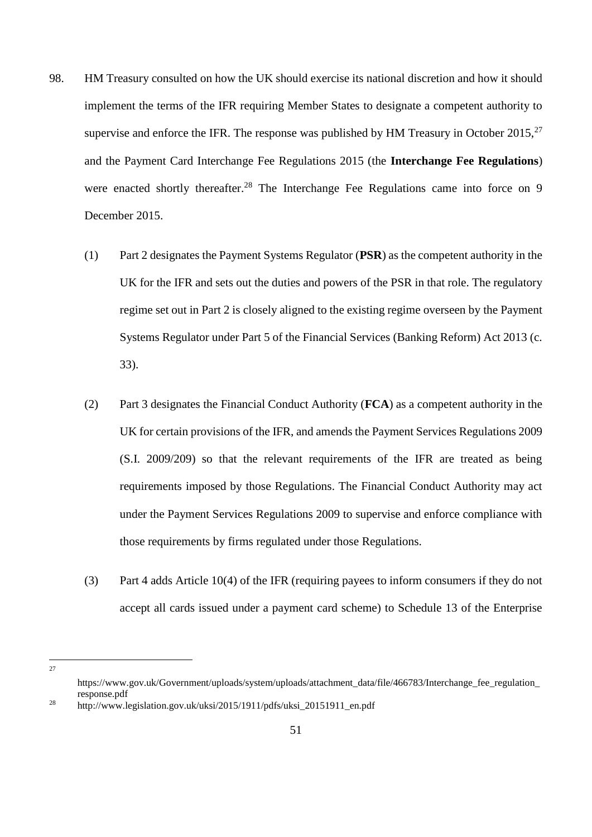- 98. HM Treasury consulted on how the UK should exercise its national discretion and how it should implement the terms of the IFR requiring Member States to designate a competent authority to supervise and enforce the IFR. The response was published by HM Treasury in October 2015,  $27$ and the Payment Card Interchange Fee Regulations 2015 (the **Interchange Fee Regulations**) were enacted shortly thereafter.<sup>28</sup> The Interchange Fee Regulations came into force on 9 December 2015.
	- (1) Part 2 designates the Payment Systems Regulator (**PSR**) as the competent authority in the UK for the IFR and sets out the duties and powers of the PSR in that role. The regulatory regime set out in Part 2 is closely aligned to the existing regime overseen by the Payment Systems Regulator under Part 5 of the Financial Services (Banking Reform) Act 2013 (c. 33).
	- (2) Part 3 designates the Financial Conduct Authority (**FCA**) as a competent authority in the UK for certain provisions of the IFR, and amends the Payment Services Regulations 2009 (S.I. 2009/209) so that the relevant requirements of the IFR are treated as being requirements imposed by those Regulations. The Financial Conduct Authority may act under the Payment Services Regulations 2009 to supervise and enforce compliance with those requirements by firms regulated under those Regulations.
	- (3) Part 4 adds Article 10(4) of the IFR (requiring payees to inform consumers if they do not accept all cards issued under a payment card scheme) to Schedule 13 of the Enterprise

 $\frac{1}{27}$ 

https://www.gov.uk/Government/uploads/system/uploads/attachment\_data/file/466783/Interchange\_fee\_regulation response.pdf

<sup>28</sup> http://www.legislation.gov.uk/uksi/2015/1911/pdfs/uksi\_20151911\_en.pdf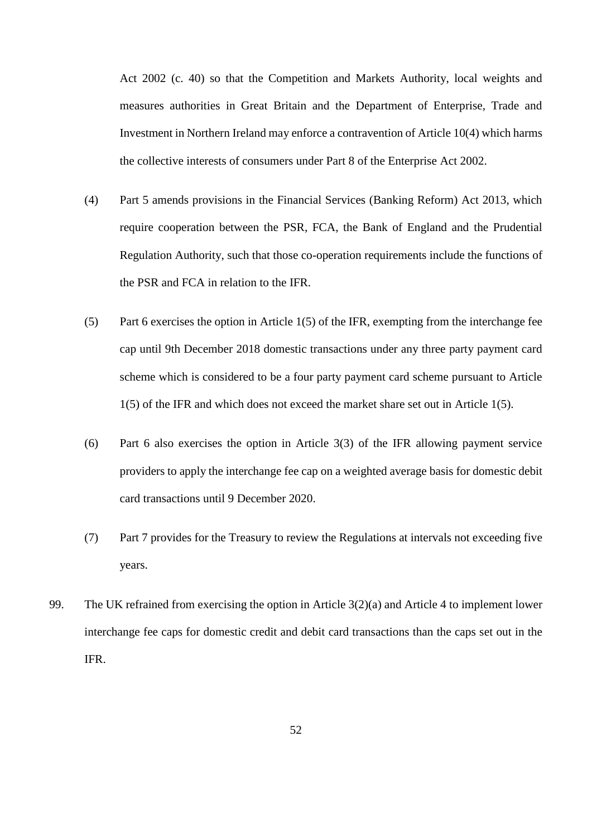Act 2002 (c. 40) so that the Competition and Markets Authority, local weights and measures authorities in Great Britain and the Department of Enterprise, Trade and Investment in Northern Ireland may enforce a contravention of Article 10(4) which harms the collective interests of consumers under Part 8 of the Enterprise Act 2002.

- (4) Part 5 amends provisions in the Financial Services (Banking Reform) Act 2013, which require cooperation between the PSR, FCA, the Bank of England and the Prudential Regulation Authority, such that those co-operation requirements include the functions of the PSR and FCA in relation to the IFR.
- (5) Part 6 exercises the option in Article 1(5) of the IFR, exempting from the interchange fee cap until 9th December 2018 domestic transactions under any three party payment card scheme which is considered to be a four party payment card scheme pursuant to Article 1(5) of the IFR and which does not exceed the market share set out in Article 1(5).
- (6) Part 6 also exercises the option in Article 3(3) of the IFR allowing payment service providers to apply the interchange fee cap on a weighted average basis for domestic debit card transactions until 9 December 2020.
- (7) Part 7 provides for the Treasury to review the Regulations at intervals not exceeding five years.
- 99. The UK refrained from exercising the option in Article 3(2)(a) and Article 4 to implement lower interchange fee caps for domestic credit and debit card transactions than the caps set out in the IFR.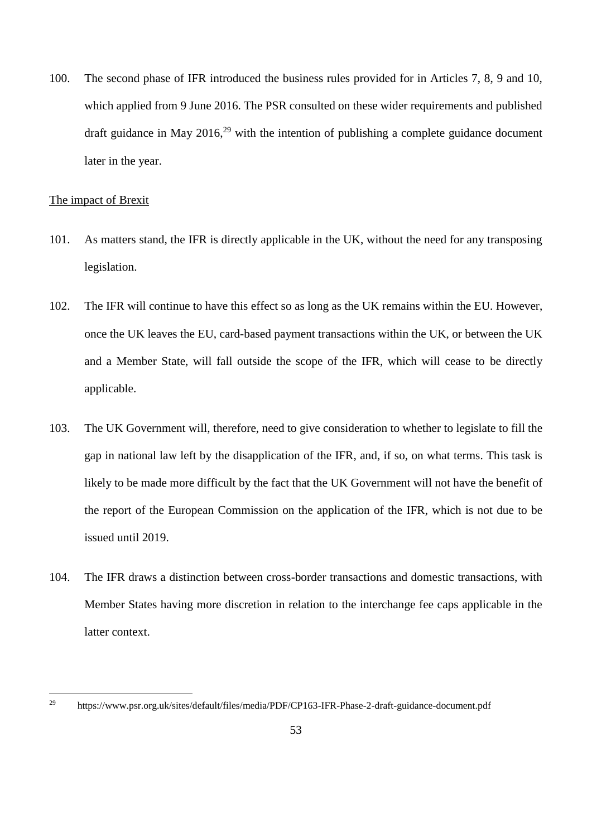100. The second phase of IFR introduced the business rules provided for in Articles 7, 8, 9 and 10, which applied from 9 June 2016. The PSR consulted on these wider requirements and published draft guidance in May  $2016<sup>29</sup>$  with the intention of publishing a complete guidance document later in the year.

### The impact of Brexit

- 101. As matters stand, the IFR is directly applicable in the UK, without the need for any transposing legislation.
- 102. The IFR will continue to have this effect so as long as the UK remains within the EU. However, once the UK leaves the EU, card-based payment transactions within the UK, or between the UK and a Member State, will fall outside the scope of the IFR, which will cease to be directly applicable.
- 103. The UK Government will, therefore, need to give consideration to whether to legislate to fill the gap in national law left by the disapplication of the IFR, and, if so, on what terms. This task is likely to be made more difficult by the fact that the UK Government will not have the benefit of the report of the European Commission on the application of the IFR, which is not due to be issued until 2019.
- 104. The IFR draws a distinction between cross-border transactions and domestic transactions, with Member States having more discretion in relation to the interchange fee caps applicable in the latter context.

<sup>29</sup> <sup>29</sup> https://www.psr.org.uk/sites/default/files/media/PDF/CP163-IFR-Phase-2-draft-guidance-document.pdf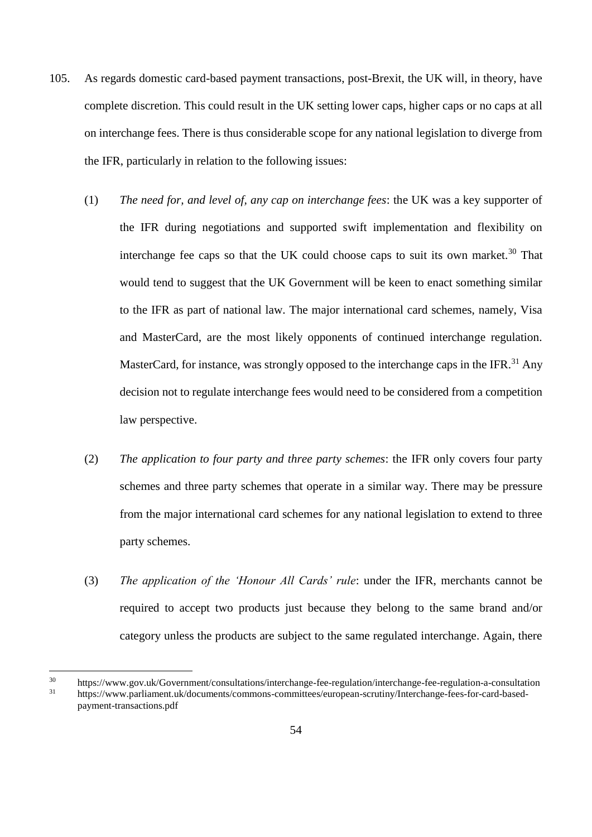- 105. As regards domestic card-based payment transactions, post-Brexit, the UK will, in theory, have complete discretion. This could result in the UK setting lower caps, higher caps or no caps at all on interchange fees. There is thus considerable scope for any national legislation to diverge from the IFR, particularly in relation to the following issues:
	- (1) *The need for, and level of, any cap on interchange fees*: the UK was a key supporter of the IFR during negotiations and supported swift implementation and flexibility on interchange fee caps so that the UK could choose caps to suit its own market.<sup>30</sup> That would tend to suggest that the UK Government will be keen to enact something similar to the IFR as part of national law. The major international card schemes, namely, Visa and MasterCard, are the most likely opponents of continued interchange regulation. MasterCard, for instance, was strongly opposed to the interchange caps in the IFR.<sup>31</sup> Any decision not to regulate interchange fees would need to be considered from a competition law perspective.
	- (2) *The application to four party and three party schemes*: the IFR only covers four party schemes and three party schemes that operate in a similar way. There may be pressure from the major international card schemes for any national legislation to extend to three party schemes.
	- (3) *The application of the 'Honour All Cards' rule*: under the IFR, merchants cannot be required to accept two products just because they belong to the same brand and/or category unless the products are subject to the same regulated interchange. Again, there

<sup>30</sup> https://www.gov.uk/Government/consultations/interchange-fee-regulation/interchange-fee-regulation-a-consultation<br>31 https://www.parliament.uk/documents/commons.committees/euroneen.com/Interchange-fee-regulation-a-consul <sup>31</sup> https://www.parliament.uk/documents/commons-committees/european-scrutiny/Interchange-fees-for-card-basedpayment-transactions.pdf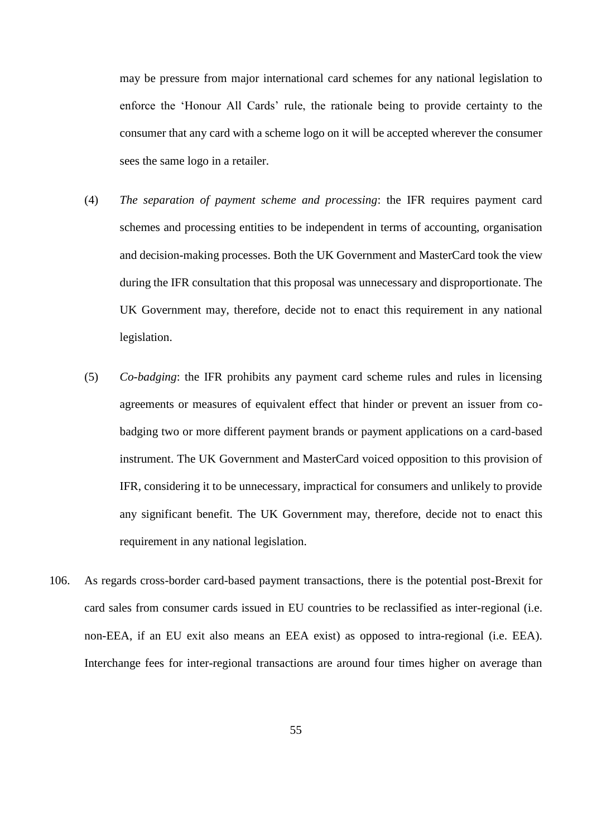may be pressure from major international card schemes for any national legislation to enforce the 'Honour All Cards' rule, the rationale being to provide certainty to the consumer that any card with a scheme logo on it will be accepted wherever the consumer sees the same logo in a retailer.

- (4) *The separation of payment scheme and processing*: the IFR requires payment card schemes and processing entities to be independent in terms of accounting, organisation and decision-making processes. Both the UK Government and MasterCard took the view during the IFR consultation that this proposal was unnecessary and disproportionate. The UK Government may, therefore, decide not to enact this requirement in any national legislation.
- (5) *Co-badging*: the IFR prohibits any payment card scheme rules and rules in licensing agreements or measures of equivalent effect that hinder or prevent an issuer from cobadging two or more different payment brands or payment applications on a card-based instrument. The UK Government and MasterCard voiced opposition to this provision of IFR, considering it to be unnecessary, impractical for consumers and unlikely to provide any significant benefit. The UK Government may, therefore, decide not to enact this requirement in any national legislation.
- 106. As regards cross-border card-based payment transactions, there is the potential post-Brexit for card sales from consumer cards issued in EU countries to be reclassified as inter-regional (i.e. non-EEA, if an EU exit also means an EEA exist) as opposed to intra-regional (i.e. EEA). Interchange fees for inter-regional transactions are around four times higher on average than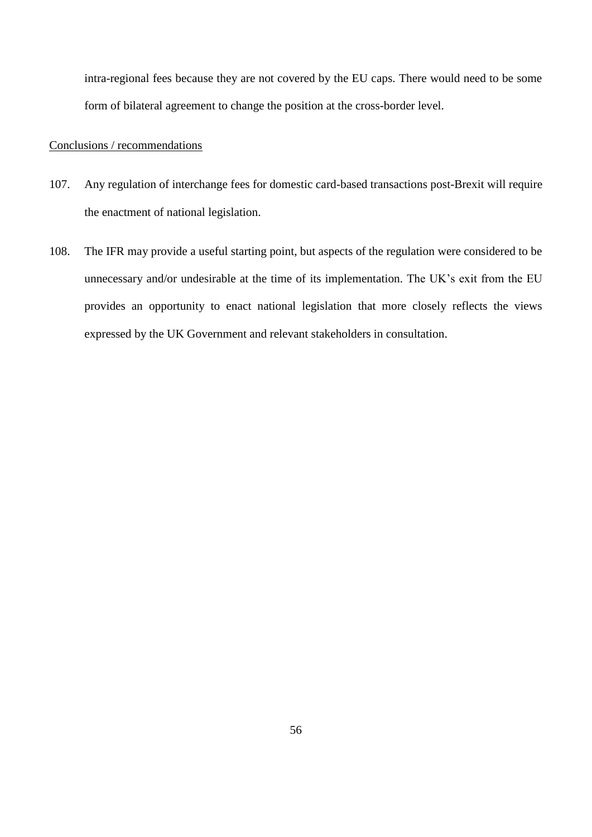intra-regional fees because they are not covered by the EU caps. There would need to be some form of bilateral agreement to change the position at the cross-border level.

## Conclusions / recommendations

- 107. Any regulation of interchange fees for domestic card-based transactions post-Brexit will require the enactment of national legislation.
- 108. The IFR may provide a useful starting point, but aspects of the regulation were considered to be unnecessary and/or undesirable at the time of its implementation. The UK's exit from the EU provides an opportunity to enact national legislation that more closely reflects the views expressed by the UK Government and relevant stakeholders in consultation.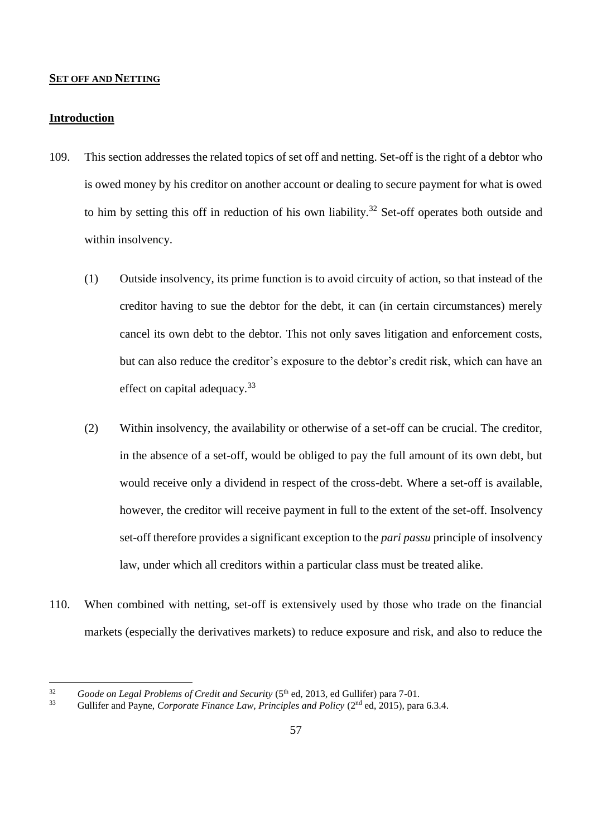#### **SET OFF AND NETTING**

### **Introduction**

- 109. This section addresses the related topics of set off and netting. Set-off is the right of a debtor who is owed money by his creditor on another account or dealing to secure payment for what is owed to him by setting this off in reduction of his own liability.<sup>32</sup> Set-off operates both outside and within insolvency.
	- (1) Outside insolvency, its prime function is to avoid circuity of action, so that instead of the creditor having to sue the debtor for the debt, it can (in certain circumstances) merely cancel its own debt to the debtor. This not only saves litigation and enforcement costs, but can also reduce the creditor's exposure to the debtor's credit risk, which can have an effect on capital adequacy.<sup>33</sup>
	- (2) Within insolvency, the availability or otherwise of a set-off can be crucial. The creditor, in the absence of a set-off, would be obliged to pay the full amount of its own debt, but would receive only a dividend in respect of the cross-debt. Where a set-off is available, however, the creditor will receive payment in full to the extent of the set-off. Insolvency set-off therefore provides a significant exception to the *pari passu* principle of insolvency law, under which all creditors within a particular class must be treated alike.
- 110. When combined with netting, set-off is extensively used by those who trade on the financial markets (especially the derivatives markets) to reduce exposure and risk, and also to reduce the

 $32$ <sup>32</sup> *Goode on Legal Problems of Credit and Security* (5<sup>th</sup> ed, 2013, ed Gullifer) para 7-01.<br><sup>33</sup> Gullifor and Payna, *Corporate Finance Law, Principles and Polion* (2<sup>nd</sup> ed. 2015), para

<sup>33</sup> Gullifer and Payne, *Corporate Finance Law, Principles and Policy* (2nd ed, 2015), para 6.3.4.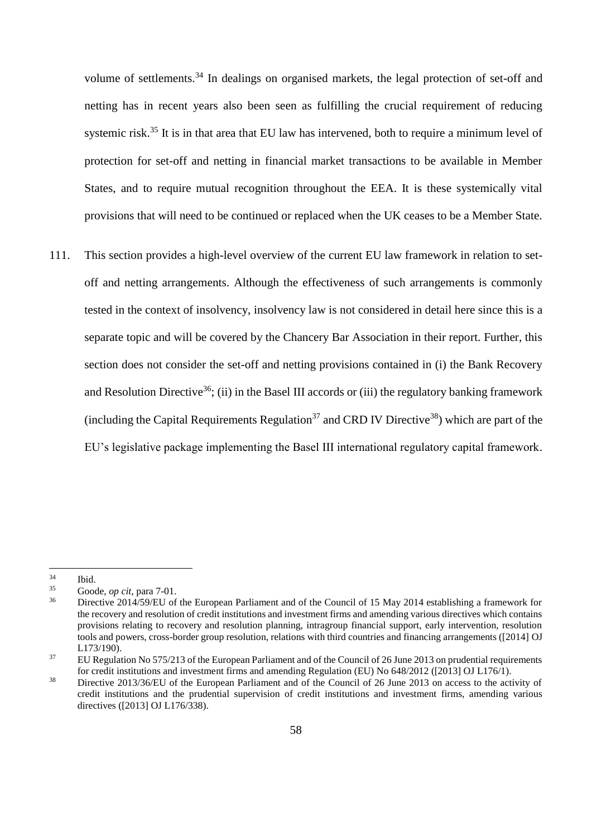volume of settlements.<sup>34</sup> In dealings on organised markets, the legal protection of set-off and netting has in recent years also been seen as fulfilling the crucial requirement of reducing systemic risk.<sup>35</sup> It is in that area that EU law has intervened, both to require a minimum level of protection for set-off and netting in financial market transactions to be available in Member States, and to require mutual recognition throughout the EEA. It is these systemically vital provisions that will need to be continued or replaced when the UK ceases to be a Member State.

111. This section provides a high-level overview of the current EU law framework in relation to setoff and netting arrangements. Although the effectiveness of such arrangements is commonly tested in the context of insolvency, insolvency law is not considered in detail here since this is a separate topic and will be covered by the Chancery Bar Association in their report. Further, this section does not consider the set-off and netting provisions contained in (i) the Bank Recovery and Resolution Directive<sup>36</sup>; (ii) in the Basel III accords or (iii) the regulatory banking framework (including the Capital Requirements Regulation<sup>37</sup> and CRD IV Directive<sup>38</sup>) which are part of the EU's legislative package implementing the Basel III international regulatory capital framework.

 $\frac{34}{35}$  Ibid.

 $35$  Goode, *op cit*, para 7-01.<br> $36$  Directive 2014/59/EU of

<sup>36</sup> Directive 2014/59/EU of the European Parliament and of the Council of 15 May 2014 establishing a framework for the recovery and resolution of credit institutions and investment firms and amending various directives which contains provisions relating to recovery and resolution planning, intragroup financial support, early intervention, resolution tools and powers, cross-border group resolution, relations with third countries and financing arrangements ([2014] OJ L173/190).

<sup>&</sup>lt;sup>37</sup> EU Regulation No 575/213 of the European Parliament and of the Council of 26 June 2013 on prudential requirements for credit institutions and investment firms and amending Regulation (EU) No 648/2012 ([2013] OJ L176/1).

<sup>&</sup>lt;sup>38</sup> Directive 2013/36/EU of the European Parliament and of the Council of 26 June 2013 on access to the activity of credit institutions and the prudential supervision of credit institutions and investment firms, amending various directives ([2013] OJ L176/338).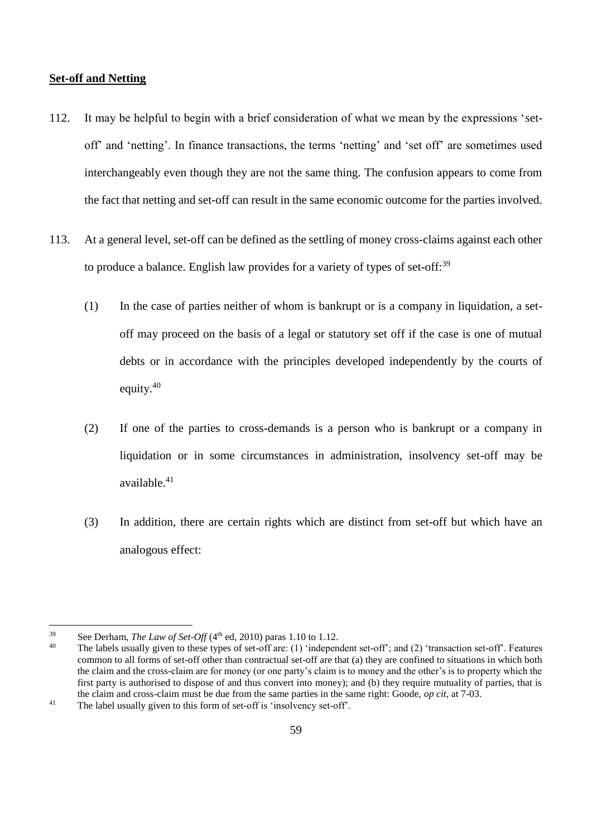### **Set-off and Netting**

- 112. It may be helpful to begin with a brief consideration of what we mean by the expressions 'setoff' and 'netting'. In finance transactions, the terms 'netting' and 'set off' are sometimes used interchangeably even though they are not the same thing. The confusion appears to come from the fact that netting and set-off can result in the same economic outcome for the parties involved.
- 113. At a general level, set-off can be defined as the settling of money cross-claims against each other to produce a balance. English law provides for a variety of types of set-off.<sup>39</sup>
	- (1) In the case of parties neither of whom is bankrupt or is a company in liquidation, a setoff may proceed on the basis of a legal or statutory set off if the case is one of mutual debts or in accordance with the principles developed independently by the courts of equity.<sup>40</sup>
	- (2) If one of the parties to cross-demands is a person who is bankrupt or a company in liquidation or in some circumstances in administration, insolvency set-off may be available. 41
	- (3) In addition, there are certain rights which are distinct from set-off but which have an analogous effect:

<sup>39</sup> <sup>39</sup> See Derham, *The Law of Set-Off*  $(4<sup>th</sup>$  ed, 2010) paras 1.10 to 1.12.<br><sup>40</sup> The labels usually given to these types of set off are: (1) independent

The labels usually given to these types of set-off are: (1) 'independent set-off'; and (2) 'transaction set-off'. Features common to all forms of set-off other than contractual set-off are that (a) they are confined to situations in which both the claim and the cross-claim are for money (or one party's claim is to money and the other's is to property which the first party is authorised to dispose of and thus convert into money); and (b) they require mutuality of parties, that is the claim and cross-claim must be due from the same parties in the same right: Goode, *op cit*, at 7-03. <sup>41</sup> The label usually given to this form of set-off is 'insolvency set-off'.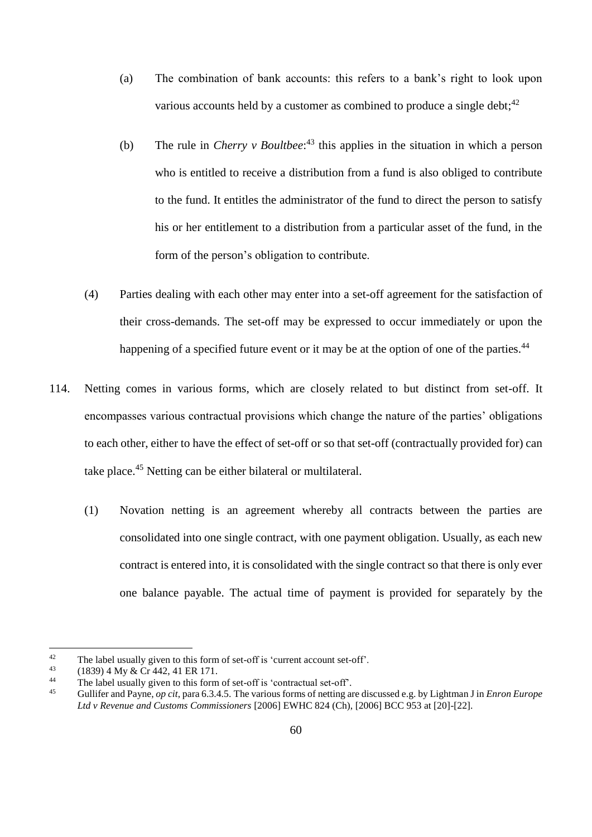- (a) The combination of bank accounts: this refers to a bank's right to look upon various accounts held by a customer as combined to produce a single debt;  $42$
- (b) The rule in *Cherry v Boultbee*: <sup>43</sup> this applies in the situation in which a person who is entitled to receive a distribution from a fund is also obliged to contribute to the fund. It entitles the administrator of the fund to direct the person to satisfy his or her entitlement to a distribution from a particular asset of the fund, in the form of the person's obligation to contribute.
- (4) Parties dealing with each other may enter into a set-off agreement for the satisfaction of their cross-demands. The set-off may be expressed to occur immediately or upon the happening of a specified future event or it may be at the option of one of the parties.<sup>44</sup>
- 114. Netting comes in various forms, which are closely related to but distinct from set-off. It encompasses various contractual provisions which change the nature of the parties' obligations to each other, either to have the effect of set-off or so that set-off (contractually provided for) can take place.<sup>45</sup> Netting can be either bilateral or multilateral.
	- (1) Novation netting is an agreement whereby all contracts between the parties are consolidated into one single contract, with one payment obligation. Usually, as each new contract is entered into, it is consolidated with the single contract so that there is only ever one balance payable. The actual time of payment is provided for separately by the

<sup>&</sup>lt;sup>42</sup> The label usually given to this form of set-off is 'current account set-off'.<br><sup>43</sup>  $(1830)$   $4 \text{ My}$   $8 \text{ C}$ r  $442$ ,  $41$  EP 171

<sup>&</sup>lt;sup>43</sup>  $(1839)$  4 My & Cr 442, 41 ER 171.<br><sup>44</sup> The label usually given to this form

<sup>&</sup>lt;sup>44</sup> The label usually given to this form of set-off is 'contractual set-off'.<br> $\frac{45}{100}$  Gullifor and Payma, on git para 6.3.4.5. The various forms of patting and

<sup>45</sup> Gullifer and Payne, *op cit*, para 6.3.4.5. The various forms of netting are discussed e.g. by Lightman J in *Enron Europe Ltd v Revenue and Customs Commissioners* [2006] EWHC 824 (Ch), [2006] BCC 953 at [20]-[22].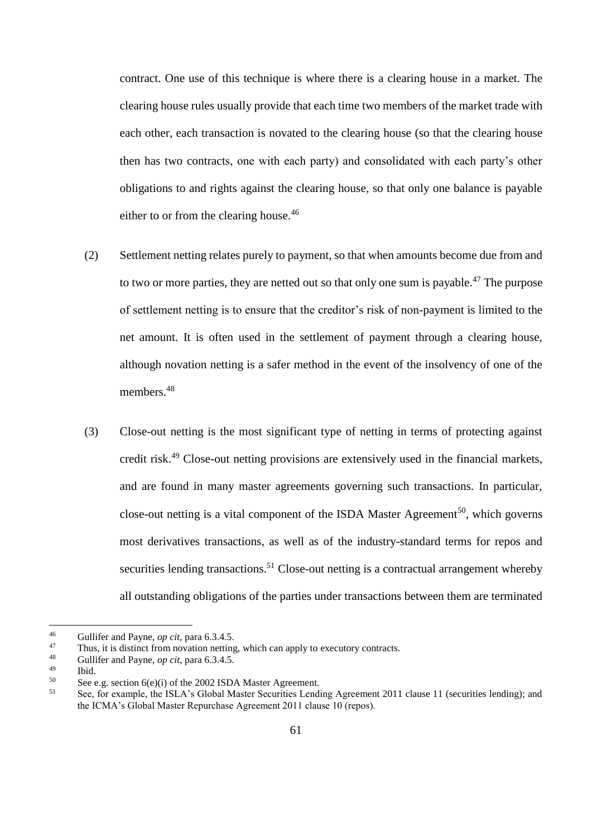contract. One use of this technique is where there is a clearing house in a market. The clearing house rules usually provide that each time two members of the market trade with each other, each transaction is novated to the clearing house (so that the clearing house then has two contracts, one with each party) and consolidated with each party's other obligations to and rights against the clearing house, so that only one balance is payable either to or from the clearing house.<sup>46</sup>

- (2) Settlement netting relates purely to payment, so that when amounts become due from and to two or more parties, they are netted out so that only one sum is payable.<sup>47</sup> The purpose of settlement netting is to ensure that the creditor's risk of non-payment is limited to the net amount. It is often used in the settlement of payment through a clearing house, although novation netting is a safer method in the event of the insolvency of one of the members.<sup>48</sup>
- (3) Close-out netting is the most significant type of netting in terms of protecting against credit risk.<sup>49</sup> Close-out netting provisions are extensively used in the financial markets, and are found in many master agreements governing such transactions. In particular, close-out netting is a vital component of the ISDA Master Agreement<sup>50</sup>, which governs most derivatives transactions, as well as of the industry-standard terms for repos and securities lending transactions.<sup>51</sup> Close-out netting is a contractual arrangement whereby all outstanding obligations of the parties under transactions between them are terminated

 $46$ <sup>46</sup> Gullifer and Payne, *op cit*, para 6.3.4.5.<br><sup>47</sup> Thus, it is distinct from poustion patting

<sup>&</sup>lt;sup>47</sup> Thus, it is distinct from novation netting, which can apply to executory contracts.<br><sup>48</sup> Cullifor and Payma, an ait, para 6.3.4.5

<sup>&</sup>lt;sup>48</sup> Gullifer and Payne, *op cit*, para 6.3.4.5.

 $\begin{array}{cc}\n^{49} & \text{Ibid.} \\
^{50} & \text{See}\n\end{array}$ 

<sup>&</sup>lt;sup>50</sup> See e.g. section  $6(e)(i)$  of the 2002 ISDA Master Agreement.<br><sup>51</sup> See for example, the ISLA's Global Master Securities Landi

<sup>51</sup> See, for example, the ISLA's Global Master Securities Lending Agreement 2011 clause 11 (securities lending); and the ICMA's Global Master Repurchase Agreement 2011 clause 10 (repos).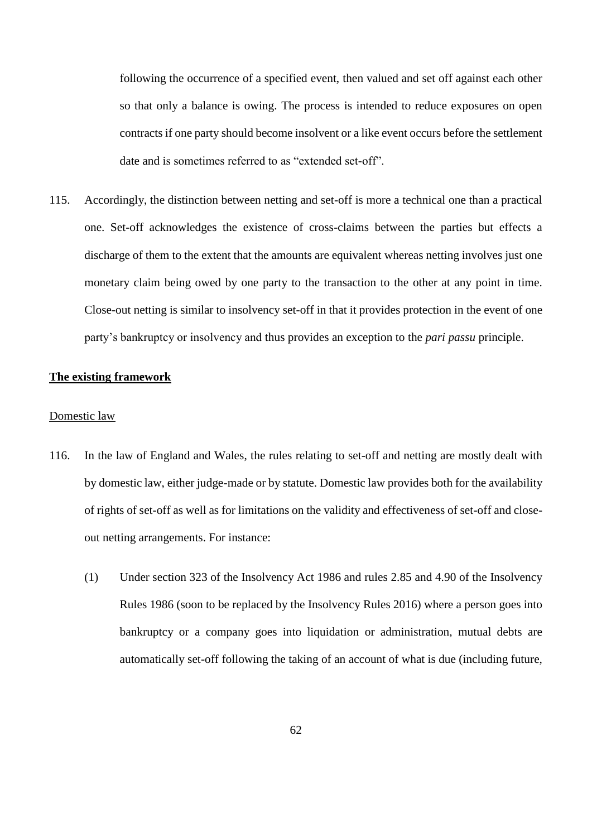following the occurrence of a specified event, then valued and set off against each other so that only a balance is owing. The process is intended to reduce exposures on open contracts if one party should become insolvent or a like event occurs before the settlement date and is sometimes referred to as "extended set-off".

115. Accordingly, the distinction between netting and set-off is more a technical one than a practical one. Set-off acknowledges the existence of cross-claims between the parties but effects a discharge of them to the extent that the amounts are equivalent whereas netting involves just one monetary claim being owed by one party to the transaction to the other at any point in time. Close-out netting is similar to insolvency set-off in that it provides protection in the event of one party's bankruptcy or insolvency and thus provides an exception to the *pari passu* principle.

### **The existing framework**

### Domestic law

- <span id="page-61-0"></span>116. In the law of England and Wales, the rules relating to set-off and netting are mostly dealt with by domestic law, either judge-made or by statute. Domestic law provides both for the availability of rights of set-off as well as for limitations on the validity and effectiveness of set-off and closeout netting arrangements. For instance:
	- (1) Under section 323 of the Insolvency Act 1986 and rules 2.85 and 4.90 of the Insolvency Rules 1986 (soon to be replaced by the Insolvency Rules 2016) where a person goes into bankruptcy or a company goes into liquidation or administration, mutual debts are automatically set-off following the taking of an account of what is due (including future,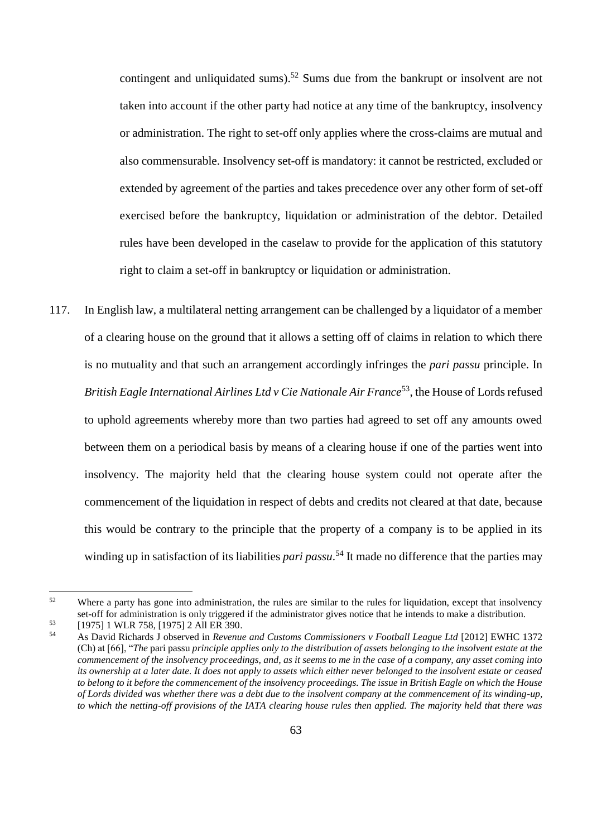contingent and unliquidated sums).<sup>52</sup> Sums due from the bankrupt or insolvent are not taken into account if the other party had notice at any time of the bankruptcy, insolvency or administration. The right to set-off only applies where the cross-claims are mutual and also commensurable. Insolvency set-off is mandatory: it cannot be restricted, excluded or extended by agreement of the parties and takes precedence over any other form of set-off exercised before the bankruptcy, liquidation or administration of the debtor. Detailed rules have been developed in the caselaw to provide for the application of this statutory right to claim a set-off in bankruptcy or liquidation or administration.

117. In English law, a multilateral netting arrangement can be challenged by a liquidator of a member of a clearing house on the ground that it allows a setting off of claims in relation to which there is no mutuality and that such an arrangement accordingly infringes the *pari passu* principle. In British Eagle International Airlines Ltd v Cie Nationale Air France<sup>53</sup>, the House of Lords refused to uphold agreements whereby more than two parties had agreed to set off any amounts owed between them on a periodical basis by means of a clearing house if one of the parties went into insolvency. The majority held that the clearing house system could not operate after the commencement of the liquidation in respect of debts and credits not cleared at that date, because this would be contrary to the principle that the property of a company is to be applied in its winding up in satisfaction of its liabilities *pari passu*. <sup>54</sup> It made no difference that the parties may

 $52$  Where a party has gone into administration, the rules are similar to the rules for liquidation, except that insolvency set-off for administration is only triggered if the administrator gives notice that he intends to make a distribution.

<sup>53</sup> [1975] 1 WLR 758, [1975] 2 All ER 390.

<sup>54</sup> As David Richards J observed in *Revenue and Customs Commissioners v Football League Ltd* [2012] EWHC 1372 (Ch) at [66], "*The* pari passu *principle applies only to the distribution of assets belonging to the insolvent estate at the commencement of the insolvency proceedings, and, as it seems to me in the case of a company, any asset coming into its ownership at a later date. It does not apply to assets which either never belonged to the insolvent estate or ceased to belong to it before the commencement of the insolvency proceedings. The issue in British Eagle on which the House of Lords divided was whether there was a debt due to the insolvent company at the commencement of its winding-up, to which the netting-off provisions of the IATA clearing house rules then applied. The majority held that there was*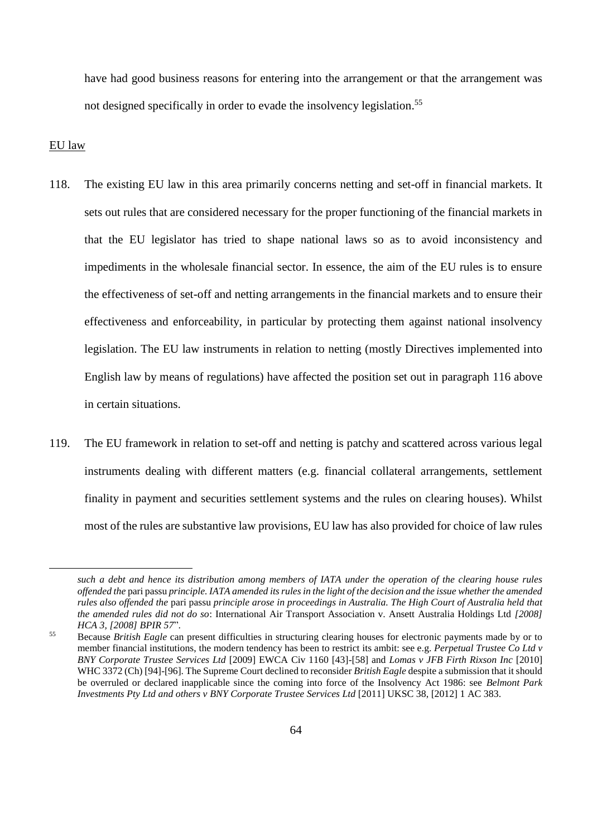have had good business reasons for entering into the arrangement or that the arrangement was not designed specifically in order to evade the insolvency legislation.<sup>55</sup>

#### EU law

- 118. The existing EU law in this area primarily concerns netting and set-off in financial markets. It sets out rules that are considered necessary for the proper functioning of the financial markets in that the EU legislator has tried to shape national laws so as to avoid inconsistency and impediments in the wholesale financial sector. In essence, the aim of the EU rules is to ensure the effectiveness of set-off and netting arrangements in the financial markets and to ensure their effectiveness and enforceability, in particular by protecting them against national insolvency legislation. The EU law instruments in relation to netting (mostly Directives implemented into English law by means of regulations) have affected the position set out in paragraph [116](#page-61-0) above in certain situations.
- 119. The EU framework in relation to set-off and netting is patchy and scattered across various legal instruments dealing with different matters (e.g. financial collateral arrangements, settlement finality in payment and securities settlement systems and the rules on clearing houses). Whilst most of the rules are substantive law provisions, EU law has also provided for choice of law rules

*such a debt and hence its distribution among members of IATA under the operation of the clearing house rules offended the* pari passu *principle. IATA amended its rules in the light of the decision and the issue whether the amended rules also offended the* pari passu *principle arose in proceedings in Australia. The High Court of Australia held that the amended rules did not do so*: International Air Transport Association v. Ansett Australia Holdings Ltd *[2008] HCA 3, [2008] BPIR 57*".

<sup>55</sup> Because *British Eagle* can present difficulties in structuring clearing houses for electronic payments made by or to member financial institutions, the modern tendency has been to restrict its ambit: see e.g. *Perpetual Trustee Co Ltd v BNY Corporate Trustee Services Ltd* [2009] EWCA Civ 1160 [43]-[58] and *Lomas v JFB Firth Rixson Inc* [2010] WHC 3372 (Ch) [94]-[96]. The Supreme Court declined to reconsider *British Eagle* despite a submission that it should be overruled or declared inapplicable since the coming into force of the Insolvency Act 1986: see *Belmont Park Investments Pty Ltd and others v BNY Corporate Trustee Services Ltd* [2011] UKSC 38, [2012] 1 AC 383.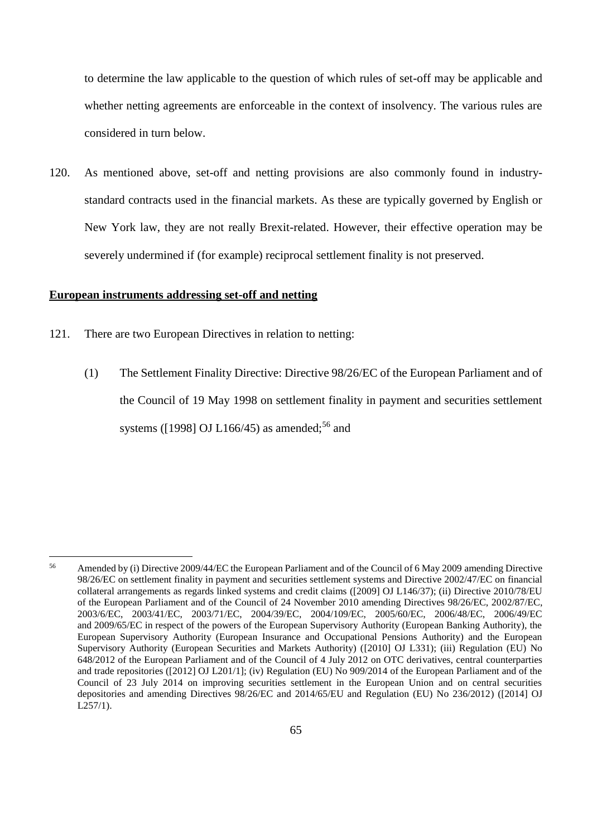to determine the law applicable to the question of which rules of set-off may be applicable and whether netting agreements are enforceable in the context of insolvency. The various rules are considered in turn below.

120. As mentioned above, set-off and netting provisions are also commonly found in industrystandard contracts used in the financial markets. As these are typically governed by English or New York law, they are not really Brexit-related. However, their effective operation may be severely undermined if (for example) reciprocal settlement finality is not preserved.

### **European instruments addressing set-off and netting**

- 121. There are two European Directives in relation to netting:
	- (1) The Settlement Finality Directive: Directive 98/26/EC of the European Parliament and of the Council of 19 May 1998 on settlement finality in payment and securities settlement systems ( $[1998]$  OJ L166/45) as amended;<sup>56</sup> and

<sup>&</sup>lt;sup>56</sup> Amended by (i) Directive 2009/44/EC the European Parliament and of the Council of 6 May 2009 amending Directive 98/26/EC on settlement finality in payment and securities settlement systems and Directive 2002/47/EC on financial collateral arrangements as regards linked systems and credit claims ([2009] OJ L146/37); (ii) Directive 2010/78/EU of the European Parliament and of the Council of 24 November 2010 amending Directives 98/26/EC, 2002/87/EC, 2003/6/EC, 2003/41/EC, 2003/71/EC, 2004/39/EC, 2004/109/EC, 2005/60/EC, 2006/48/EC, 2006/49/EC and 2009/65/EC in respect of the powers of the European Supervisory Authority (European Banking Authority), the European Supervisory Authority (European Insurance and Occupational Pensions Authority) and the European Supervisory Authority (European Securities and Markets Authority) ([2010] OJ L331); (iii) Regulation (EU) No 648/2012 of the European Parliament and of the Council of 4 July 2012 on OTC derivatives, central counterparties and trade repositories ([2012] OJ L201/1]; (iv) Regulation (EU) No 909/2014 of the European Parliament and of the Council of 23 July 2014 on improving securities settlement in the European Union and on central securities depositories and amending Directives 98/26/EC and 2014/65/EU and Regulation (EU) No 236/2012) ([2014] OJ L257/1).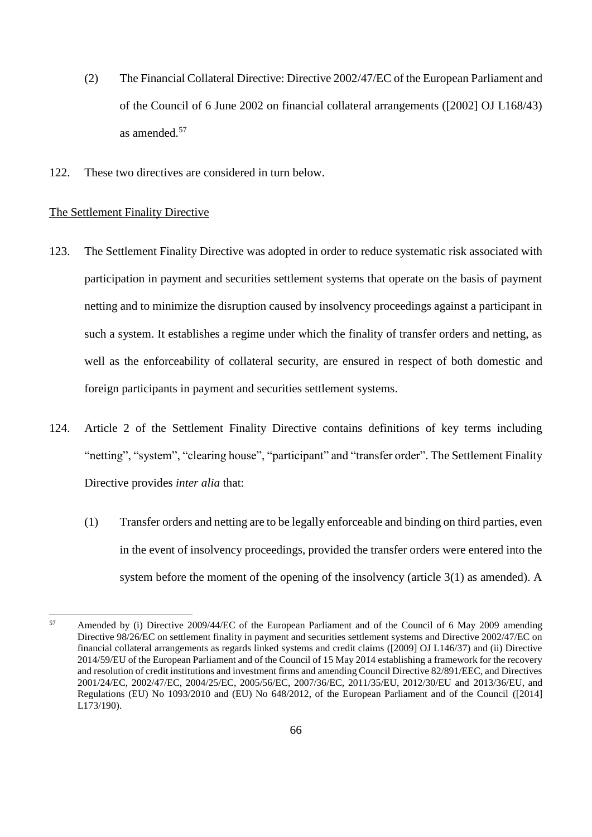- (2) The Financial Collateral Directive: Directive 2002/47/EC of the European Parliament and of the Council of 6 June 2002 on financial collateral arrangements ([2002] OJ L168/43) as amended.<sup>57</sup>
- 122. These two directives are considered in turn below.

### The Settlement Finality Directive

- 123. The Settlement Finality Directive was adopted in order to reduce systematic risk associated with participation in payment and securities settlement systems that operate on the basis of payment netting and to minimize the disruption caused by insolvency proceedings against a participant in such a system. It establishes a regime under which the finality of transfer orders and netting, as well as the enforceability of collateral security, are ensured in respect of both domestic and foreign participants in payment and securities settlement systems.
- 124. Article 2 of the Settlement Finality Directive contains definitions of key terms including "netting", "system", "clearing house", "participant" and "transfer order". The Settlement Finality Directive provides *inter alia* that:
	- (1) Transfer orders and netting are to be legally enforceable and binding on third parties, even in the event of insolvency proceedings, provided the transfer orders were entered into the system before the moment of the opening of the insolvency (article 3(1) as amended). A

<sup>&</sup>lt;sup>57</sup> Amended by (i) Directive 2009/44/EC of the European Parliament and of the Council of 6 May 2009 amending Directive 98/26/EC on settlement finality in payment and securities settlement systems and Directive 2002/47/EC on financial collateral arrangements as regards linked systems and credit claims ([2009] OJ L146/37) and (ii) Directive 2014/59/EU of the European Parliament and of the Council of 15 May 2014 establishing a framework for the recovery and resolution of credit institutions and investment firms and amending Council Directive 82/891/EEC, and Directives 2001/24/EC, 2002/47/EC, 2004/25/EC, 2005/56/EC, 2007/36/EC, 2011/35/EU, 2012/30/EU and 2013/36/EU, and Regulations (EU) No 1093/2010 and (EU) No 648/2012, of the European Parliament and of the Council ([2014] L173/190).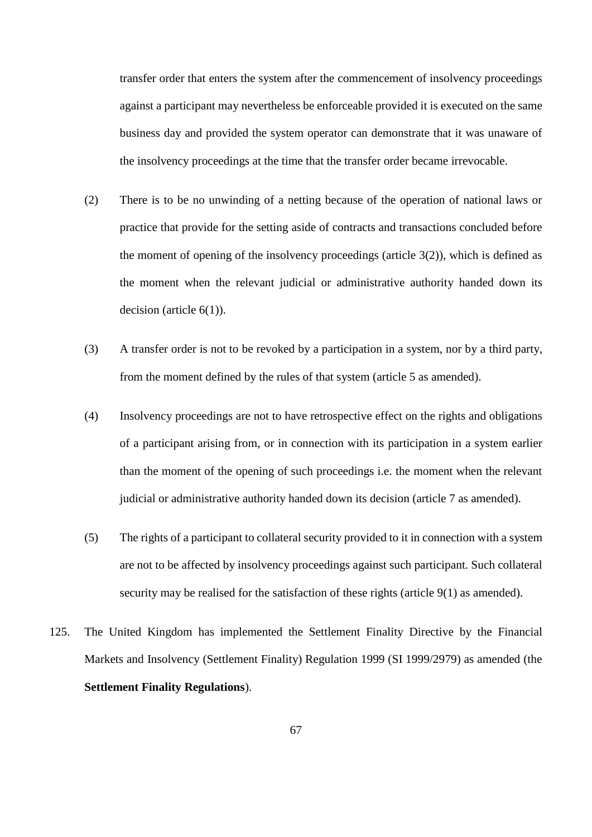transfer order that enters the system after the commencement of insolvency proceedings against a participant may nevertheless be enforceable provided it is executed on the same business day and provided the system operator can demonstrate that it was unaware of the insolvency proceedings at the time that the transfer order became irrevocable.

- (2) There is to be no unwinding of a netting because of the operation of national laws or practice that provide for the setting aside of contracts and transactions concluded before the moment of opening of the insolvency proceedings (article  $3(2)$ ), which is defined as the moment when the relevant judicial or administrative authority handed down its decision (article 6(1)).
- (3) A transfer order is not to be revoked by a participation in a system, nor by a third party, from the moment defined by the rules of that system (article 5 as amended).
- (4) Insolvency proceedings are not to have retrospective effect on the rights and obligations of a participant arising from, or in connection with its participation in a system earlier than the moment of the opening of such proceedings i.e. the moment when the relevant judicial or administrative authority handed down its decision (article 7 as amended).
- (5) The rights of a participant to collateral security provided to it in connection with a system are not to be affected by insolvency proceedings against such participant. Such collateral security may be realised for the satisfaction of these rights (article 9(1) as amended).
- 125. The United Kingdom has implemented the Settlement Finality Directive by the Financial Markets and Insolvency (Settlement Finality) Regulation 1999 (SI 1999/2979) as amended (the **Settlement Finality Regulations**).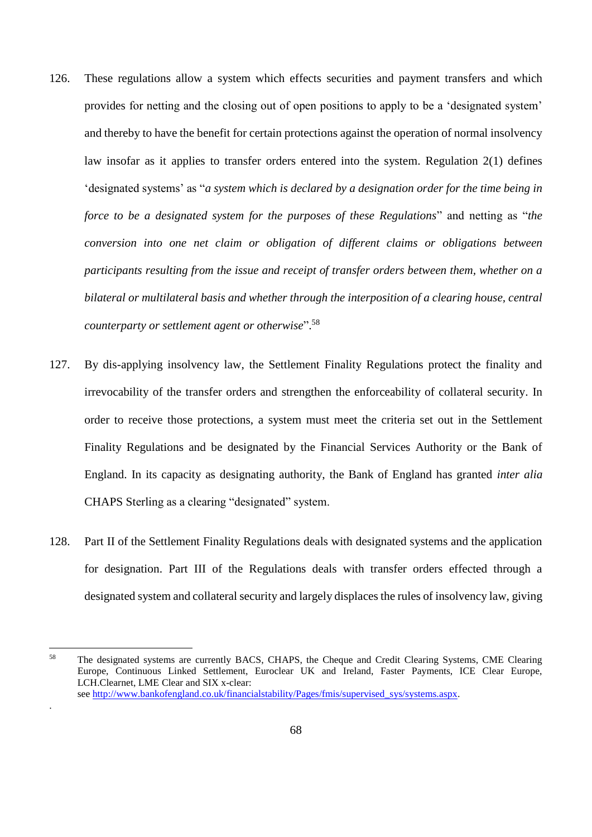- 126. These regulations allow a system which effects securities and payment transfers and which provides for netting and the closing out of open positions to apply to be a 'designated system' and thereby to have the benefit for certain protections against the operation of normal insolvency law insofar as it applies to transfer orders entered into the system. Regulation 2(1) defines 'designated systems' as "*a system which is declared by a designation order for the time being in force to be a designated system for the purposes of these Regulations*" and netting as "*the conversion into one net claim or obligation of different claims or obligations between participants resulting from the issue and receipt of transfer orders between them, whether on a bilateral or multilateral basis and whether through the interposition of a clearing house, central counterparty or settlement agent or otherwise*". 58
- 127. By dis-applying insolvency law, the Settlement Finality Regulations protect the finality and irrevocability of the transfer orders and strengthen the enforceability of collateral security. In order to receive those protections, a system must meet the criteria set out in the Settlement Finality Regulations and be designated by the Financial Services Authority or the Bank of England. In its capacity as designating authority, the Bank of England has granted *inter alia* CHAPS Sterling as a clearing "designated" system.
- 128. Part II of the Settlement Finality Regulations deals with designated systems and the application for designation. Part III of the Regulations deals with transfer orders effected through a designated system and collateral security and largely displaces the rules of insolvency law, giving

 $\overline{a}$ 

.

<sup>&</sup>lt;sup>58</sup> The designated systems are currently BACS, CHAPS, the Cheque and Credit Clearing Systems, CME Clearing Europe, Continuous Linked Settlement, Euroclear UK and Ireland, Faster Payments, ICE Clear Europe, LCH.Clearnet, LME Clear and SIX x-clear: see [http://www.bankofengland.co.uk/financialstability/Pages/fmis/supervised\\_sys/systems.aspx.](http://www.bankofengland.co.uk/financialstability/Pages/fmis/supervised_sys/systems.aspx)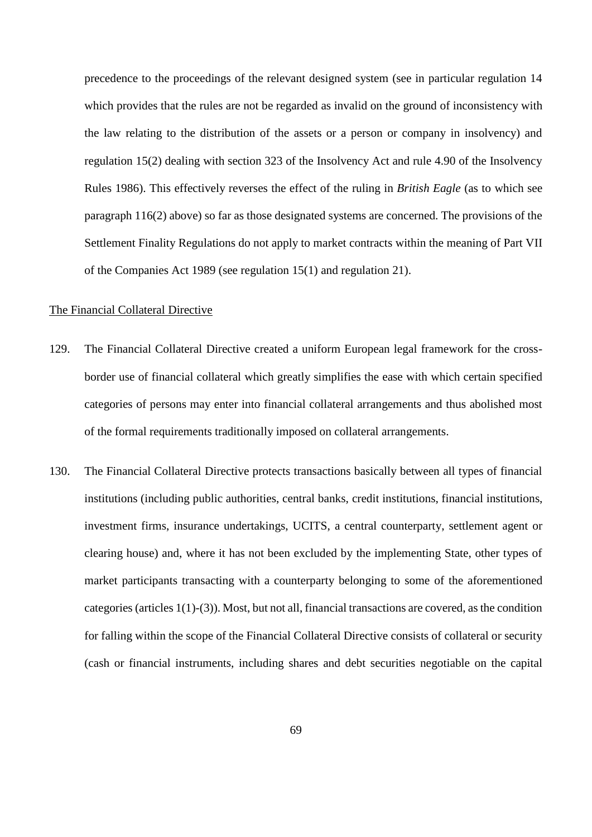precedence to the proceedings of the relevant designed system (see in particular regulation 14 which provides that the rules are not be regarded as invalid on the ground of inconsistency with the law relating to the distribution of the assets or a person or company in insolvency) and regulation 15(2) dealing with section 323 of the Insolvency Act and rule 4.90 of the Insolvency Rules 1986). This effectively reverses the effect of the ruling in *British Eagle* (as to which see paragraph [116\(](#page-61-0)2) above) so far as those designated systems are concerned. The provisions of the Settlement Finality Regulations do not apply to market contracts within the meaning of Part VII of the Companies Act 1989 (see regulation 15(1) and regulation 21).

#### The Financial Collateral Directive

- 129. The Financial Collateral Directive created a uniform European legal framework for the crossborder use of financial collateral which greatly simplifies the ease with which certain specified categories of persons may enter into financial collateral arrangements and thus abolished most of the formal requirements traditionally imposed on collateral arrangements.
- 130. The Financial Collateral Directive protects transactions basically between all types of financial institutions (including public authorities, central banks, credit institutions, financial institutions, investment firms, insurance undertakings, UCITS, a central counterparty, settlement agent or clearing house) and, where it has not been excluded by the implementing State, other types of market participants transacting with a counterparty belonging to some of the aforementioned categories (articles 1(1)-(3)). Most, but not all, financial transactions are covered, as the condition for falling within the scope of the Financial Collateral Directive consists of collateral or security (cash or financial instruments, including shares and debt securities negotiable on the capital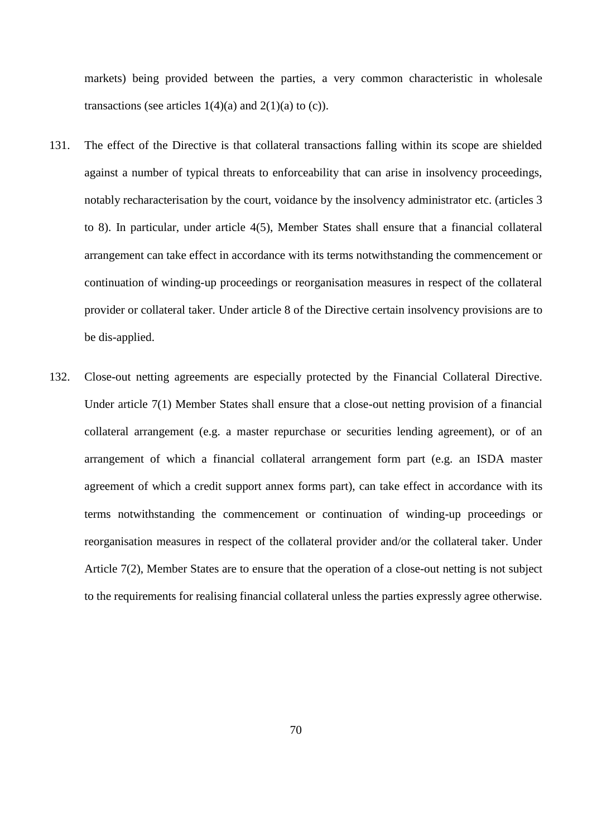markets) being provided between the parties, a very common characteristic in wholesale transactions (see articles  $1(4)(a)$  and  $2(1)(a)$  to (c)).

- 131. The effect of the Directive is that collateral transactions falling within its scope are shielded against a number of typical threats to enforceability that can arise in insolvency proceedings, notably recharacterisation by the court, voidance by the insolvency administrator etc. (articles 3 to 8). In particular, under article 4(5), Member States shall ensure that a financial collateral arrangement can take effect in accordance with its terms notwithstanding the commencement or continuation of winding-up proceedings or reorganisation measures in respect of the collateral provider or collateral taker. Under article 8 of the Directive certain insolvency provisions are to be dis-applied.
- 132. Close-out netting agreements are especially protected by the Financial Collateral Directive. Under article 7(1) Member States shall ensure that a close-out netting provision of a financial collateral arrangement (e.g. a master repurchase or securities lending agreement), or of an arrangement of which a financial collateral arrangement form part (e.g. an ISDA master agreement of which a credit support annex forms part), can take effect in accordance with its terms notwithstanding the commencement or continuation of winding-up proceedings or reorganisation measures in respect of the collateral provider and/or the collateral taker. Under Article 7(2), Member States are to ensure that the operation of a close-out netting is not subject to the requirements for realising financial collateral unless the parties expressly agree otherwise.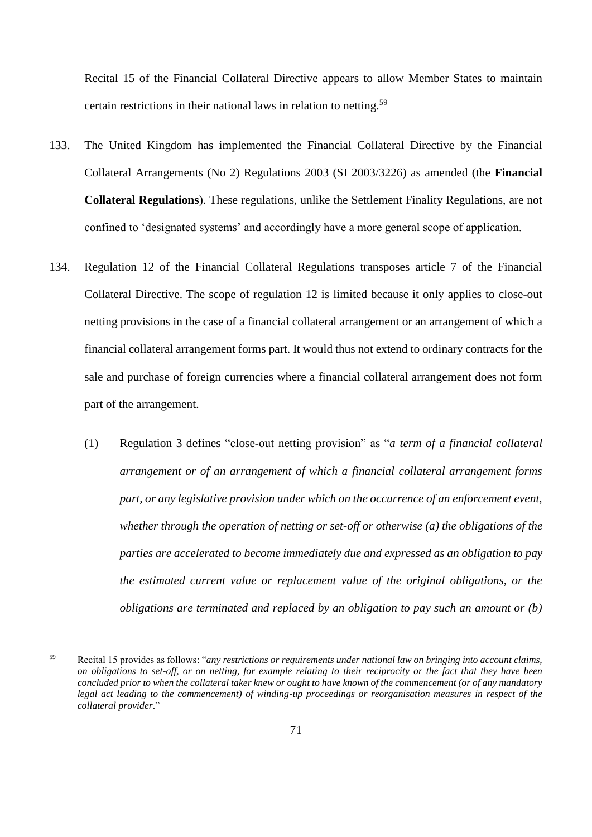Recital 15 of the Financial Collateral Directive appears to allow Member States to maintain certain restrictions in their national laws in relation to netting.<sup>59</sup>

- 133. The United Kingdom has implemented the Financial Collateral Directive by the Financial Collateral Arrangements (No 2) Regulations 2003 (SI 2003/3226) as amended (the **Financial Collateral Regulations**). These regulations, unlike the Settlement Finality Regulations, are not confined to 'designated systems' and accordingly have a more general scope of application.
- 134. Regulation 12 of the Financial Collateral Regulations transposes article 7 of the Financial Collateral Directive. The scope of regulation 12 is limited because it only applies to close-out netting provisions in the case of a financial collateral arrangement or an arrangement of which a financial collateral arrangement forms part. It would thus not extend to ordinary contracts for the sale and purchase of foreign currencies where a financial collateral arrangement does not form part of the arrangement.
	- (1) Regulation 3 defines "close-out netting provision" as "*a term of a financial collateral arrangement or of an arrangement of which a financial collateral arrangement forms part, or any legislative provision under which on the occurrence of an enforcement event, whether through the operation of netting or set-off or otherwise (a) the obligations of the parties are accelerated to become immediately due and expressed as an obligation to pay the estimated current value or replacement value of the original obligations, or the obligations are terminated and replaced by an obligation to pay such an amount or (b)*

<sup>59</sup> Recital 15 provides as follows: "*any restrictions or requirements under national law on bringing into account claims, on obligations to set-off, or on netting, for example relating to their reciprocity or the fact that they have been concluded prior to when the collateral taker knew or ought to have known of the commencement (or of any mandatory legal act leading to the commencement) of winding-up proceedings or reorganisation measures in respect of the collateral provider*."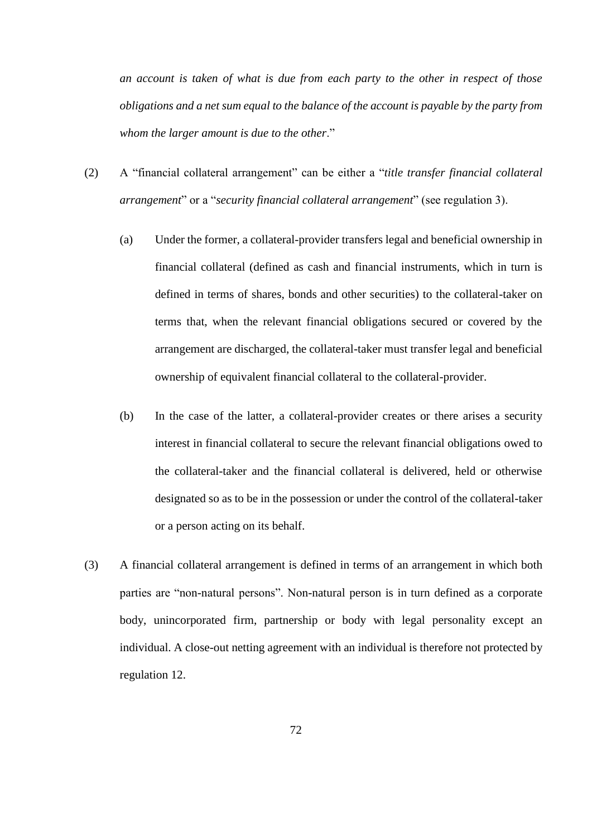*an account is taken of what is due from each party to the other in respect of those obligations and a net sum equal to the balance of the account is payable by the party from whom the larger amount is due to the other*."

- (2) A "financial collateral arrangement" can be either a "*title transfer financial collateral arrangement*" or a "*security financial collateral arrangement*" (see regulation 3).
	- (a) Under the former, a collateral-provider transfers legal and beneficial ownership in financial collateral (defined as cash and financial instruments, which in turn is defined in terms of shares, bonds and other securities) to the collateral-taker on terms that, when the relevant financial obligations secured or covered by the arrangement are discharged, the collateral-taker must transfer legal and beneficial ownership of equivalent financial collateral to the collateral-provider.
	- (b) In the case of the latter, a collateral-provider creates or there arises a security interest in financial collateral to secure the relevant financial obligations owed to the collateral-taker and the financial collateral is delivered, held or otherwise designated so as to be in the possession or under the control of the collateral-taker or a person acting on its behalf.
- (3) A financial collateral arrangement is defined in terms of an arrangement in which both parties are "non-natural persons". Non-natural person is in turn defined as a corporate body, unincorporated firm, partnership or body with legal personality except an individual. A close-out netting agreement with an individual is therefore not protected by regulation 12.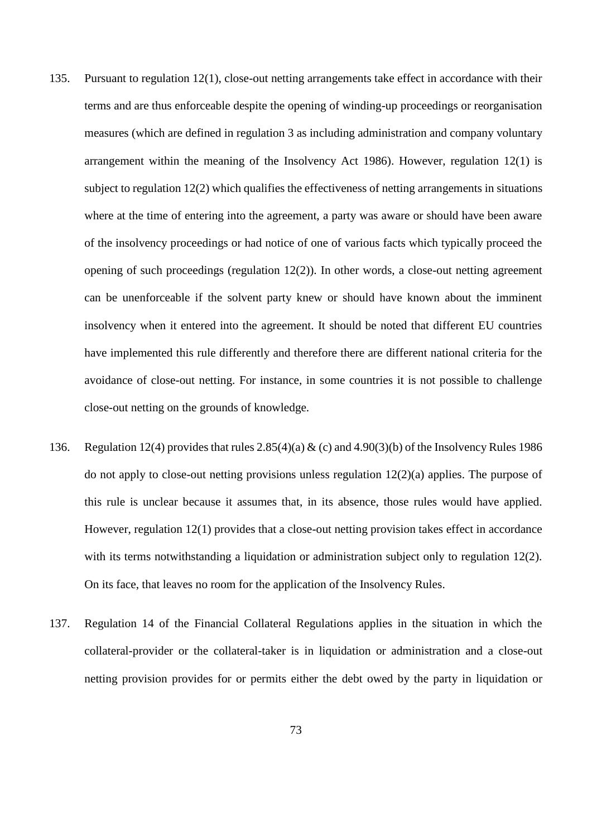- 135. Pursuant to regulation 12(1), close-out netting arrangements take effect in accordance with their terms and are thus enforceable despite the opening of winding-up proceedings or reorganisation measures (which are defined in regulation 3 as including administration and company voluntary arrangement within the meaning of the Insolvency Act 1986). However, regulation 12(1) is subject to regulation 12(2) which qualifies the effectiveness of netting arrangements in situations where at the time of entering into the agreement, a party was aware or should have been aware of the insolvency proceedings or had notice of one of various facts which typically proceed the opening of such proceedings (regulation 12(2)). In other words, a close-out netting agreement can be unenforceable if the solvent party knew or should have known about the imminent insolvency when it entered into the agreement. It should be noted that different EU countries have implemented this rule differently and therefore there are different national criteria for the avoidance of close-out netting. For instance, in some countries it is not possible to challenge close-out netting on the grounds of knowledge.
- 136. Regulation 12(4) provides that rules 2.85(4)(a) & (c) and 4.90(3)(b) of the Insolvency Rules 1986 do not apply to close-out netting provisions unless regulation 12(2)(a) applies. The purpose of this rule is unclear because it assumes that, in its absence, those rules would have applied. However, regulation 12(1) provides that a close-out netting provision takes effect in accordance with its terms notwithstanding a liquidation or administration subject only to regulation 12(2). On its face, that leaves no room for the application of the Insolvency Rules.
- 137. Regulation 14 of the Financial Collateral Regulations applies in the situation in which the collateral-provider or the collateral-taker is in liquidation or administration and a close-out netting provision provides for or permits either the debt owed by the party in liquidation or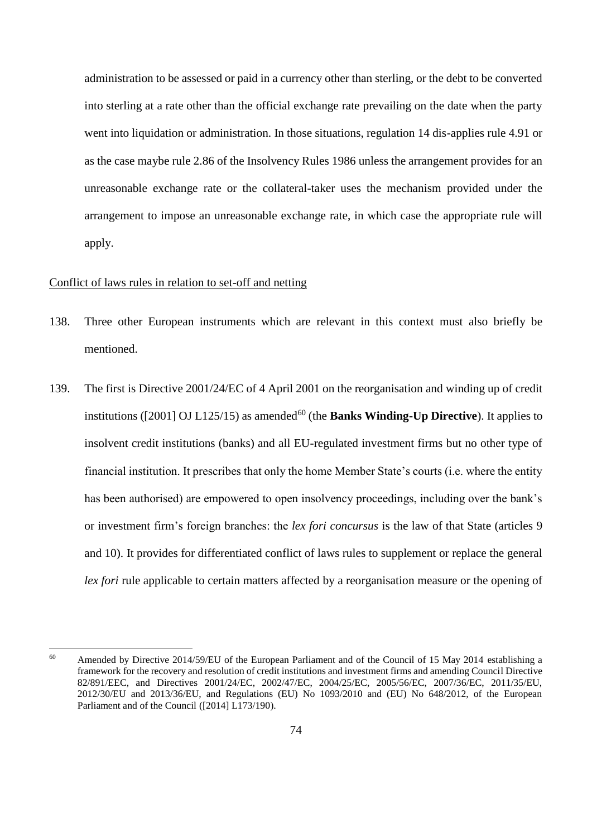administration to be assessed or paid in a currency other than sterling, or the debt to be converted into sterling at a rate other than the official exchange rate prevailing on the date when the party went into liquidation or administration. In those situations, regulation 14 dis-applies rule 4.91 or as the case maybe rule 2.86 of the Insolvency Rules 1986 unless the arrangement provides for an unreasonable exchange rate or the collateral-taker uses the mechanism provided under the arrangement to impose an unreasonable exchange rate, in which case the appropriate rule will apply.

## Conflict of laws rules in relation to set-off and netting

 $\overline{a}$ 

- 138. Three other European instruments which are relevant in this context must also briefly be mentioned.
- 139. The first is Directive 2001/24/EC of 4 April 2001 on the reorganisation and winding up of credit institutions ([2001] OJ L125/15) as amended<sup>60</sup> (the **Banks Winding-Up Directive**). It applies to insolvent credit institutions (banks) and all EU-regulated investment firms but no other type of financial institution. It prescribes that only the home Member State's courts (i.e. where the entity has been authorised) are empowered to open insolvency proceedings, including over the bank's or investment firm's foreign branches: the *lex fori concursus* is the law of that State (articles 9 and 10). It provides for differentiated conflict of laws rules to supplement or replace the general *lex fori* rule applicable to certain matters affected by a reorganisation measure or the opening of

<sup>&</sup>lt;sup>60</sup> Amended by Directive 2014/59/EU of the European Parliament and of the Council of 15 May 2014 establishing a framework for the recovery and resolution of credit institutions and investment firms and amending Council Directive 82/891/EEC, and Directives 2001/24/EC, 2002/47/EC, 2004/25/EC, 2005/56/EC, 2007/36/EC, 2011/35/EU, 2012/30/EU and 2013/36/EU, and Regulations (EU) No 1093/2010 and (EU) No 648/2012, of the European Parliament and of the Council ([2014] L173/190).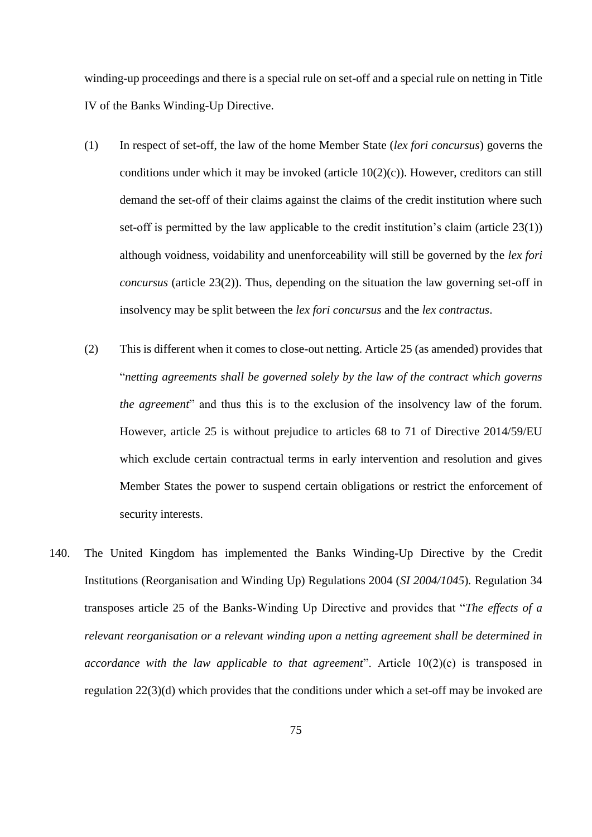winding-up proceedings and there is a special rule on set-off and a special rule on netting in Title IV of the Banks Winding-Up Directive.

- (1) In respect of set-off, the law of the home Member State (*lex fori concursus*) governs the conditions under which it may be invoked (article 10(2)(c)). However, creditors can still demand the set-off of their claims against the claims of the credit institution where such set-off is permitted by the law applicable to the credit institution's claim (article 23(1)) although voidness, voidability and unenforceability will still be governed by the *lex fori concursus* (article 23(2)). Thus, depending on the situation the law governing set-off in insolvency may be split between the *lex fori concursus* and the *lex contractus*.
- (2) This is different when it comes to close-out netting. Article 25 (as amended) provides that "*netting agreements shall be governed solely by the law of the contract which governs the agreement*" and thus this is to the exclusion of the insolvency law of the forum. However, article 25 is without prejudice to articles 68 to 71 of Directive 2014/59/EU which exclude certain contractual terms in early intervention and resolution and gives Member States the power to suspend certain obligations or restrict the enforcement of security interests.
- 140. The United Kingdom has implemented the Banks Winding-Up Directive by the Credit Institutions (Reorganisation and Winding Up) Regulations 2004 (*SI 2004/1045*)*.* Regulation 34 transposes article 25 of the Banks-Winding Up Directive and provides that "*The effects of a relevant reorganisation or a relevant winding upon a netting agreement shall be determined in accordance with the law applicable to that agreement*". Article 10(2)(c) is transposed in regulation 22(3)(d) which provides that the conditions under which a set-off may be invoked are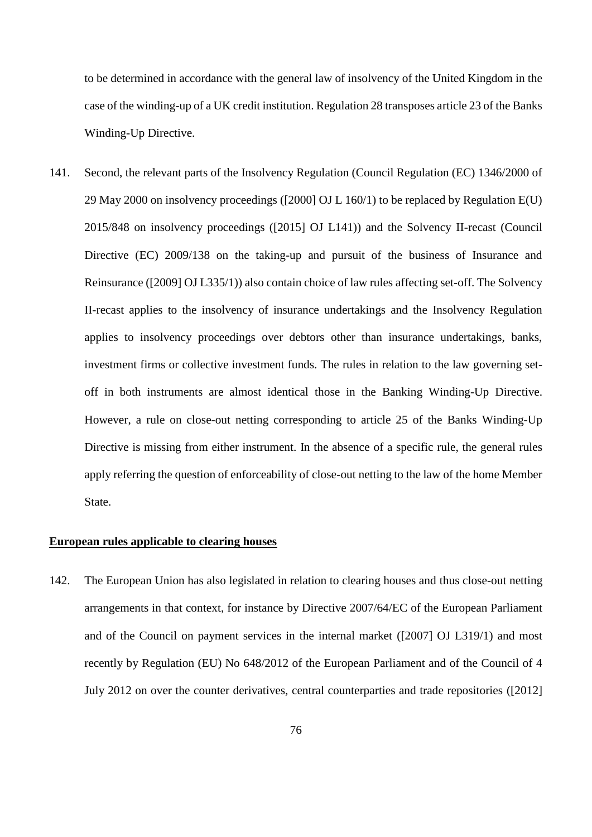to be determined in accordance with the general law of insolvency of the United Kingdom in the case of the winding-up of a UK credit institution. Regulation 28 transposes article 23 of the Banks Winding-Up Directive.

141. Second, the relevant parts of the Insolvency Regulation (Council Regulation (EC) 1346/2000 of 29 May 2000 on insolvency proceedings ([2000] OJ L 160/1) to be replaced by Regulation E(U) 2015/848 on insolvency proceedings ([2015] OJ L141)) and the Solvency II-recast (Council Directive (EC) 2009/138 on the taking-up and pursuit of the business of Insurance and Reinsurance ([2009] OJ L335/1)) also contain choice of law rules affecting set-off. The Solvency II-recast applies to the insolvency of insurance undertakings and the Insolvency Regulation applies to insolvency proceedings over debtors other than insurance undertakings, banks, investment firms or collective investment funds. The rules in relation to the law governing setoff in both instruments are almost identical those in the Banking Winding-Up Directive. However, a rule on close-out netting corresponding to article 25 of the Banks Winding-Up Directive is missing from either instrument. In the absence of a specific rule, the general rules apply referring the question of enforceability of close-out netting to the law of the home Member State.

### **European rules applicable to clearing houses**

142. The European Union has also legislated in relation to clearing houses and thus close-out netting arrangements in that context, for instance by Directive 2007/64/EC of the European Parliament and of the Council on payment services in the internal market ([2007] OJ L319/1) and most recently by Regulation (EU) No 648/2012 of the European Parliament and of the Council of 4 July 2012 on over the counter derivatives, central counterparties and trade repositories ([2012]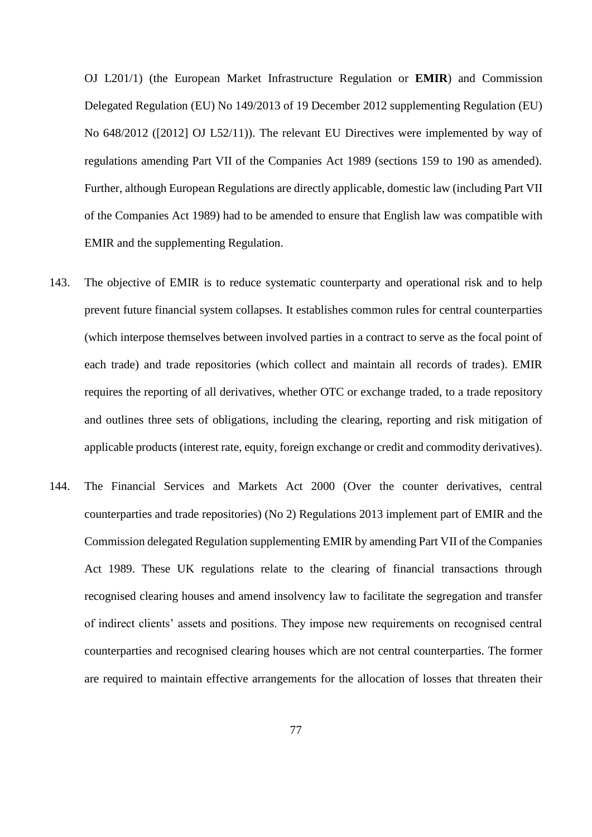OJ L201/1) (the European Market Infrastructure Regulation or **EMIR**) and Commission Delegated Regulation (EU) No 149/2013 of 19 December 2012 supplementing Regulation (EU) No 648/2012 ([2012] OJ L52/11)). The relevant EU Directives were implemented by way of regulations amending Part VII of the Companies Act 1989 (sections 159 to 190 as amended). Further, although European Regulations are directly applicable, domestic law (including Part VII of the Companies Act 1989) had to be amended to ensure that English law was compatible with EMIR and the supplementing Regulation.

- 143. The objective of EMIR is to reduce systematic counterparty and operational risk and to help prevent future financial system collapses. It establishes common rules for central counterparties (which interpose themselves between involved parties in a contract to serve as the focal point of each trade) and trade repositories (which collect and maintain all records of trades). EMIR requires the reporting of all derivatives, whether OTC or exchange traded, to a trade repository and outlines three sets of obligations, including the clearing, reporting and risk mitigation of applicable products (interest rate, equity, foreign exchange or credit and commodity derivatives).
- 144. The Financial Services and Markets Act 2000 (Over the counter derivatives, central counterparties and trade repositories) (No 2) Regulations 2013 implement part of EMIR and the Commission delegated Regulation supplementing EMIR by amending Part VII of the Companies Act 1989. These UK regulations relate to the clearing of financial transactions through recognised clearing houses and amend insolvency law to facilitate the segregation and transfer of indirect clients' assets and positions. They impose new requirements on recognised central counterparties and recognised clearing houses which are not central counterparties. The former are required to maintain effective arrangements for the allocation of losses that threaten their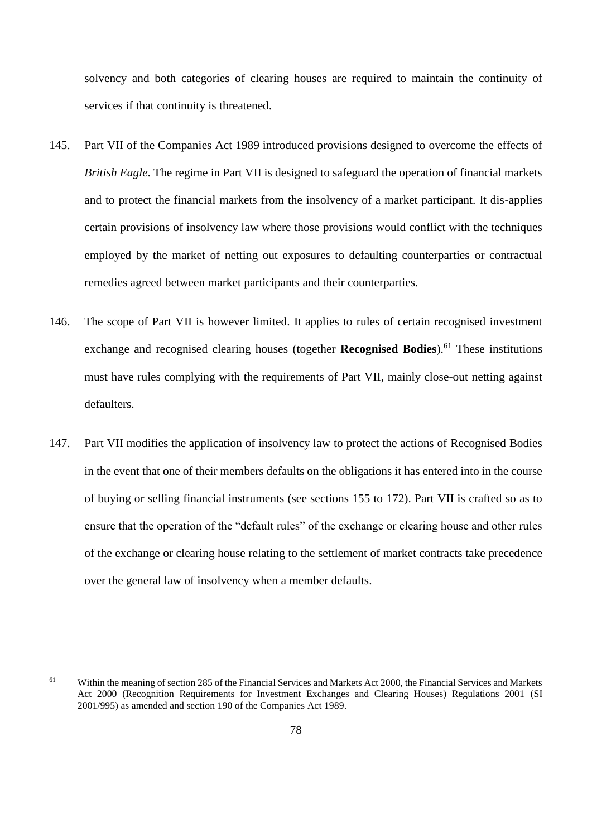solvency and both categories of clearing houses are required to maintain the continuity of services if that continuity is threatened.

- 145. Part VII of the Companies Act 1989 introduced provisions designed to overcome the effects of *British Eagle*. The regime in Part VII is designed to safeguard the operation of financial markets and to protect the financial markets from the insolvency of a market participant. It dis-applies certain provisions of insolvency law where those provisions would conflict with the techniques employed by the market of netting out exposures to defaulting counterparties or contractual remedies agreed between market participants and their counterparties.
- 146. The scope of Part VII is however limited. It applies to rules of certain recognised investment exchange and recognised clearing houses (together **Recognised Bodies**). <sup>61</sup> These institutions must have rules complying with the requirements of Part VII, mainly close-out netting against defaulters.
- 147. Part VII modifies the application of insolvency law to protect the actions of Recognised Bodies in the event that one of their members defaults on the obligations it has entered into in the course of buying or selling financial instruments (see sections 155 to 172). Part VII is crafted so as to ensure that the operation of the "default rules" of the exchange or clearing house and other rules of the exchange or clearing house relating to the settlement of market contracts take precedence over the general law of insolvency when a member defaults.

 $\overline{a}$ 

<sup>&</sup>lt;sup>61</sup> Within the meaning of section 285 of the Financial Services and Markets Act 2000, the Financial Services and Markets Act 2000 (Recognition Requirements for Investment Exchanges and Clearing Houses) Regulations 2001 (SI 2001/995) as amended and section 190 of the Companies Act 1989.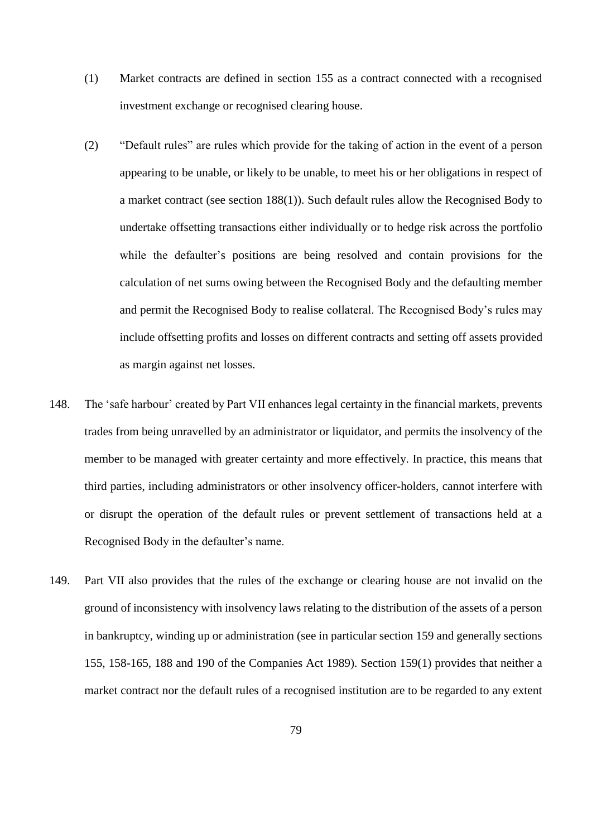- (1) Market contracts are defined in section 155 as a contract connected with a recognised investment exchange or recognised clearing house.
- (2) "Default rules" are rules which provide for the taking of action in the event of a person appearing to be unable, or likely to be unable, to meet his or her obligations in respect of a market contract (see section 188(1)). Such default rules allow the Recognised Body to undertake offsetting transactions either individually or to hedge risk across the portfolio while the defaulter's positions are being resolved and contain provisions for the calculation of net sums owing between the Recognised Body and the defaulting member and permit the Recognised Body to realise collateral. The Recognised Body's rules may include offsetting profits and losses on different contracts and setting off assets provided as margin against net losses.
- 148. The 'safe harbour' created by Part VII enhances legal certainty in the financial markets, prevents trades from being unravelled by an administrator or liquidator, and permits the insolvency of the member to be managed with greater certainty and more effectively. In practice, this means that third parties, including administrators or other insolvency officer-holders, cannot interfere with or disrupt the operation of the default rules or prevent settlement of transactions held at a Recognised Body in the defaulter's name.
- 149. Part VII also provides that the rules of the exchange or clearing house are not invalid on the ground of inconsistency with insolvency laws relating to the distribution of the assets of a person in bankruptcy, winding up or administration (see in particular section 159 and generally sections 155, 158-165, 188 and 190 of the Companies Act 1989). Section 159(1) provides that neither a market contract nor the default rules of a recognised institution are to be regarded to any extent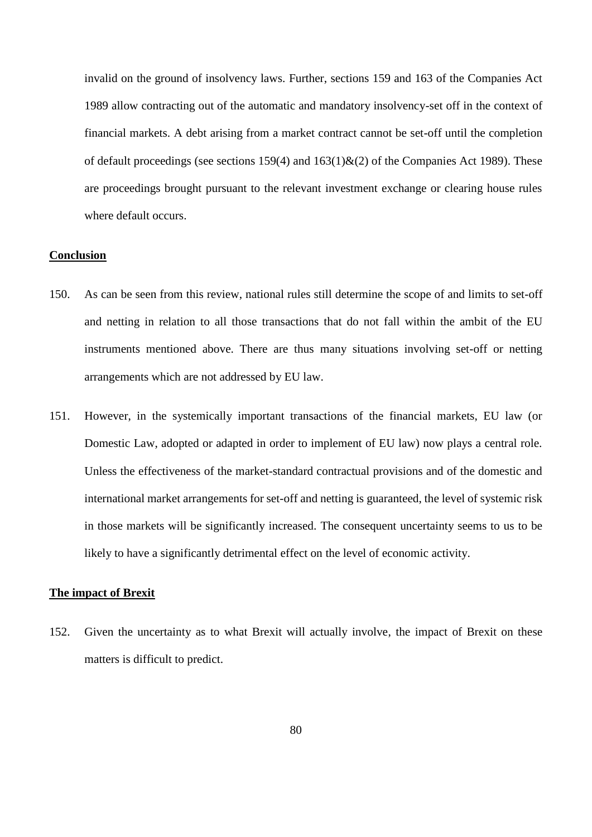invalid on the ground of insolvency laws. Further, sections 159 and 163 of the Companies Act 1989 allow contracting out of the automatic and mandatory insolvency-set off in the context of financial markets. A debt arising from a market contract cannot be set-off until the completion of default proceedings (see sections 159(4) and  $163(1)$ &(2) of the Companies Act 1989). These are proceedings brought pursuant to the relevant investment exchange or clearing house rules where default occurs.

## **Conclusion**

- 150. As can be seen from this review, national rules still determine the scope of and limits to set-off and netting in relation to all those transactions that do not fall within the ambit of the EU instruments mentioned above. There are thus many situations involving set-off or netting arrangements which are not addressed by EU law.
- 151. However, in the systemically important transactions of the financial markets, EU law (or Domestic Law, adopted or adapted in order to implement of EU law) now plays a central role. Unless the effectiveness of the market-standard contractual provisions and of the domestic and international market arrangements for set-off and netting is guaranteed, the level of systemic risk in those markets will be significantly increased. The consequent uncertainty seems to us to be likely to have a significantly detrimental effect on the level of economic activity.

## **The impact of Brexit**

152. Given the uncertainty as to what Brexit will actually involve, the impact of Brexit on these matters is difficult to predict.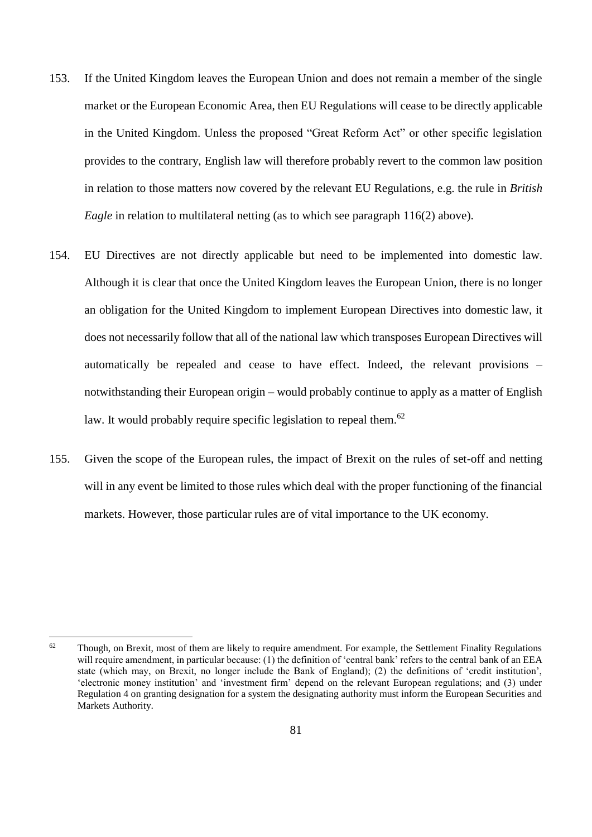- 153. If the United Kingdom leaves the European Union and does not remain a member of the single market or the European Economic Area, then EU Regulations will cease to be directly applicable in the United Kingdom. Unless the proposed "Great Reform Act" or other specific legislation provides to the contrary, English law will therefore probably revert to the common law position in relation to those matters now covered by the relevant EU Regulations, e.g. the rule in *British Eagle* in relation to multilateral netting (as to which see paragraph [116\(](#page-61-0)2) above).
- 154. EU Directives are not directly applicable but need to be implemented into domestic law. Although it is clear that once the United Kingdom leaves the European Union, there is no longer an obligation for the United Kingdom to implement European Directives into domestic law, it does not necessarily follow that all of the national law which transposes European Directives will automatically be repealed and cease to have effect. Indeed, the relevant provisions – notwithstanding their European origin – would probably continue to apply as a matter of English law. It would probably require specific legislation to repeal them.<sup>62</sup>
- 155. Given the scope of the European rules, the impact of Brexit on the rules of set-off and netting will in any event be limited to those rules which deal with the proper functioning of the financial markets. However, those particular rules are of vital importance to the UK economy.

 $62$ Though, on Brexit, most of them are likely to require amendment. For example, the Settlement Finality Regulations will require amendment, in particular because: (1) the definition of 'central bank' refers to the central bank of an EEA state (which may, on Brexit, no longer include the Bank of England); (2) the definitions of 'credit institution', 'electronic money institution' and 'investment firm' depend on the relevant European regulations; and (3) under Regulation 4 on granting designation for a system the designating authority must inform the European Securities and Markets Authority.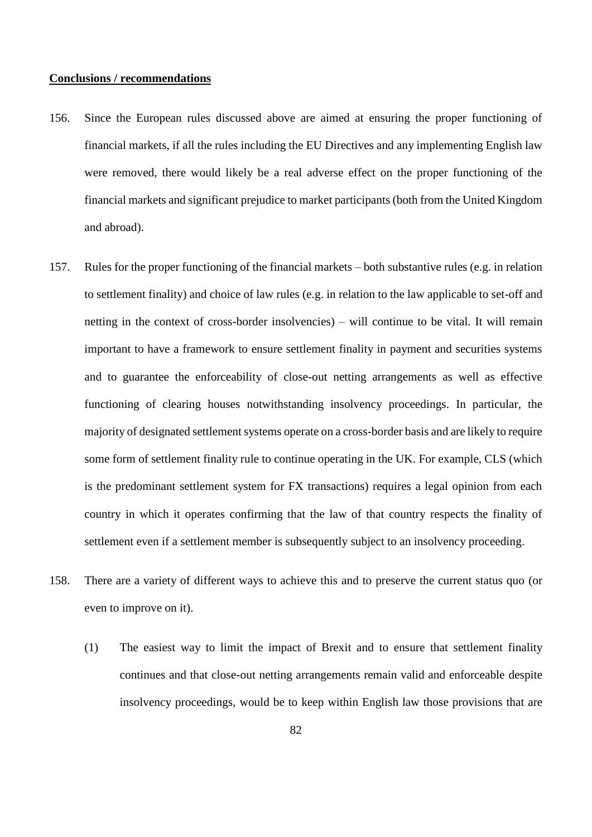### **Conclusions / recommendations**

- 156. Since the European rules discussed above are aimed at ensuring the proper functioning of financial markets, if all the rules including the EU Directives and any implementing English law were removed, there would likely be a real adverse effect on the proper functioning of the financial markets and significant prejudice to market participants (both from the United Kingdom and abroad).
- 157. Rules for the proper functioning of the financial markets both substantive rules (e.g. in relation to settlement finality) and choice of law rules (e.g. in relation to the law applicable to set-off and netting in the context of cross-border insolvencies) – will continue to be vital. It will remain important to have a framework to ensure settlement finality in payment and securities systems and to guarantee the enforceability of close-out netting arrangements as well as effective functioning of clearing houses notwithstanding insolvency proceedings. In particular, the majority of designated settlement systems operate on a cross-border basis and are likely to require some form of settlement finality rule to continue operating in the UK. For example, CLS (which is the predominant settlement system for FX transactions) requires a legal opinion from each country in which it operates confirming that the law of that country respects the finality of settlement even if a settlement member is subsequently subject to an insolvency proceeding.
- 158. There are a variety of different ways to achieve this and to preserve the current status quo (or even to improve on it).
	- (1) The easiest way to limit the impact of Brexit and to ensure that settlement finality continues and that close-out netting arrangements remain valid and enforceable despite insolvency proceedings, would be to keep within English law those provisions that are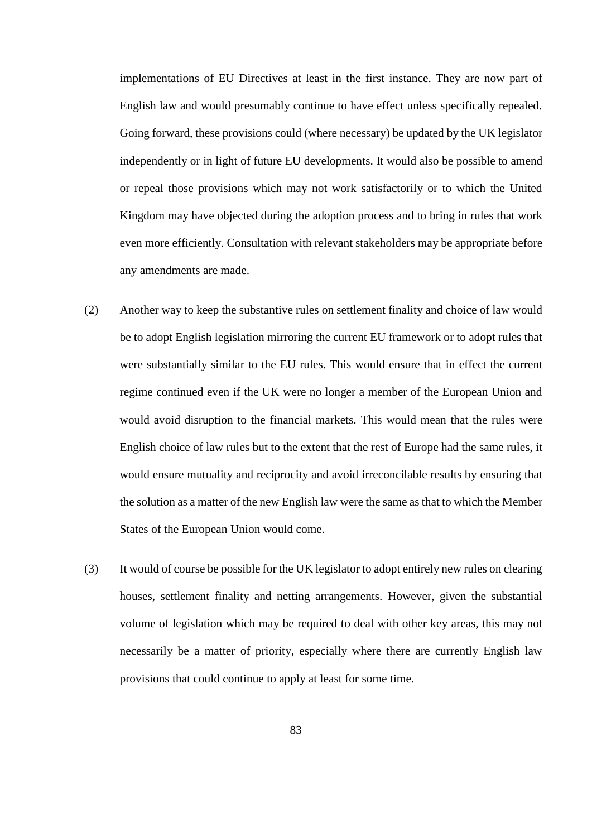implementations of EU Directives at least in the first instance. They are now part of English law and would presumably continue to have effect unless specifically repealed. Going forward, these provisions could (where necessary) be updated by the UK legislator independently or in light of future EU developments. It would also be possible to amend or repeal those provisions which may not work satisfactorily or to which the United Kingdom may have objected during the adoption process and to bring in rules that work even more efficiently. Consultation with relevant stakeholders may be appropriate before any amendments are made.

- (2) Another way to keep the substantive rules on settlement finality and choice of law would be to adopt English legislation mirroring the current EU framework or to adopt rules that were substantially similar to the EU rules. This would ensure that in effect the current regime continued even if the UK were no longer a member of the European Union and would avoid disruption to the financial markets. This would mean that the rules were English choice of law rules but to the extent that the rest of Europe had the same rules, it would ensure mutuality and reciprocity and avoid irreconcilable results by ensuring that the solution as a matter of the new English law were the same as that to which the Member States of the European Union would come.
- (3) It would of course be possible for the UK legislator to adopt entirely new rules on clearing houses, settlement finality and netting arrangements. However, given the substantial volume of legislation which may be required to deal with other key areas, this may not necessarily be a matter of priority, especially where there are currently English law provisions that could continue to apply at least for some time.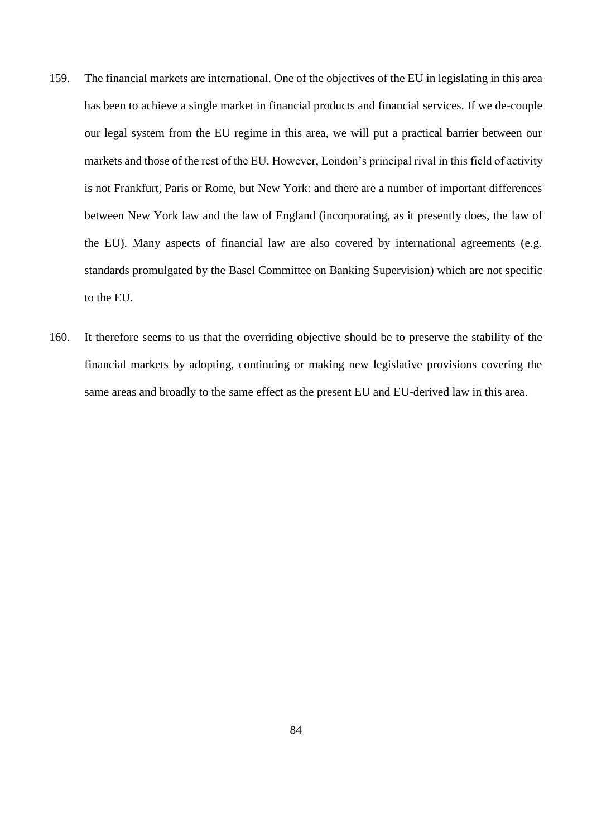- 159. The financial markets are international. One of the objectives of the EU in legislating in this area has been to achieve a single market in financial products and financial services. If we de-couple our legal system from the EU regime in this area, we will put a practical barrier between our markets and those of the rest of the EU. However, London's principal rival in this field of activity is not Frankfurt, Paris or Rome, but New York: and there are a number of important differences between New York law and the law of England (incorporating, as it presently does, the law of the EU). Many aspects of financial law are also covered by international agreements (e.g. standards promulgated by the Basel Committee on Banking Supervision) which are not specific to the EU.
- 160. It therefore seems to us that the overriding objective should be to preserve the stability of the financial markets by adopting, continuing or making new legislative provisions covering the same areas and broadly to the same effect as the present EU and EU-derived law in this area.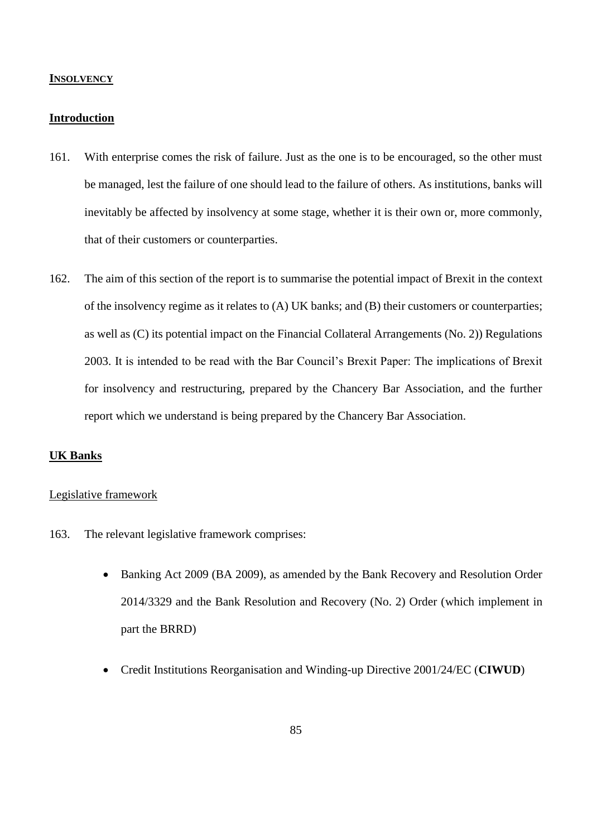## **INSOLVENCY**

## **Introduction**

- 161. With enterprise comes the risk of failure. Just as the one is to be encouraged, so the other must be managed, lest the failure of one should lead to the failure of others. As institutions, banks will inevitably be affected by insolvency at some stage, whether it is their own or, more commonly, that of their customers or counterparties.
- 162. The aim of this section of the report is to summarise the potential impact of Brexit in the context of the insolvency regime as it relates to (A) UK banks; and (B) their customers or counterparties; as well as (C) its potential impact on the Financial Collateral Arrangements (No. 2)) Regulations 2003. It is intended to be read with the Bar Council's Brexit Paper: The implications of Brexit for insolvency and restructuring, prepared by the Chancery Bar Association, and the further report which we understand is being prepared by the Chancery Bar Association.

# **UK Banks**

## Legislative framework

- 163. The relevant legislative framework comprises:
	- Banking Act 2009 (BA 2009), as amended by the Bank Recovery and Resolution Order 2014/3329 and the Bank Resolution and Recovery (No. 2) Order (which implement in part the BRRD)
	- Credit Institutions Reorganisation and Winding-up Directive 2001/24/EC (**CIWUD**)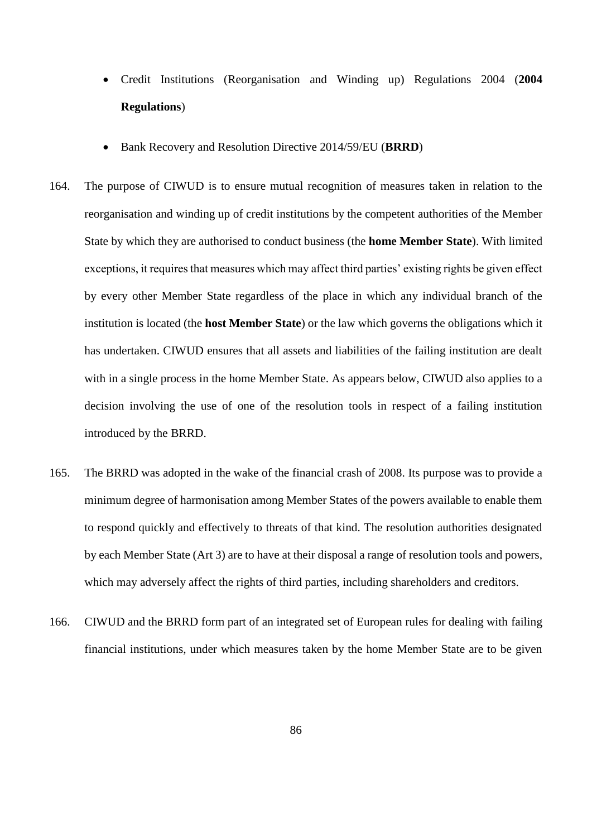- Credit Institutions (Reorganisation and Winding up) Regulations 2004 (**2004 Regulations**)
- Bank Recovery and Resolution Directive 2014/59/EU (**BRRD**)
- 164. The purpose of CIWUD is to ensure mutual recognition of measures taken in relation to the reorganisation and winding up of credit institutions by the competent authorities of the Member State by which they are authorised to conduct business (the **home Member State**). With limited exceptions, it requires that measures which may affect third parties' existing rights be given effect by every other Member State regardless of the place in which any individual branch of the institution is located (the **host Member State**) or the law which governs the obligations which it has undertaken. CIWUD ensures that all assets and liabilities of the failing institution are dealt with in a single process in the home Member State. As appears below, CIWUD also applies to a decision involving the use of one of the resolution tools in respect of a failing institution introduced by the BRRD.
- 165. The BRRD was adopted in the wake of the financial crash of 2008. Its purpose was to provide a minimum degree of harmonisation among Member States of the powers available to enable them to respond quickly and effectively to threats of that kind. The resolution authorities designated by each Member State (Art 3) are to have at their disposal a range of resolution tools and powers, which may adversely affect the rights of third parties, including shareholders and creditors.
- 166. CIWUD and the BRRD form part of an integrated set of European rules for dealing with failing financial institutions, under which measures taken by the home Member State are to be given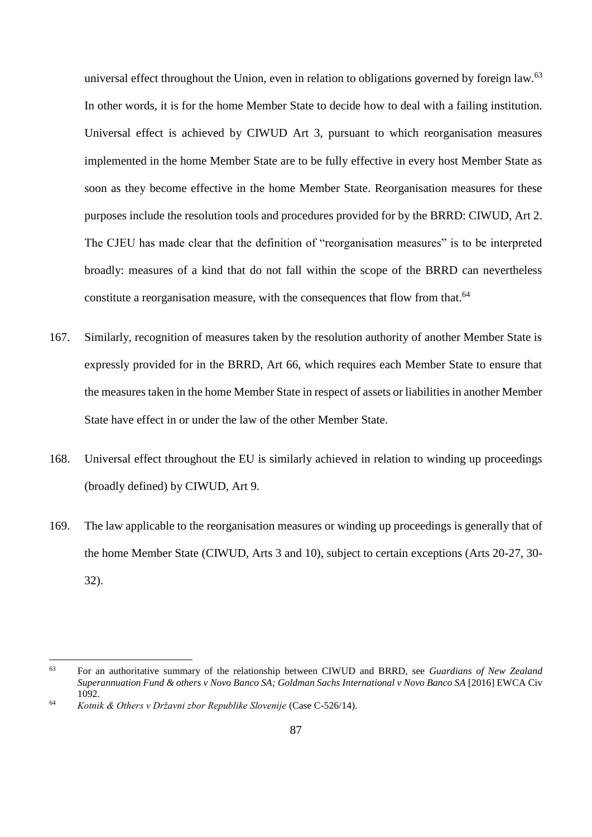universal effect throughout the Union, even in relation to obligations governed by foreign law.<sup>63</sup> In other words, it is for the home Member State to decide how to deal with a failing institution. Universal effect is achieved by CIWUD Art 3, pursuant to which reorganisation measures implemented in the home Member State are to be fully effective in every host Member State as soon as they become effective in the home Member State. Reorganisation measures for these purposes include the resolution tools and procedures provided for by the BRRD: CIWUD, Art 2. The CJEU has made clear that the definition of "reorganisation measures" is to be interpreted broadly: measures of a kind that do not fall within the scope of the BRRD can nevertheless constitute a reorganisation measure, with the consequences that flow from that.<sup>64</sup>

- 167. Similarly, recognition of measures taken by the resolution authority of another Member State is expressly provided for in the BRRD, Art 66, which requires each Member State to ensure that the measures taken in the home Member State in respect of assets or liabilities in another Member State have effect in or under the law of the other Member State.
- 168. Universal effect throughout the EU is similarly achieved in relation to winding up proceedings (broadly defined) by CIWUD, Art 9.
- 169. The law applicable to the reorganisation measures or winding up proceedings is generally that of the home Member State (CIWUD, Arts 3 and 10), subject to certain exceptions (Arts 20-27, 30- 32).

 $\overline{a}$ 

<sup>63</sup> For an authoritative summary of the relationship between CIWUD and BRRD, see *Guardians of New Zealand Superannuation Fund & others v Novo Banco SA; Goldman Sachs International v Novo Banco SA* [2016] EWCA Civ 1092.

<sup>64</sup> *Kotnik & Others v Državni zbor Republike Slovenije* (Case C-526/14).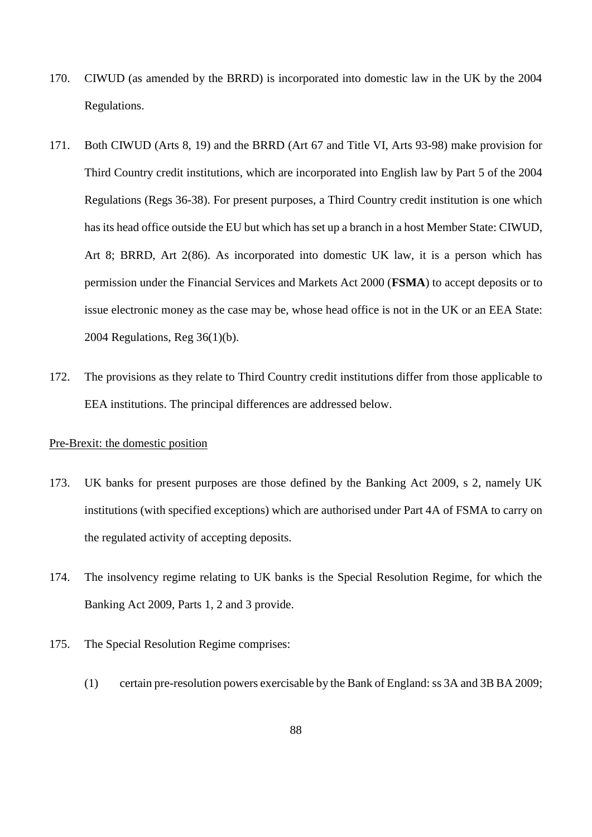- 170. CIWUD (as amended by the BRRD) is incorporated into domestic law in the UK by the 2004 Regulations.
- 171. Both CIWUD (Arts 8, 19) and the BRRD (Art 67 and Title VI, Arts 93-98) make provision for Third Country credit institutions, which are incorporated into English law by Part 5 of the 2004 Regulations (Regs 36-38). For present purposes, a Third Country credit institution is one which has its head office outside the EU but which has set up a branch in a host Member State: CIWUD, Art 8; BRRD, Art 2(86). As incorporated into domestic UK law, it is a person which has permission under the Financial Services and Markets Act 2000 (**FSMA**) to accept deposits or to issue electronic money as the case may be, whose head office is not in the UK or an EEA State: 2004 Regulations, Reg 36(1)(b).
- 172. The provisions as they relate to Third Country credit institutions differ from those applicable to EEA institutions. The principal differences are addressed below.

# Pre-Brexit: the domestic position

- 173. UK banks for present purposes are those defined by the Banking Act 2009, s 2, namely UK institutions (with specified exceptions) which are authorised under [Part 4A](http://login.westlaw.co.uk/maf/wluk/app/document?src=doc&linktype=ref&context=51&crumb-action=replace&docguid=I113DBB80596A11E28486A22061FB11CB) of FSMA to carry on the regulated activity of accepting deposits.
- 174. The insolvency regime relating to UK banks is the Special Resolution Regime, for which the Banking Act 2009, Parts 1, 2 and 3 provide.
- 175. The Special Resolution Regime comprises:
	- (1) certain pre-resolution powers exercisable by the Bank of England: ss 3A and 3B BA 2009;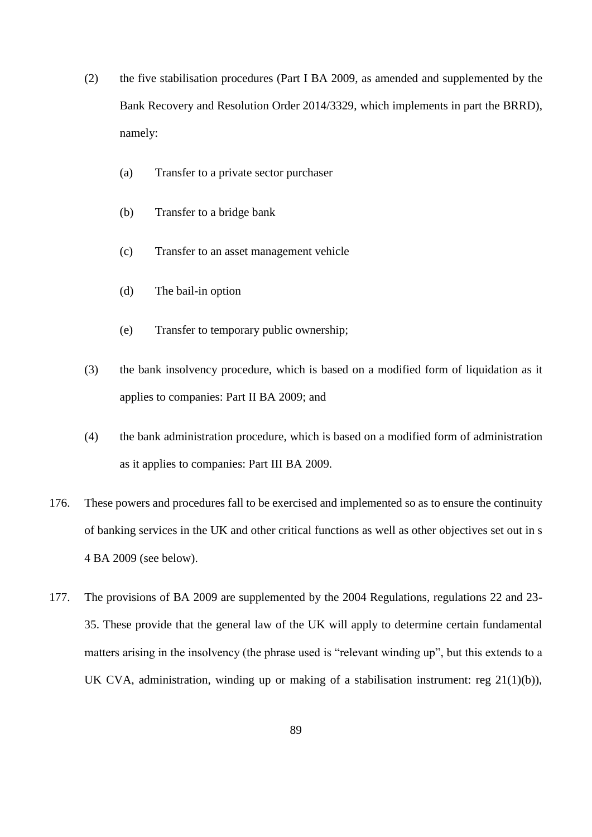- (2) the five stabilisation procedures (Part I BA 2009, as amended and supplemented by the Bank Recovery and Resolution Order 2014/3329, which implements in part the BRRD), namely:
	- (a) Transfer to a private sector purchaser
	- (b) Transfer to a bridge bank
	- (c) Transfer to an asset management vehicle
	- (d) The bail-in option
	- (e) Transfer to temporary public ownership;
- (3) the bank insolvency procedure, which is based on a modified form of liquidation as it applies to companies: Part II BA 2009; and
- (4) the bank administration procedure, which is based on a modified form of administration as it applies to companies: Part III BA 2009.
- 176. These powers and procedures fall to be exercised and implemented so as to ensure the continuity of banking services in the UK and other critical functions as well as other objectives set out in s 4 BA 2009 (see below).
- 177. The provisions of BA 2009 are supplemented by the 2004 Regulations, regulations 22 and 23- 35. These provide that the general law of the UK will apply to determine certain fundamental matters arising in the insolvency (the phrase used is "relevant winding up", but this extends to a UK CVA, administration, winding up or making of a stabilisation instrument: reg 21(1)(b)),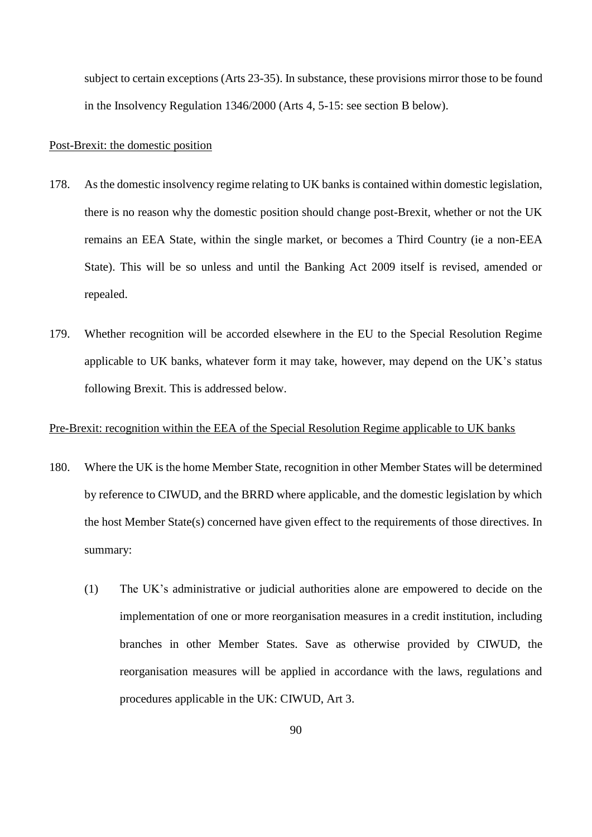subject to certain exceptions (Arts 23-35). In substance, these provisions mirror those to be found in the Insolvency Regulation 1346/2000 (Arts 4, 5-15: see section B below).

### Post-Brexit: the domestic position

- 178. As the domestic insolvency regime relating to UK banks is contained within domestic legislation, there is no reason why the domestic position should change post-Brexit, whether or not the UK remains an EEA State, within the single market, or becomes a Third Country (ie a non-EEA State). This will be so unless and until the Banking Act 2009 itself is revised, amended or repealed.
- 179. Whether recognition will be accorded elsewhere in the EU to the Special Resolution Regime applicable to UK banks, whatever form it may take, however, may depend on the UK's status following Brexit. This is addressed below.

## Pre-Brexit: recognition within the EEA of the Special Resolution Regime applicable to UK banks

- 180. Where the UK is the home Member State, recognition in other Member States will be determined by reference to CIWUD, and the BRRD where applicable, and the domestic legislation by which the host Member State(s) concerned have given effect to the requirements of those directives. In summary:
	- (1) The UK's administrative or judicial authorities alone are empowered to decide on the implementation of one or more reorganisation measures in a credit institution, including branches in other Member States. Save as otherwise provided by CIWUD, the reorganisation measures will be applied in accordance with the laws, regulations and procedures applicable in the UK: CIWUD, Art 3.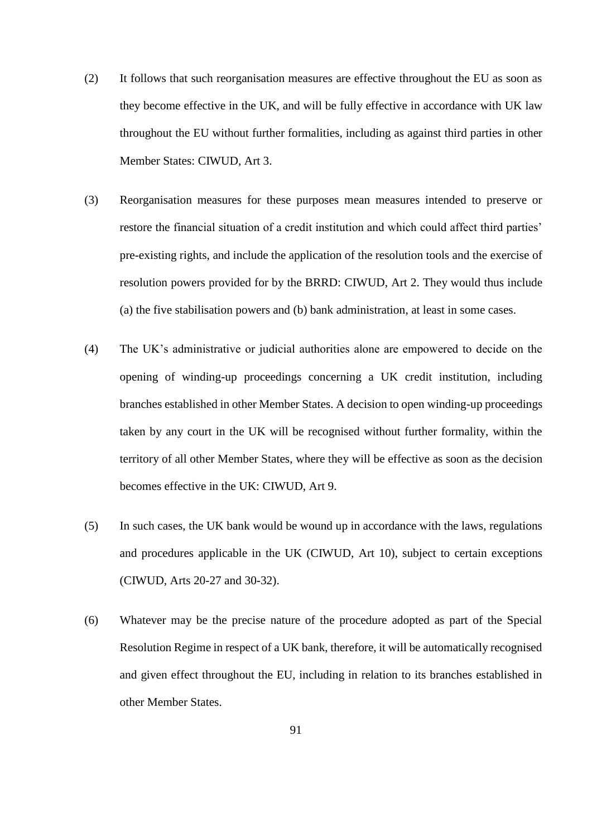- (2) It follows that such reorganisation measures are effective throughout the EU as soon as they become effective in the UK, and will be fully effective in accordance with UK law throughout the EU without further formalities, including as against third parties in other Member States: CIWUD, Art 3.
- (3) Reorganisation measures for these purposes mean measures intended to preserve or restore the financial situation of a credit institution and which could affect third parties' pre-existing rights, and include the application of the resolution tools and the exercise of resolution powers provided for by the BRRD: CIWUD, Art 2. They would thus include (a) the five stabilisation powers and (b) bank administration, at least in some cases.
- (4) The UK's administrative or judicial authorities alone are empowered to decide on the opening of winding-up proceedings concerning a UK credit institution, including branches established in other Member States. A decision to open winding-up proceedings taken by any court in the UK will be recognised without further formality, within the territory of all other Member States, where they will be effective as soon as the decision becomes effective in the UK: CIWUD, Art 9.
- (5) In such cases, the UK bank would be wound up in accordance with the laws, regulations and procedures applicable in the UK (CIWUD, Art 10), subject to certain exceptions (CIWUD, Arts 20-27 and 30-32).
- (6) Whatever may be the precise nature of the procedure adopted as part of the Special Resolution Regime in respect of a UK bank, therefore, it will be automatically recognised and given effect throughout the EU, including in relation to its branches established in other Member States.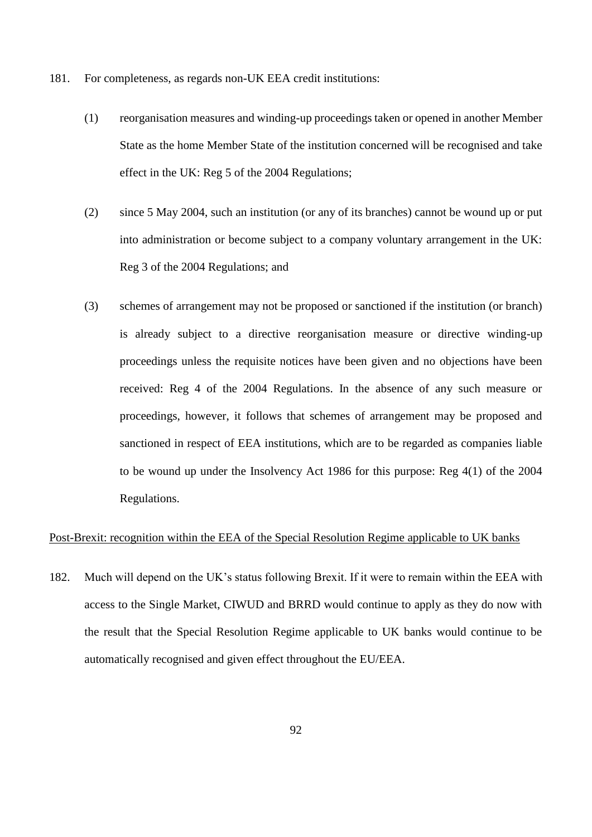- 181. For completeness, as regards non-UK EEA credit institutions:
	- (1) reorganisation measures and winding-up proceedings taken or opened in another Member State as the home Member State of the institution concerned will be recognised and take effect in the UK: Reg 5 of the 2004 Regulations;
	- (2) since 5 May 2004, such an institution (or any of its branches) cannot be wound up or put into administration or become subject to a company voluntary arrangement in the UK: Reg 3 of the 2004 Regulations; and
	- (3) schemes of arrangement may not be proposed or sanctioned if the institution (or branch) is already subject to a directive reorganisation measure or directive winding-up proceedings unless the requisite notices have been given and no objections have been received: Reg 4 of the 2004 Regulations. In the absence of any such measure or proceedings, however, it follows that schemes of arrangement may be proposed and sanctioned in respect of EEA institutions, which are to be regarded as companies liable to be wound up under the Insolvency Act 1986 for this purpose: Reg 4(1) of the 2004 Regulations.

# Post-Brexit: recognition within the EEA of the Special Resolution Regime applicable to UK banks

182. Much will depend on the UK's status following Brexit. If it were to remain within the EEA with access to the Single Market, CIWUD and BRRD would continue to apply as they do now with the result that the Special Resolution Regime applicable to UK banks would continue to be automatically recognised and given effect throughout the EU/EEA.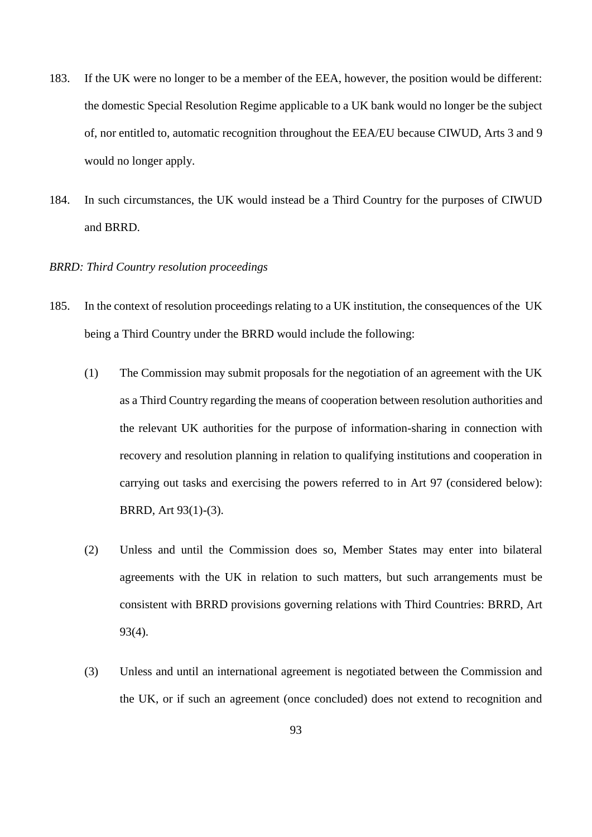- 183. If the UK were no longer to be a member of the EEA, however, the position would be different: the domestic Special Resolution Regime applicable to a UK bank would no longer be the subject of, nor entitled to, automatic recognition throughout the EEA/EU because CIWUD, Arts 3 and 9 would no longer apply.
- 184. In such circumstances, the UK would instead be a Third Country for the purposes of CIWUD and BRRD.

# *BRRD: Third Country resolution proceedings*

- 185. In the context of resolution proceedings relating to a UK institution, the consequences of the UK being a Third Country under the BRRD would include the following:
	- (1) The Commission may submit proposals for the negotiation of an agreement with the UK as a Third Country regarding the means of cooperation between resolution authorities and the relevant UK authorities for the purpose of information-sharing in connection with recovery and resolution planning in relation to qualifying institutions and cooperation in carrying out tasks and exercising the powers referred to in Art 97 (considered below): BRRD, Art 93(1)-(3).
	- (2) Unless and until the Commission does so, Member States may enter into bilateral agreements with the UK in relation to such matters, but such arrangements must be consistent with BRRD provisions governing relations with Third Countries: BRRD, Art 93(4).
	- (3) Unless and until an international agreement is negotiated between the Commission and the UK, or if such an agreement (once concluded) does not extend to recognition and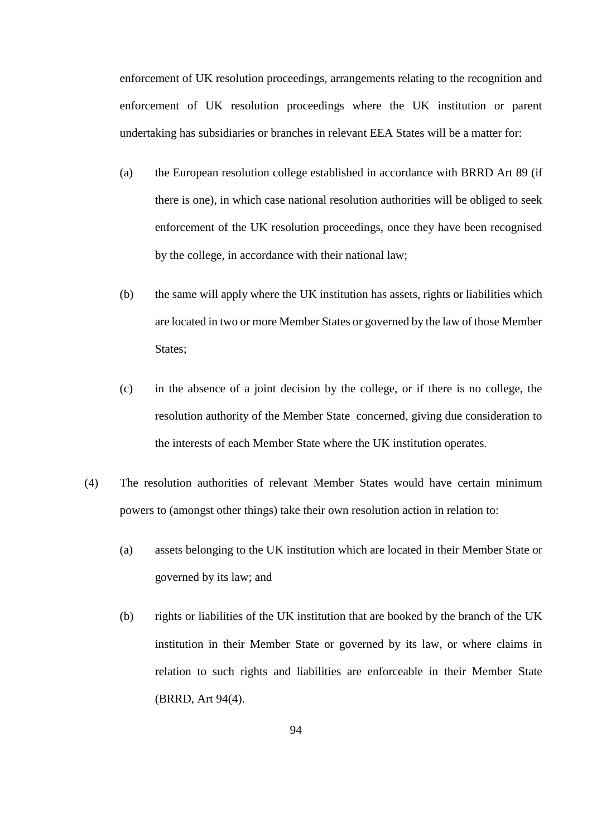enforcement of UK resolution proceedings, arrangements relating to the recognition and enforcement of UK resolution proceedings where the UK institution or parent undertaking has subsidiaries or branches in relevant EEA States will be a matter for:

- (a) the European resolution college established in accordance with BRRD Art 89 (if there is one), in which case national resolution authorities will be obliged to seek enforcement of the UK resolution proceedings, once they have been recognised by the college, in accordance with their national law;
- (b) the same will apply where the UK institution has assets, rights or liabilities which are located in two or more Member States or governed by the law of those Member States;
- (c) in the absence of a joint decision by the college, or if there is no college, the resolution authority of the Member State concerned, giving due consideration to the interests of each Member State where the UK institution operates.
- (4) The resolution authorities of relevant Member States would have certain minimum powers to (amongst other things) take their own resolution action in relation to:
	- (a) assets belonging to the UK institution which are located in their Member State or governed by its law; and
	- (b) rights or liabilities of the UK institution that are booked by the branch of the UK institution in their Member State or governed by its law, or where claims in relation to such rights and liabilities are enforceable in their Member State (BRRD, Art 94(4).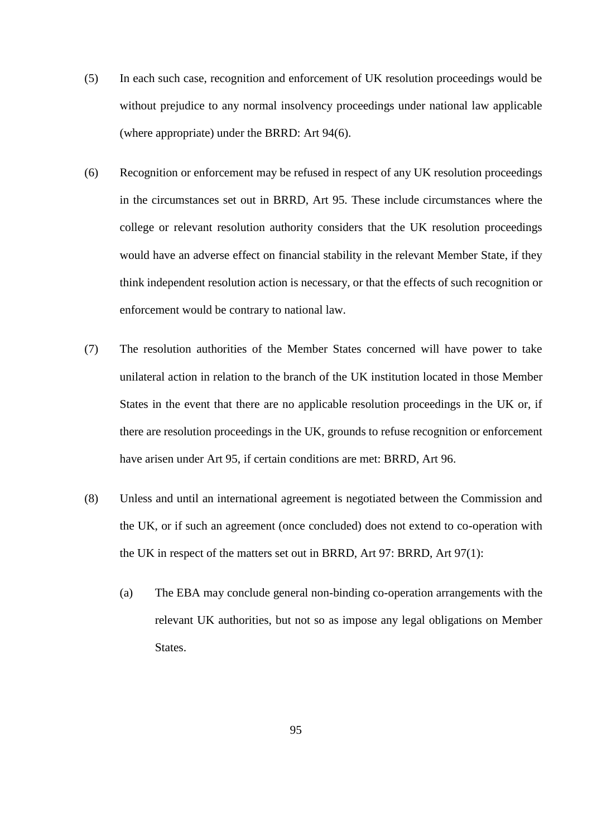- (5) In each such case, recognition and enforcement of UK resolution proceedings would be without prejudice to any normal insolvency proceedings under national law applicable (where appropriate) under the BRRD: Art 94(6).
- (6) Recognition or enforcement may be refused in respect of any UK resolution proceedings in the circumstances set out in BRRD, Art 95. These include circumstances where the college or relevant resolution authority considers that the UK resolution proceedings would have an adverse effect on financial stability in the relevant Member State, if they think independent resolution action is necessary, or that the effects of such recognition or enforcement would be contrary to national law.
- (7) The resolution authorities of the Member States concerned will have power to take unilateral action in relation to the branch of the UK institution located in those Member States in the event that there are no applicable resolution proceedings in the UK or, if there are resolution proceedings in the UK, grounds to refuse recognition or enforcement have arisen under Art 95, if certain conditions are met: BRRD, Art 96.
- (8) Unless and until an international agreement is negotiated between the Commission and the UK, or if such an agreement (once concluded) does not extend to co-operation with the UK in respect of the matters set out in BRRD, Art 97: BRRD, Art 97(1):
	- (a) The EBA may conclude general non-binding co-operation arrangements with the relevant UK authorities, but not so as impose any legal obligations on Member States.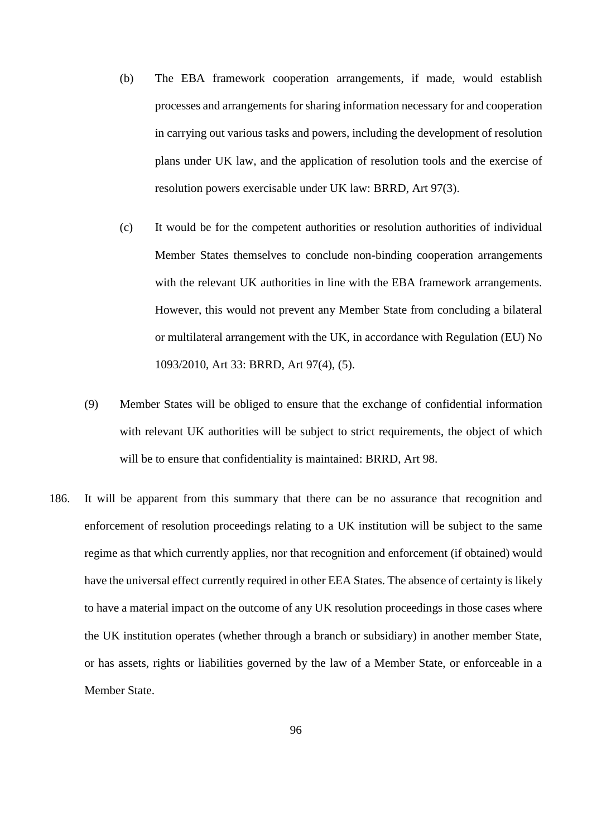- (b) The EBA framework cooperation arrangements, if made, would establish processes and arrangements for sharing information necessary for and cooperation in carrying out various tasks and powers, including the development of resolution plans under UK law, and the application of resolution tools and the exercise of resolution powers exercisable under UK law: BRRD, Art 97(3).
- (c) It would be for the competent authorities or resolution authorities of individual Member States themselves to conclude non-binding cooperation arrangements with the relevant UK authorities in line with the EBA framework arrangements. However, this would not prevent any Member State from concluding a bilateral or multilateral arrangement with the UK, in accordance with Regulation (EU) No 1093/2010, Art 33: BRRD, Art 97(4), (5).
- (9) Member States will be obliged to ensure that the exchange of confidential information with relevant UK authorities will be subject to strict requirements, the object of which will be to ensure that confidentiality is maintained: BRRD, Art 98.
- 186. It will be apparent from this summary that there can be no assurance that recognition and enforcement of resolution proceedings relating to a UK institution will be subject to the same regime as that which currently applies, nor that recognition and enforcement (if obtained) would have the universal effect currently required in other EEA States. The absence of certainty is likely to have a material impact on the outcome of any UK resolution proceedings in those cases where the UK institution operates (whether through a branch or subsidiary) in another member State, or has assets, rights or liabilities governed by the law of a Member State, or enforceable in a Member State.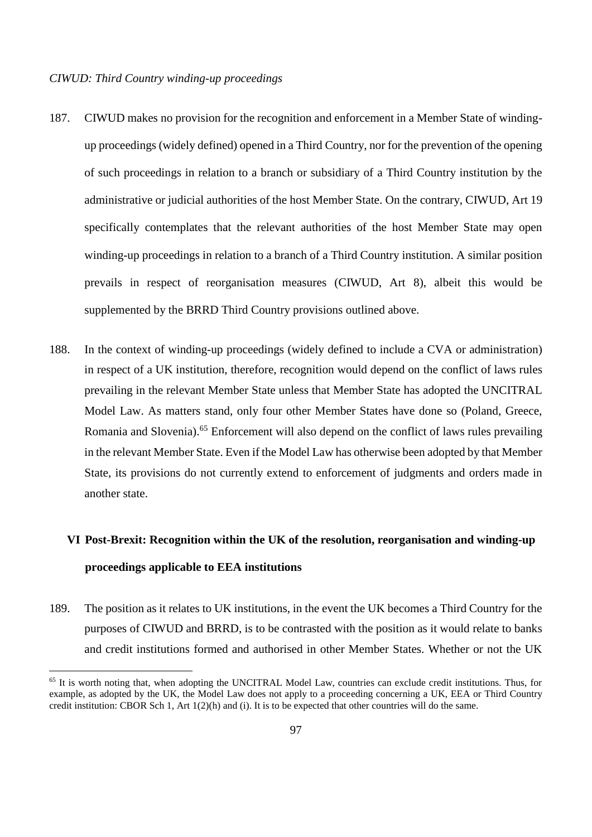$\overline{a}$ 

- 187. CIWUD makes no provision for the recognition and enforcement in a Member State of windingup proceedings (widely defined) opened in a Third Country, nor for the prevention of the opening of such proceedings in relation to a branch or subsidiary of a Third Country institution by the administrative or judicial authorities of the host Member State. On the contrary, CIWUD, Art 19 specifically contemplates that the relevant authorities of the host Member State may open winding-up proceedings in relation to a branch of a Third Country institution. A similar position prevails in respect of reorganisation measures (CIWUD, Art 8), albeit this would be supplemented by the BRRD Third Country provisions outlined above.
- 188. In the context of winding-up proceedings (widely defined to include a CVA or administration) in respect of a UK institution, therefore, recognition would depend on the conflict of laws rules prevailing in the relevant Member State unless that Member State has adopted the UNCITRAL Model Law. As matters stand, only four other Member States have done so (Poland, Greece, Romania and Slovenia).<sup>65</sup> Enforcement will also depend on the conflict of laws rules prevailing in the relevant Member State. Even if the Model Law has otherwise been adopted by that Member State, its provisions do not currently extend to enforcement of judgments and orders made in another state.

# **VI Post-Brexit: Recognition within the UK of the resolution, reorganisation and winding-up proceedings applicable to EEA institutions**

189. The position as it relates to UK institutions, in the event the UK becomes a Third Country for the purposes of CIWUD and BRRD, is to be contrasted with the position as it would relate to banks and credit institutions formed and authorised in other Member States. Whether or not the UK

<sup>&</sup>lt;sup>65</sup> It is worth noting that, when adopting the UNCITRAL Model Law, countries can exclude credit institutions. Thus, for example, as adopted by the UK, the Model Law does not apply to a proceeding concerning a UK, EEA or Third Country credit institution: CBOR Sch 1, Art 1(2)(h) and (i). It is to be expected that other countries will do the same.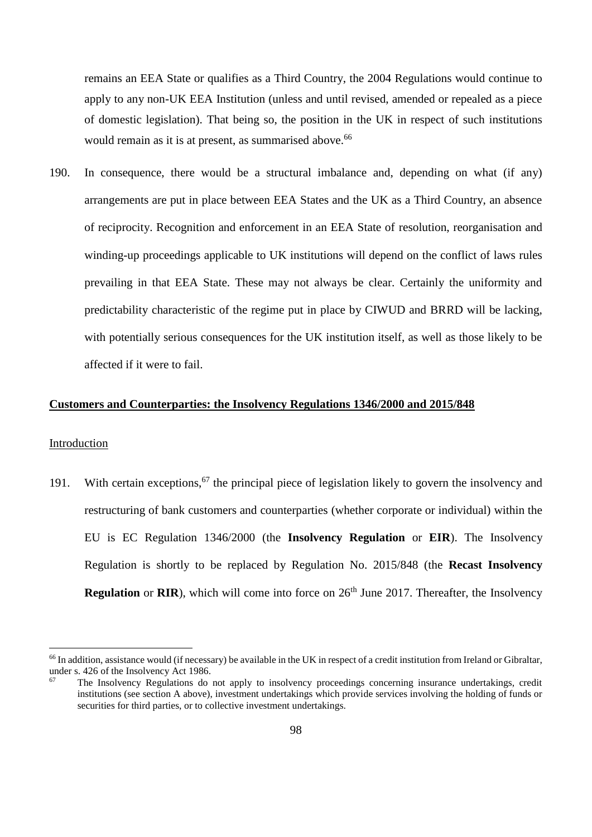remains an EEA State or qualifies as a Third Country, the 2004 Regulations would continue to apply to any non-UK EEA Institution (unless and until revised, amended or repealed as a piece of domestic legislation). That being so, the position in the UK in respect of such institutions would remain as it is at present, as summarised above.<sup>66</sup>

190. In consequence, there would be a structural imbalance and, depending on what (if any) arrangements are put in place between EEA States and the UK as a Third Country, an absence of reciprocity. Recognition and enforcement in an EEA State of resolution, reorganisation and winding-up proceedings applicable to UK institutions will depend on the conflict of laws rules prevailing in that EEA State. These may not always be clear. Certainly the uniformity and predictability characteristic of the regime put in place by CIWUD and BRRD will be lacking, with potentially serious consequences for the UK institution itself, as well as those likely to be affected if it were to fail.

# **Customers and Counterparties: the Insolvency Regulations 1346/2000 and 2015/848**

### Introduction

 $\overline{a}$ 

191. With certain exceptions,  $67$  the principal piece of legislation likely to govern the insolvency and restructuring of bank customers and counterparties (whether corporate or individual) within the EU is EC Regulation 1346/2000 (the **Insolvency Regulation** or **EIR**). The Insolvency Regulation is shortly to be replaced by Regulation No. 2015/848 (the **Recast Insolvency Regulation** or **RIR**), which will come into force on 26<sup>th</sup> June 2017. Thereafter, the Insolvency

<sup>66</sup> In addition, assistance would (if necessary) be available in the UK in respect of a credit institution from Ireland or Gibraltar, under s. 426 of the Insolvency Act 1986.

The Insolvency Regulations do not apply to insolvency proceedings concerning insurance undertakings, credit institutions (see section A above), investment undertakings which provide services involving the holding of funds or securities for third parties, or to collective investment undertakings.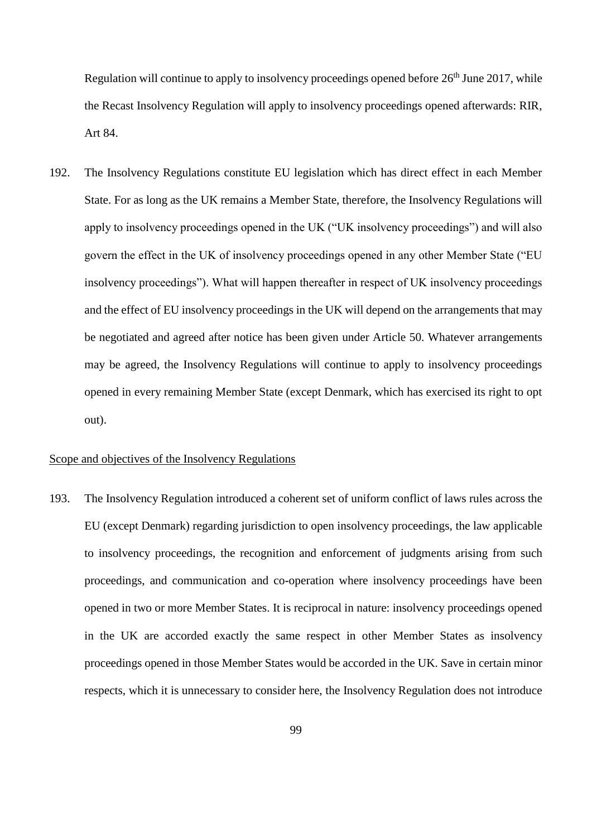Regulation will continue to apply to insolvency proceedings opened before  $26<sup>th</sup>$  June 2017, while the Recast Insolvency Regulation will apply to insolvency proceedings opened afterwards: RIR, Art 84.

192. The Insolvency Regulations constitute EU legislation which has direct effect in each Member State. For as long as the UK remains a Member State, therefore, the Insolvency Regulations will apply to insolvency proceedings opened in the UK ("UK insolvency proceedings") and will also govern the effect in the UK of insolvency proceedings opened in any other Member State ("EU insolvency proceedings"). What will happen thereafter in respect of UK insolvency proceedings and the effect of EU insolvency proceedings in the UK will depend on the arrangements that may be negotiated and agreed after notice has been given under Article 50. Whatever arrangements may be agreed, the Insolvency Regulations will continue to apply to insolvency proceedings opened in every remaining Member State (except Denmark, which has exercised its right to opt out).

## Scope and objectives of the Insolvency Regulations

193. The Insolvency Regulation introduced a coherent set of uniform conflict of laws rules across the EU (except Denmark) regarding jurisdiction to open insolvency proceedings, the law applicable to insolvency proceedings, the recognition and enforcement of judgments arising from such proceedings, and communication and co-operation where insolvency proceedings have been opened in two or more Member States. It is reciprocal in nature: insolvency proceedings opened in the UK are accorded exactly the same respect in other Member States as insolvency proceedings opened in those Member States would be accorded in the UK. Save in certain minor respects, which it is unnecessary to consider here, the Insolvency Regulation does not introduce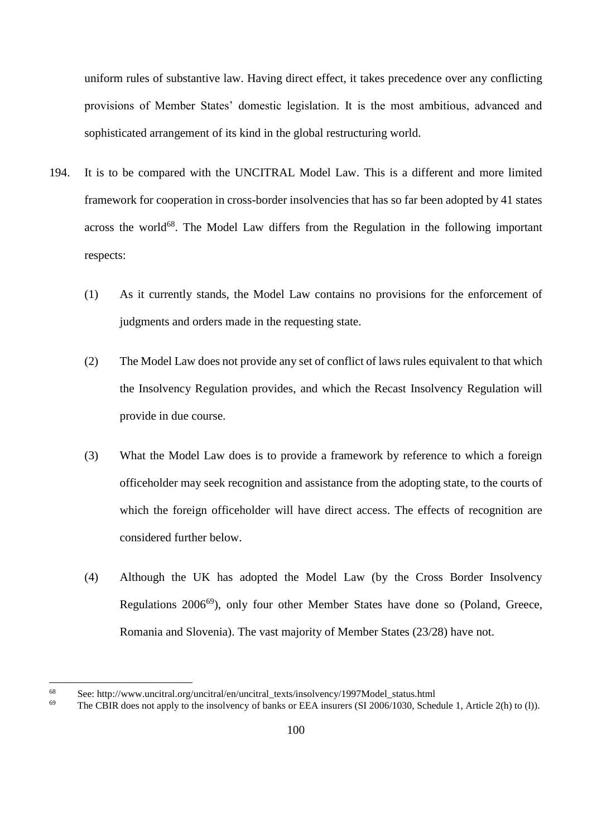uniform rules of substantive law. Having direct effect, it takes precedence over any conflicting provisions of Member States' domestic legislation. It is the most ambitious, advanced and sophisticated arrangement of its kind in the global restructuring world.

- 194. It is to be compared with the UNCITRAL Model Law. This is a different and more limited framework for cooperation in cross-border insolvencies that has so far been adopted by 41 states across the world $68$ . The Model Law differs from the Regulation in the following important respects:
	- (1) As it currently stands, the Model Law contains no provisions for the enforcement of judgments and orders made in the requesting state.
	- (2) The Model Law does not provide any set of conflict of laws rules equivalent to that which the Insolvency Regulation provides, and which the Recast Insolvency Regulation will provide in due course.
	- (3) What the Model Law does is to provide a framework by reference to which a foreign officeholder may seek recognition and assistance from the adopting state, to the courts of which the foreign officeholder will have direct access. The effects of recognition are considered further below.
	- (4) Although the UK has adopted the Model Law (by the Cross Border Insolvency Regulations 2006<sup>69</sup>), only four other Member States have done so (Poland, Greece, Romania and Slovenia). The vast majority of Member States (23/28) have not.

 $\overline{a}$ 

<sup>&</sup>lt;sup>68</sup> See: http://www.uncitral.org/uncitral/en/uncitral\_texts/insolvency/1997Model\_status.html<br><sup>69</sup> The CBIP does not apply to the insolvency of banks or EEA insurars (SL2006/1030, Schoo

The CBIR does not apply to the insolvency of banks or EEA insurers (SI 2006/1030, Schedule 1, Article 2(h) to (l)).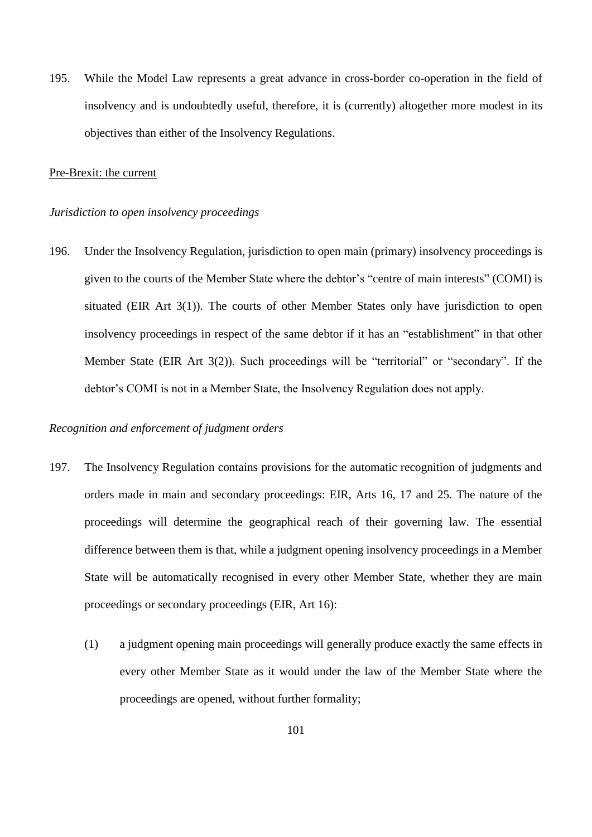195. While the Model Law represents a great advance in cross-border co-operation in the field of insolvency and is undoubtedly useful, therefore, it is (currently) altogether more modest in its objectives than either of the Insolvency Regulations.

## Pre-Brexit: the current

## *Jurisdiction to open insolvency proceedings*

196. Under the Insolvency Regulation, jurisdiction to open main (primary) insolvency proceedings is given to the courts of the Member State where the debtor's "centre of main interests" (COMI) is situated (EIR Art 3(1)). The courts of other Member States only have jurisdiction to open insolvency proceedings in respect of the same debtor if it has an "establishment" in that other Member State (EIR Art 3(2)). Such proceedings will be "territorial" or "secondary". If the debtor's COMI is not in a Member State, the Insolvency Regulation does not apply.

## *Recognition and enforcement of judgment orders*

- 197. The Insolvency Regulation contains provisions for the automatic recognition of judgments and orders made in main and secondary proceedings: EIR, Arts 16, 17 and 25. The nature of the proceedings will determine the geographical reach of their governing law. The essential difference between them is that, while a judgment opening insolvency proceedings in a Member State will be automatically recognised in every other Member State, whether they are main proceedings or secondary proceedings (EIR, Art 16):
	- (1) a judgment opening main proceedings will generally produce exactly the same effects in every other Member State as it would under the law of the Member State where the proceedings are opened, without further formality;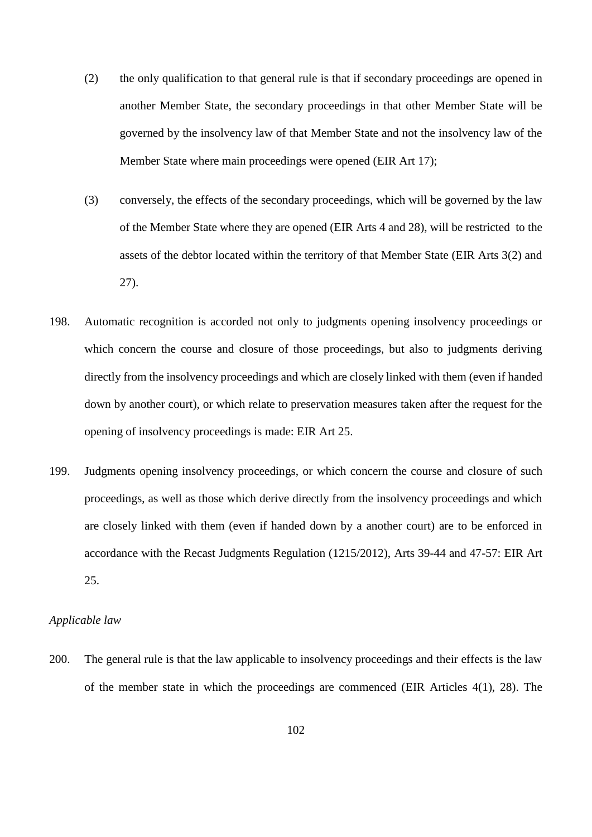- (2) the only qualification to that general rule is that if secondary proceedings are opened in another Member State, the secondary proceedings in that other Member State will be governed by the insolvency law of that Member State and not the insolvency law of the Member State where main proceedings were opened (EIR Art 17);
- (3) conversely, the effects of the secondary proceedings, which will be governed by the law of the Member State where they are opened (EIR Arts 4 and 28), will be restricted to the assets of the debtor located within the territory of that Member State (EIR Arts 3(2) and 27).
- 198. Automatic recognition is accorded not only to judgments opening insolvency proceedings or which concern the course and closure of those proceedings, but also to judgments deriving directly from the insolvency proceedings and which are closely linked with them (even if handed down by another court), or which relate to preservation measures taken after the request for the opening of insolvency proceedings is made: EIR Art 25.
- 199. Judgments opening insolvency proceedings, or which concern the course and closure of such proceedings, as well as those which derive directly from the insolvency proceedings and which are closely linked with them (even if handed down by a another court) are to be enforced in accordance with the Recast Judgments Regulation (1215/2012), Arts 39-44 and 47-57: EIR Art 25.

## *Applicable law*

200. The general rule is that the law applicable to insolvency proceedings and their effects is the law of the member state in which the proceedings are commenced (EIR Articles 4(1), 28). The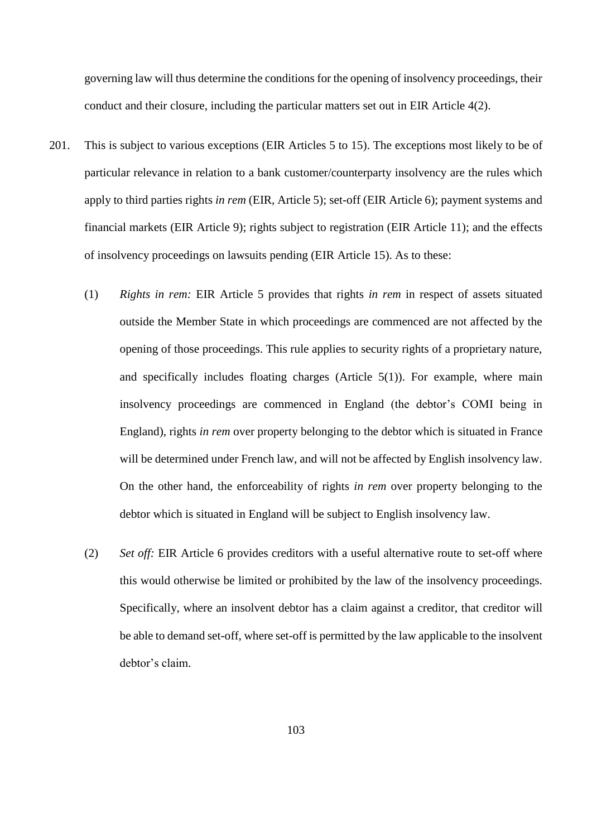governing law will thus determine the conditions for the opening of insolvency proceedings, their conduct and their closure, including the particular matters set out in EIR Article 4(2).

- 201. This is subject to various exceptions (EIR Articles 5 to 15). The exceptions most likely to be of particular relevance in relation to a bank customer/counterparty insolvency are the rules which apply to third parties rights *in rem* (EIR, Article 5); set-off (EIR Article 6); payment systems and financial markets (EIR Article 9); rights subject to registration (EIR Article 11); and the effects of insolvency proceedings on lawsuits pending (EIR Article 15). As to these:
	- (1) *Rights in rem:* EIR Article 5 provides that rights *in rem* in respect of assets situated outside the Member State in which proceedings are commenced are not affected by the opening of those proceedings. This rule applies to security rights of a proprietary nature, and specifically includes floating charges (Article 5(1)). For example, where main insolvency proceedings are commenced in England (the debtor's COMI being in England), rights *in rem* over property belonging to the debtor which is situated in France will be determined under French law, and will not be affected by English insolvency law. On the other hand, the enforceability of rights *in rem* over property belonging to the debtor which is situated in England will be subject to English insolvency law.
	- (2) *Set off:* EIR Article 6 provides creditors with a useful alternative route to set-off where this would otherwise be limited or prohibited by the law of the insolvency proceedings. Specifically, where an insolvent debtor has a claim against a creditor, that creditor will be able to demand set-off, where set-off is permitted by the law applicable to the insolvent debtor's claim.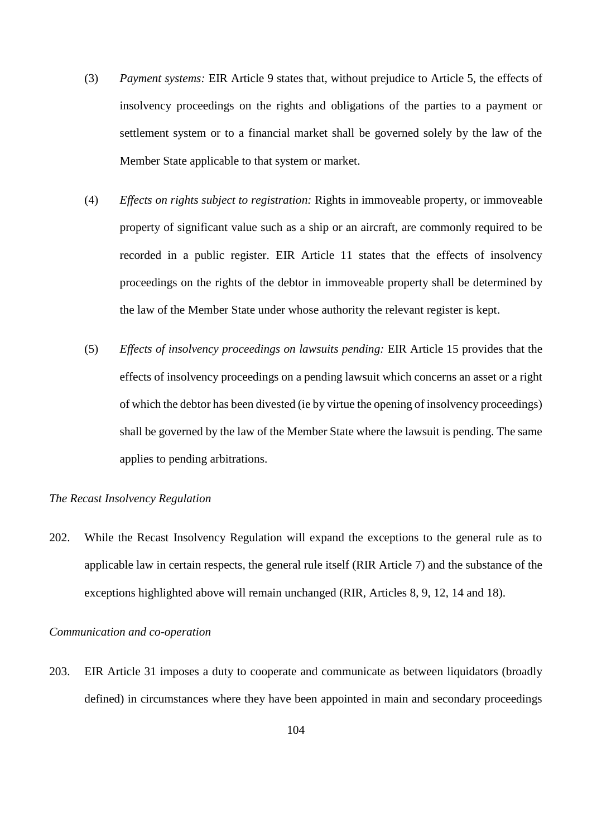- (3) *Payment systems:* EIR Article 9 states that, without prejudice to Article 5, the effects of insolvency proceedings on the rights and obligations of the parties to a payment or settlement system or to a financial market shall be governed solely by the law of the Member State applicable to that system or market.
- (4) *Effects on rights subject to registration:* Rights in immoveable property, or immoveable property of significant value such as a ship or an aircraft, are commonly required to be recorded in a public register. EIR Article 11 states that the effects of insolvency proceedings on the rights of the debtor in immoveable property shall be determined by the law of the Member State under whose authority the relevant register is kept.
- (5) *Effects of insolvency proceedings on lawsuits pending:* EIR Article 15 provides that the effects of insolvency proceedings on a pending lawsuit which concerns an asset or a right of which the debtor has been divested (ie by virtue the opening of insolvency proceedings) shall be governed by the law of the Member State where the lawsuit is pending. The same applies to pending arbitrations.

## *The Recast Insolvency Regulation*

202. While the Recast Insolvency Regulation will expand the exceptions to the general rule as to applicable law in certain respects, the general rule itself (RIR Article 7) and the substance of the exceptions highlighted above will remain unchanged (RIR, Articles 8, 9, 12, 14 and 18).

### *Communication and co-operation*

203. EIR Article 31 imposes a duty to cooperate and communicate as between liquidators (broadly defined) in circumstances where they have been appointed in main and secondary proceedings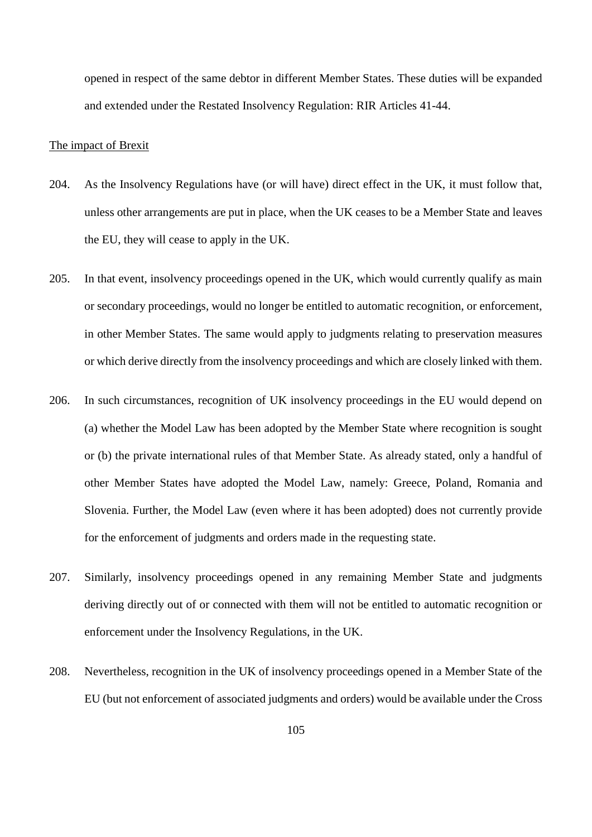opened in respect of the same debtor in different Member States. These duties will be expanded and extended under the Restated Insolvency Regulation: RIR Articles 41-44.

## The impact of Brexit

- 204. As the Insolvency Regulations have (or will have) direct effect in the UK, it must follow that, unless other arrangements are put in place, when the UK ceases to be a Member State and leaves the EU, they will cease to apply in the UK.
- 205. In that event, insolvency proceedings opened in the UK, which would currently qualify as main or secondary proceedings, would no longer be entitled to automatic recognition, or enforcement, in other Member States. The same would apply to judgments relating to preservation measures or which derive directly from the insolvency proceedings and which are closely linked with them.
- 206. In such circumstances, recognition of UK insolvency proceedings in the EU would depend on (a) whether the Model Law has been adopted by the Member State where recognition is sought or (b) the private international rules of that Member State. As already stated, only a handful of other Member States have adopted the Model Law, namely: Greece, Poland, Romania and Slovenia. Further, the Model Law (even where it has been adopted) does not currently provide for the enforcement of judgments and orders made in the requesting state.
- 207. Similarly, insolvency proceedings opened in any remaining Member State and judgments deriving directly out of or connected with them will not be entitled to automatic recognition or enforcement under the Insolvency Regulations, in the UK.
- 208. Nevertheless, recognition in the UK of insolvency proceedings opened in a Member State of the EU (but not enforcement of associated judgments and orders) would be available under the Cross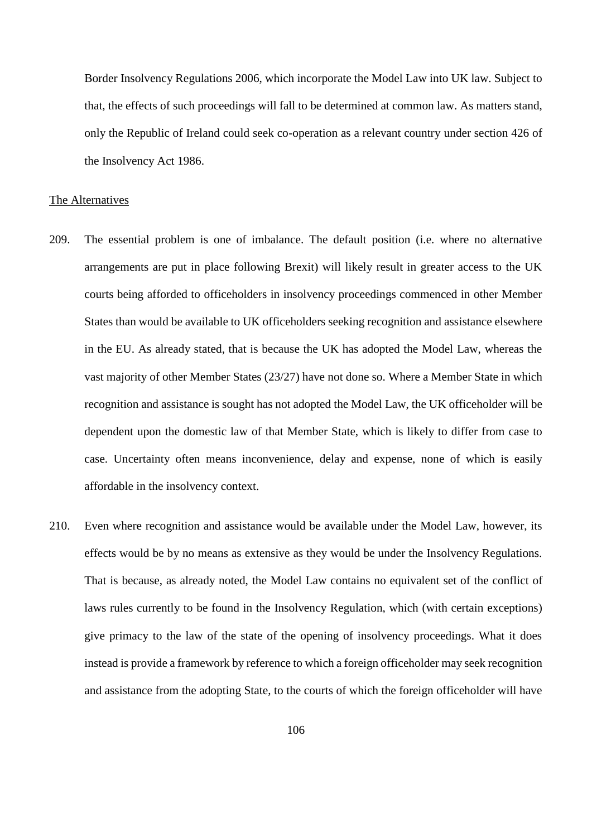Border Insolvency Regulations 2006, which incorporate the Model Law into UK law. Subject to that, the effects of such proceedings will fall to be determined at common law. As matters stand, only the Republic of Ireland could seek co-operation as a relevant country under section 426 of the Insolvency Act 1986.

## The Alternatives

- 209. The essential problem is one of imbalance. The default position (i.e. where no alternative arrangements are put in place following Brexit) will likely result in greater access to the UK courts being afforded to officeholders in insolvency proceedings commenced in other Member States than would be available to UK officeholders seeking recognition and assistance elsewhere in the EU. As already stated, that is because the UK has adopted the Model Law, whereas the vast majority of other Member States (23/27) have not done so. Where a Member State in which recognition and assistance is sought has not adopted the Model Law, the UK officeholder will be dependent upon the domestic law of that Member State, which is likely to differ from case to case. Uncertainty often means inconvenience, delay and expense, none of which is easily affordable in the insolvency context.
- 210. Even where recognition and assistance would be available under the Model Law, however, its effects would be by no means as extensive as they would be under the Insolvency Regulations. That is because, as already noted, the Model Law contains no equivalent set of the conflict of laws rules currently to be found in the Insolvency Regulation, which (with certain exceptions) give primacy to the law of the state of the opening of insolvency proceedings. What it does instead is provide a framework by reference to which a foreign officeholder may seek recognition and assistance from the adopting State, to the courts of which the foreign officeholder will have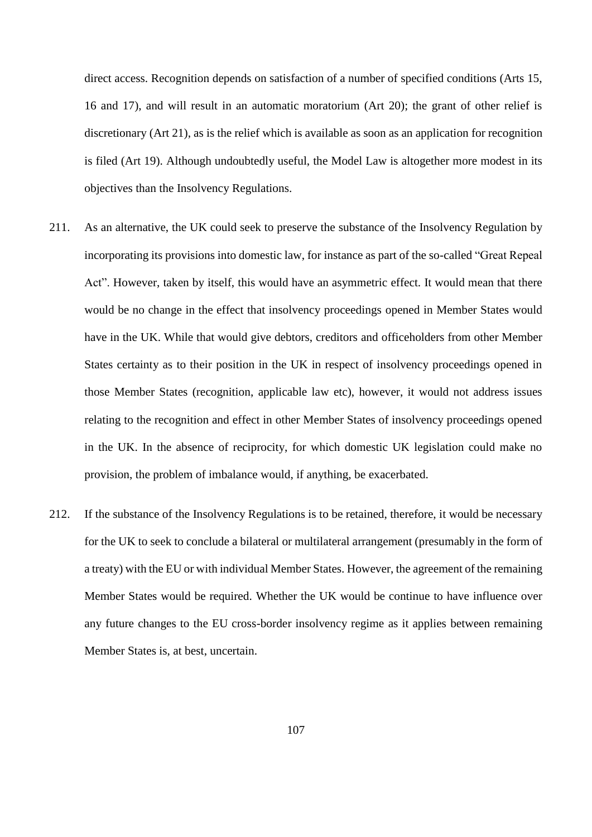direct access. Recognition depends on satisfaction of a number of specified conditions (Arts 15, 16 and 17), and will result in an automatic moratorium (Art 20); the grant of other relief is discretionary (Art 21), as is the relief which is available as soon as an application for recognition is filed (Art 19). Although undoubtedly useful, the Model Law is altogether more modest in its objectives than the Insolvency Regulations.

- 211. As an alternative, the UK could seek to preserve the substance of the Insolvency Regulation by incorporating its provisions into domestic law, for instance as part of the so-called "Great Repeal Act". However, taken by itself, this would have an asymmetric effect. It would mean that there would be no change in the effect that insolvency proceedings opened in Member States would have in the UK. While that would give debtors, creditors and officeholders from other Member States certainty as to their position in the UK in respect of insolvency proceedings opened in those Member States (recognition, applicable law etc), however, it would not address issues relating to the recognition and effect in other Member States of insolvency proceedings opened in the UK. In the absence of reciprocity, for which domestic UK legislation could make no provision, the problem of imbalance would, if anything, be exacerbated.
- 212. If the substance of the Insolvency Regulations is to be retained, therefore, it would be necessary for the UK to seek to conclude a bilateral or multilateral arrangement (presumably in the form of a treaty) with the EU or with individual Member States. However, the agreement of the remaining Member States would be required. Whether the UK would be continue to have influence over any future changes to the EU cross-border insolvency regime as it applies between remaining Member States is, at best, uncertain.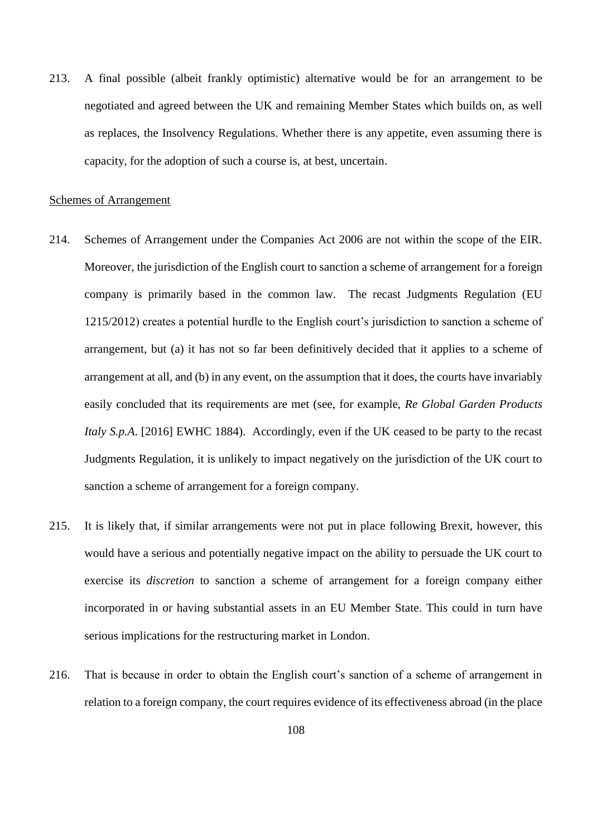213. A final possible (albeit frankly optimistic) alternative would be for an arrangement to be negotiated and agreed between the UK and remaining Member States which builds on, as well as replaces, the Insolvency Regulations. Whether there is any appetite, even assuming there is capacity, for the adoption of such a course is, at best, uncertain.

## Schemes of Arrangement

- 214. Schemes of Arrangement under the Companies Act 2006 are not within the scope of the EIR. Moreover, the jurisdiction of the English court to sanction a scheme of arrangement for a foreign company is primarily based in the common law. The recast Judgments Regulation (EU 1215/2012) creates a potential hurdle to the English court's jurisdiction to sanction a scheme of arrangement, but (a) it has not so far been definitively decided that it applies to a scheme of arrangement at all, and (b) in any event, on the assumption that it does, the courts have invariably easily concluded that its requirements are met (see, for example, *Re Global Garden Products Italy S.p.A.* [2016] EWHC 1884). Accordingly, even if the UK ceased to be party to the recast Judgments Regulation, it is unlikely to impact negatively on the jurisdiction of the UK court to sanction a scheme of arrangement for a foreign company.
- 215. It is likely that, if similar arrangements were not put in place following Brexit, however, this would have a serious and potentially negative impact on the ability to persuade the UK court to exercise its *discretion* to sanction a scheme of arrangement for a foreign company either incorporated in or having substantial assets in an EU Member State. This could in turn have serious implications for the restructuring market in London.
- 216. That is because in order to obtain the English court's sanction of a scheme of arrangement in relation to a foreign company, the court requires evidence of its effectiveness abroad (in the place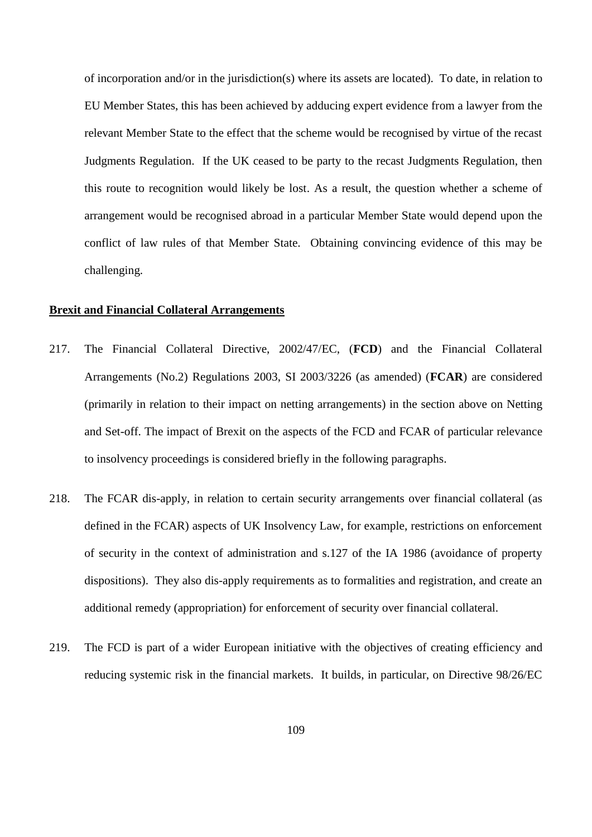of incorporation and/or in the jurisdiction(s) where its assets are located). To date, in relation to EU Member States, this has been achieved by adducing expert evidence from a lawyer from the relevant Member State to the effect that the scheme would be recognised by virtue of the recast Judgments Regulation. If the UK ceased to be party to the recast Judgments Regulation, then this route to recognition would likely be lost. As a result, the question whether a scheme of arrangement would be recognised abroad in a particular Member State would depend upon the conflict of law rules of that Member State. Obtaining convincing evidence of this may be challenging.

### **Brexit and Financial Collateral Arrangements**

- 217. The Financial Collateral Directive, 2002/47/EC, (**FCD**) and the Financial Collateral Arrangements (No.2) Regulations 2003, SI 2003/3226 (as amended) (**FCAR**) are considered (primarily in relation to their impact on netting arrangements) in the section above on Netting and Set-off. The impact of Brexit on the aspects of the FCD and FCAR of particular relevance to insolvency proceedings is considered briefly in the following paragraphs.
- 218. The FCAR dis-apply, in relation to certain security arrangements over financial collateral (as defined in the FCAR) aspects of UK Insolvency Law, for example, restrictions on enforcement of security in the context of administration and s.127 of the IA 1986 (avoidance of property dispositions). They also dis-apply requirements as to formalities and registration, and create an additional remedy (appropriation) for enforcement of security over financial collateral.
- 219. The FCD is part of a wider European initiative with the objectives of creating efficiency and reducing systemic risk in the financial markets. It builds, in particular, on Directive 98/26/EC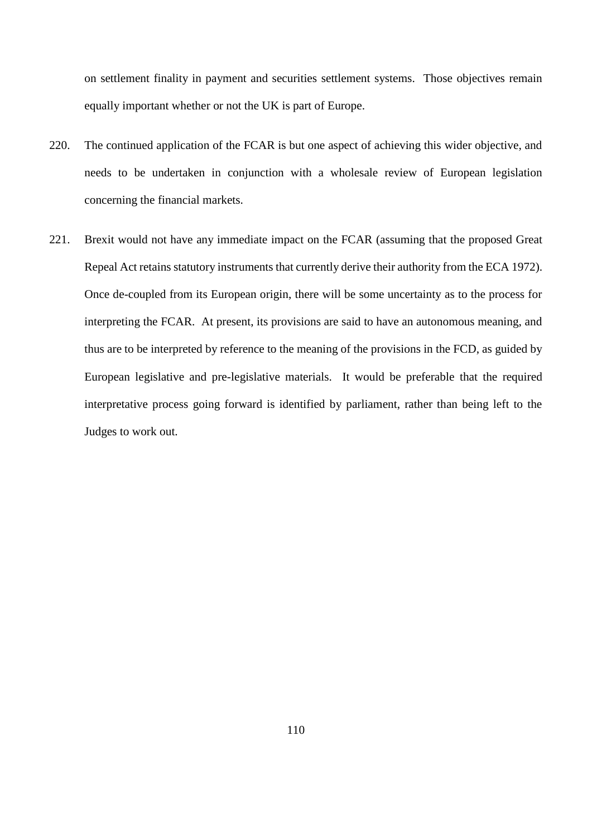on settlement finality in payment and securities settlement systems. Those objectives remain equally important whether or not the UK is part of Europe.

- 220. The continued application of the FCAR is but one aspect of achieving this wider objective, and needs to be undertaken in conjunction with a wholesale review of European legislation concerning the financial markets.
- 221. Brexit would not have any immediate impact on the FCAR (assuming that the proposed Great Repeal Act retains statutory instruments that currently derive their authority from the ECA 1972). Once de-coupled from its European origin, there will be some uncertainty as to the process for interpreting the FCAR. At present, its provisions are said to have an autonomous meaning, and thus are to be interpreted by reference to the meaning of the provisions in the FCD, as guided by European legislative and pre-legislative materials. It would be preferable that the required interpretative process going forward is identified by parliament, rather than being left to the Judges to work out.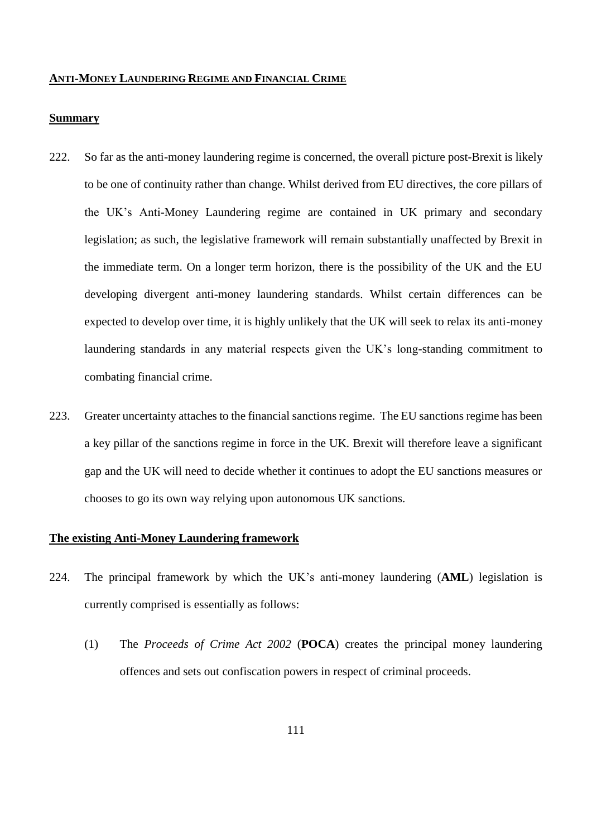#### **ANTI-MONEY LAUNDERING REGIME AND FINANCIAL CRIME**

#### **Summary**

- 222. So far as the anti-money laundering regime is concerned, the overall picture post-Brexit is likely to be one of continuity rather than change. Whilst derived from EU directives, the core pillars of the UK's Anti-Money Laundering regime are contained in UK primary and secondary legislation; as such, the legislative framework will remain substantially unaffected by Brexit in the immediate term. On a longer term horizon, there is the possibility of the UK and the EU developing divergent anti-money laundering standards. Whilst certain differences can be expected to develop over time, it is highly unlikely that the UK will seek to relax its anti-money laundering standards in any material respects given the UK's long-standing commitment to combating financial crime.
- 223. Greater uncertainty attaches to the financial sanctions regime. The EU sanctions regime has been a key pillar of the sanctions regime in force in the UK. Brexit will therefore leave a significant gap and the UK will need to decide whether it continues to adopt the EU sanctions measures or chooses to go its own way relying upon autonomous UK sanctions.

# **The existing Anti-Money Laundering framework**

- 224. The principal framework by which the UK's anti-money laundering (**AML**) legislation is currently comprised is essentially as follows:
	- (1) The *Proceeds of Crime Act 2002* (**POCA**) creates the principal money laundering offences and sets out confiscation powers in respect of criminal proceeds.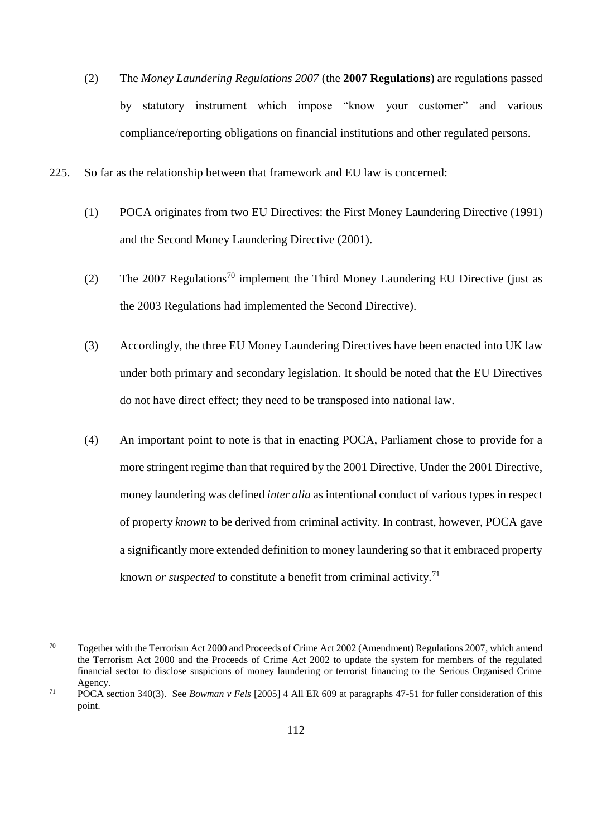- (2) The *Money Laundering Regulations 2007* (the **2007 Regulations**) are regulations passed by statutory instrument which impose "know your customer" and various compliance/reporting obligations on financial institutions and other regulated persons.
- 225. So far as the relationship between that framework and EU law is concerned:
	- (1) POCA originates from two EU Directives: the First Money Laundering Directive (1991) and the Second Money Laundering Directive (2001).
	- (2) The 2007 Regulations<sup>70</sup> implement the Third Money Laundering EU Directive (just as the 2003 Regulations had implemented the Second Directive).
	- (3) Accordingly, the three EU Money Laundering Directives have been enacted into UK law under both primary and secondary legislation. It should be noted that the EU Directives do not have direct effect; they need to be transposed into national law.
	- (4) An important point to note is that in enacting POCA, Parliament chose to provide for a more stringent regime than that required by the 2001 Directive. Under the 2001 Directive, money laundering was defined *inter alia* as intentional conduct of various types in respect of property *known* to be derived from criminal activity. In contrast, however, POCA gave a significantly more extended definition to money laundering so that it embraced property known *or suspected* to constitute a benefit from criminal activity.<sup>71</sup>

<sup>70</sup> Together with the Terrorism Act 2000 and Proceeds of Crime Act 2002 (Amendment) Regulations 2007, which amend the Terrorism Act 2000 and the Proceeds of Crime Act 2002 to update the system for members of the regulated financial sector to disclose suspicions of money laundering or terrorist financing to the Serious Organised Crime Agency.

<sup>71</sup> POCA section 340(3). See *Bowman v Fels* [2005] 4 All ER 609 at paragraphs 47-51 for fuller consideration of this point.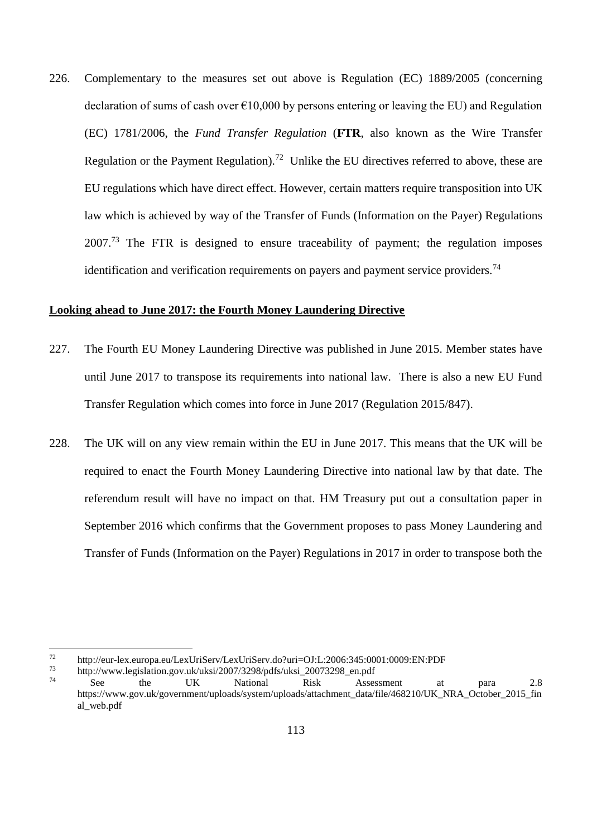226. Complementary to the measures set out above is Regulation (EC) 1889/2005 (concerning declaration of sums of cash over  $\epsilon$ 10,000 by persons entering or leaving the EU) and Regulation (EC) 1781/2006, the *Fund Transfer Regulation* (**FTR**, also known as the Wire Transfer Regulation or the Payment Regulation).<sup>72</sup> Unlike the EU directives referred to above, these are EU regulations which have direct effect. However, certain matters require transposition into UK law which is achieved by way of the Transfer of Funds (Information on the Payer) Regulations  $2007<sup>73</sup>$  The FTR is designed to ensure traceability of payment; the regulation imposes identification and verification requirements on payers and payment service providers.<sup>74</sup>

# **Looking ahead to June 2017: the Fourth Money Laundering Directive**

- 227. The Fourth EU Money Laundering Directive was published in June 2015. Member states have until June 2017 to transpose its requirements into national law. There is also a new EU Fund Transfer Regulation which comes into force in June 2017 (Regulation 2015/847).
- 228. The UK will on any view remain within the EU in June 2017. This means that the UK will be required to enact the Fourth Money Laundering Directive into national law by that date. The referendum result will have no impact on that. HM Treasury put out a consultation paper in September 2016 which confirms that the Government proposes to pass Money Laundering and Transfer of Funds (Information on the Payer) Regulations in 2017 in order to transpose both the

 $72$  http://eur-lex.europa.eu/LexUriServ/LexUriServ.do?uri=OJ:L:2006:345:0001:0009:EN:PDF<br> $73$  http://www.logislation.gov.uk/uksi/2007/3208/odfs/uksi\_20073208\_en.ndf

 $73$  http://www.legislation.gov.uk/uksi/2007/3298/pdfs/uksi\_20073298\_en.pdf<br> $74$  See the LIK National Bisk Asset

<sup>74</sup> See the UK National Risk Assessment at para 2.8 https://www.gov.uk/government/uploads/system/uploads/attachment\_data/file/468210/UK\_NRA\_October\_2015\_fin al\_web.pdf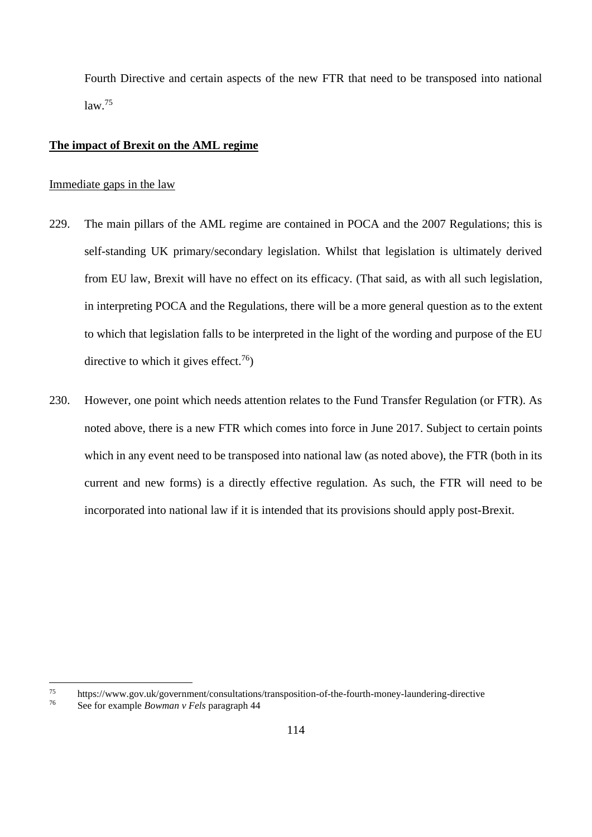Fourth Directive and certain aspects of the new FTR that need to be transposed into national  $law<sup>75</sup>$ 

### **The impact of Brexit on the AML regime**

### Immediate gaps in the law

- 229. The main pillars of the AML regime are contained in POCA and the 2007 Regulations; this is self-standing UK primary/secondary legislation. Whilst that legislation is ultimately derived from EU law, Brexit will have no effect on its efficacy. (That said, as with all such legislation, in interpreting POCA and the Regulations, there will be a more general question as to the extent to which that legislation falls to be interpreted in the light of the wording and purpose of the EU directive to which it gives effect.<sup>76</sup>)
- 230. However, one point which needs attention relates to the Fund Transfer Regulation (or FTR). As noted above, there is a new FTR which comes into force in June 2017. Subject to certain points which in any event need to be transposed into national law (as noted above), the FTR (both in its current and new forms) is a directly effective regulation. As such, the FTR will need to be incorporated into national law if it is intended that its provisions should apply post-Brexit.

<sup>75</sup> <sup>75</sup> https://www.gov.uk/government/consultations/transposition-of-the-fourth-money-laundering-directive<br><sup>76</sup> See for example *Bouman w Fels* personant 44

<sup>76</sup> See for example *Bowman v Fels* paragraph 44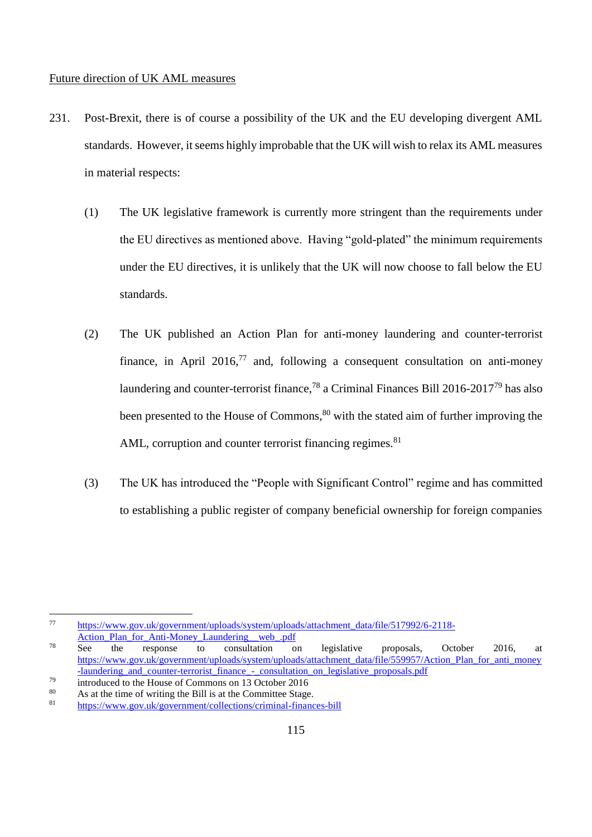#### Future direction of UK AML measures

- 231. Post-Brexit, there is of course a possibility of the UK and the EU developing divergent AML standards. However, it seems highly improbable that the UK will wish to relax its AML measures in material respects:
	- (1) The UK legislative framework is currently more stringent than the requirements under the EU directives as mentioned above. Having "gold-plated" the minimum requirements under the EU directives, it is unlikely that the UK will now choose to fall below the EU standards.
	- (2) The UK published an Action Plan for anti-money laundering and counter-terrorist finance, in April 2016,<sup>77</sup> and, following a consequent consultation on anti-money laundering and counter-terrorist finance,<sup>78</sup> a Criminal Finances Bill 2016-2017<sup>79</sup> has also been presented to the House of Commons,<sup>80</sup> with the stated aim of further improving the AML, corruption and counter terrorist financing regimes. $81$
	- (3) The UK has introduced the "People with Significant Control" regime and has committed to establishing a public register of company beneficial ownership for foreign companies

<sup>77</sup> [https://www.gov.uk/government/uploads/system/uploads/attachment\\_data/file/517992/6-2118-](https://www.gov.uk/government/uploads/system/uploads/attachment_data/file/517992/6-2118-Action_Plan_for_Anti-Money_Laundering__web_.pdf) Action\_Plan\_for\_Anti-Money\_Laundering\_web\_.pdf

<sup>&</sup>lt;sup>78</sup> See the response to consultation on legislative proposals, October 2016, at [https://www.gov.uk/government/uploads/system/uploads/attachment\\_data/file/559957/Action\\_Plan\\_for\\_anti\\_money](https://www.gov.uk/government/uploads/system/uploads/attachment_data/file/559957/Action_Plan_for_anti_money-laundering_and_counter-terrorist_finance_-_consultation_on_legislative_proposals.pdf) [-laundering\\_and\\_counter-terrorist\\_finance\\_-\\_consultation\\_on\\_legislative\\_proposals.pdf](https://www.gov.uk/government/uploads/system/uploads/attachment_data/file/559957/Action_Plan_for_anti_money-laundering_and_counter-terrorist_finance_-_consultation_on_legislative_proposals.pdf)

 $^{79}$  introduced to the House of Commons on 13 October 2016

<sup>&</sup>lt;sup>80</sup> As at the time of writing the Bill is at the Committee Stage.

<sup>81</sup> <https://www.gov.uk/government/collections/criminal-finances-bill>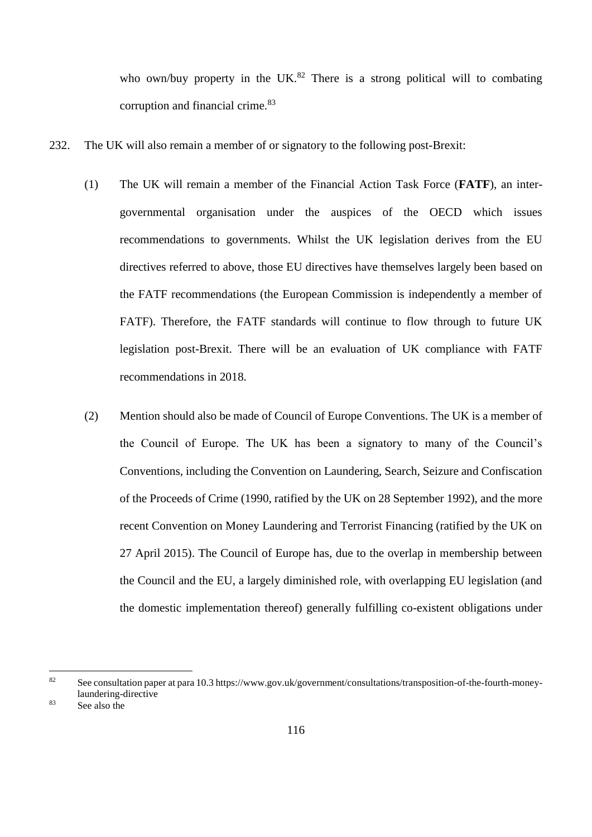who own/buy property in the UK.<sup>82</sup> There is a strong political will to combating corruption and financial crime.<sup>83</sup>

- 232. The UK will also remain a member of or signatory to the following post-Brexit:
	- (1) The UK will remain a member of the Financial Action Task Force (**FATF**), an intergovernmental organisation under the auspices of the OECD which issues recommendations to governments. Whilst the UK legislation derives from the EU directives referred to above, those EU directives have themselves largely been based on the FATF recommendations (the European Commission is independently a member of FATF). Therefore, the FATF standards will continue to flow through to future UK legislation post-Brexit. There will be an evaluation of UK compliance with FATF recommendations in 2018.
	- (2) Mention should also be made of Council of Europe Conventions. The UK is a member of the Council of Europe. The UK has been a signatory to many of the Council's Conventions, including the Convention on Laundering, Search, Seizure and Confiscation of the Proceeds of Crime (1990, ratified by the UK on 28 September 1992), and the more recent Convention on Money Laundering and Terrorist Financing (ratified by the UK on 27 April 2015). The Council of Europe has, due to the overlap in membership between the Council and the EU, a largely diminished role, with overlapping EU legislation (and the domestic implementation thereof) generally fulfilling co-existent obligations under

<sup>82</sup> See consultation paper at para 10.3 https://www.gov.uk/government/consultations/transposition-of-the-fourth-moneylaundering-directive

<sup>83</sup> See also the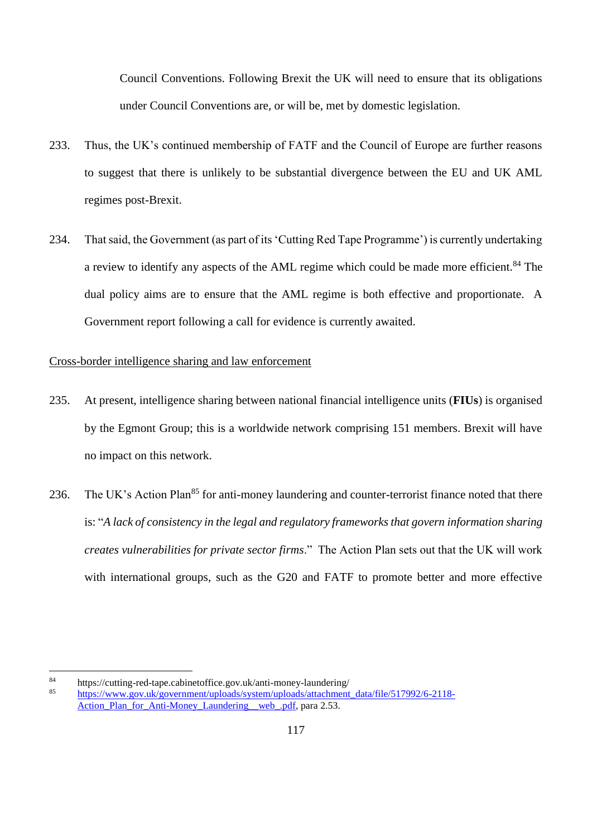Council Conventions. Following Brexit the UK will need to ensure that its obligations under Council Conventions are, or will be, met by domestic legislation.

- 233. Thus, the UK's continued membership of FATF and the Council of Europe are further reasons to suggest that there is unlikely to be substantial divergence between the EU and UK AML regimes post-Brexit.
- 234. That said, the Government (as part of its 'Cutting Red Tape Programme') is currently undertaking a review to identify any aspects of the AML regime which could be made more efficient.<sup>84</sup> The dual policy aims are to ensure that the AML regime is both effective and proportionate. A Government report following a call for evidence is currently awaited.

# Cross-border intelligence sharing and law enforcement

- 235. At present, intelligence sharing between national financial intelligence units (**FIUs**) is organised by the Egmont Group; this is a worldwide network comprising 151 members. Brexit will have no impact on this network.
- 236. The UK's Action Plan<sup>85</sup> for anti-money laundering and counter-terrorist finance noted that there is: "*A lack of consistency in the legal and regulatory frameworks that govern information sharing creates vulnerabilities for private sector firms*." The Action Plan sets out that the UK will work with international groups, such as the G20 and FATF to promote better and more effective

<sup>84</sup> https://cutting-red-tape.cabinetoffice.gov.uk/anti-money-laundering/<br>85 https://www.gov.uk/government/uploads/system/uploads/attachment

<sup>85</sup> [https://www.gov.uk/government/uploads/system/uploads/attachment\\_data/file/517992/6-2118-](https://www.gov.uk/government/uploads/system/uploads/attachment_data/file/517992/6-2118-Action_Plan_for_Anti-Money_Laundering__web_.pdf) Action Plan for Anti-Money Laundering web .pdf, para 2.53.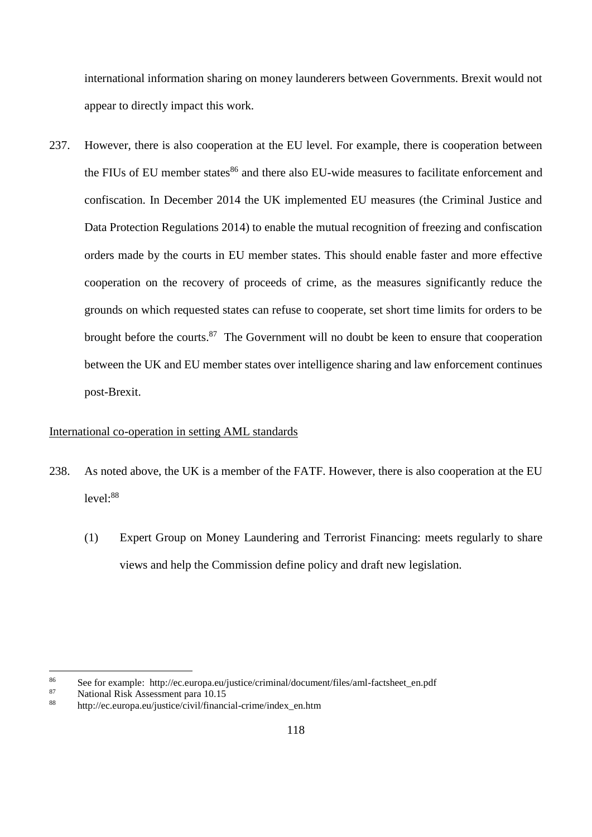international information sharing on money launderers between Governments. Brexit would not appear to directly impact this work.

237. However, there is also cooperation at the EU level. For example, there is cooperation between the FIUs of EU member states<sup>86</sup> and there also EU-wide measures to facilitate enforcement and confiscation. In December 2014 the UK implemented EU measures (the Criminal Justice and Data Protection Regulations 2014) to enable the mutual recognition of freezing and confiscation orders made by the courts in EU member states. This should enable faster and more effective cooperation on the recovery of proceeds of crime, as the measures significantly reduce the grounds on which requested states can refuse to cooperate, set short time limits for orders to be brought before the courts.<sup>87</sup> The Government will no doubt be keen to ensure that cooperation between the UK and EU member states over intelligence sharing and law enforcement continues post-Brexit.

# International co-operation in setting AML standards

- 238. As noted above, the UK is a member of the FATF. However, there is also cooperation at the EU  $level: <sup>88</sup>$ 
	- (1) Expert Group on Money Laundering and Terrorist Financing: meets regularly to share views and help the Commission define policy and draft new legislation.

<sup>86</sup> See for example: http://ec.europa.eu/justice/criminal/document/files/aml-factsheet\_en.pdf<br>87 Motional Bisk Assossment para 10.15

 $\frac{87}{88}$  National Risk Assessment para 10.15

<sup>88</sup> http://ec.europa.eu/justice/civil/financial-crime/index\_en.htm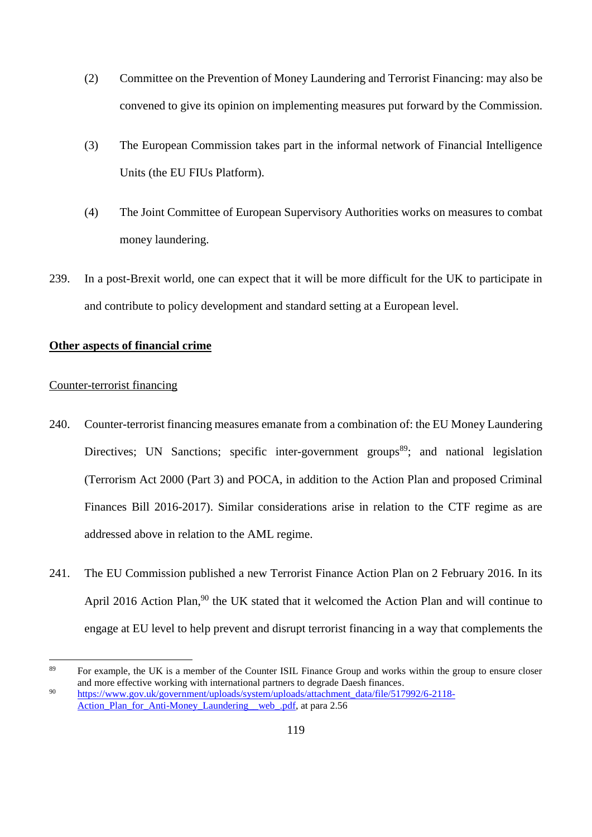- (2) Committee on the Prevention of Money Laundering and Terrorist Financing: may also be convened to give its opinion on implementing measures put forward by the Commission.
- (3) The European Commission takes part in the informal network of Financial Intelligence Units (the EU FIUs Platform).
- (4) The Joint Committee of European Supervisory Authorities works on measures to combat money laundering.
- 239. In a post-Brexit world, one can expect that it will be more difficult for the UK to participate in and contribute to policy development and standard setting at a European level.

# **Other aspects of financial crime**

### Counter-terrorist financing

- 240. Counter-terrorist financing measures emanate from a combination of: the EU Money Laundering Directives: UN Sanctions; specific inter-government groups<sup>89</sup>; and national legislation (Terrorism Act 2000 (Part 3) and POCA, in addition to the Action Plan and proposed Criminal Finances Bill 2016-2017). Similar considerations arise in relation to the CTF regime as are addressed above in relation to the AML regime.
- 241. The EU Commission published a new Terrorist Finance Action Plan on 2 February 2016. In its April 2016 Action Plan,<sup>90</sup> the UK stated that it welcomed the Action Plan and will continue to engage at EU level to help prevent and disrupt terrorist financing in a way that complements the

<sup>&</sup>lt;sup>89</sup> For example, the UK is a member of the Counter ISIL Finance Group and works within the group to ensure closer and more effective working with international partners to degrade Daesh finances. <sup>90</sup> [https://www.gov.uk/government/uploads/system/uploads/attachment\\_data/file/517992/6-2118-](https://www.gov.uk/government/uploads/system/uploads/attachment_data/file/517992/6-2118-Action_Plan_for_Anti-Money_Laundering__web_.pdf)

Action Plan for Anti-Money Laundering web .pdf, at para 2.56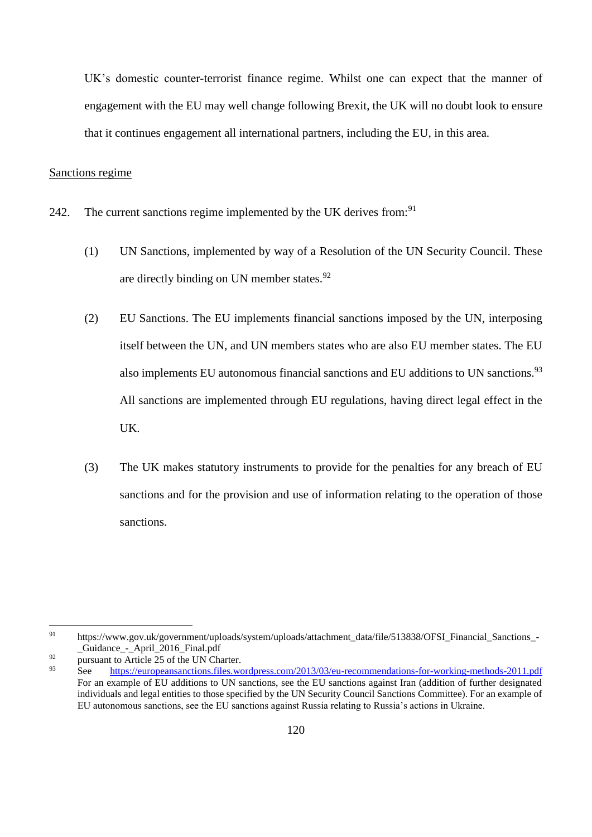UK's domestic counter-terrorist finance regime. Whilst one can expect that the manner of engagement with the EU may well change following Brexit, the UK will no doubt look to ensure that it continues engagement all international partners, including the EU, in this area.

# Sanctions regime

- 242. The current sanctions regime implemented by the UK derives from:<sup>91</sup>
	- (1) UN Sanctions, implemented by way of a Resolution of the UN Security Council. These are directly binding on UN member states.<sup>92</sup>
	- (2) EU Sanctions. The EU implements financial sanctions imposed by the UN, interposing itself between the UN, and UN members states who are also EU member states. The EU also implements EU autonomous financial sanctions and EU additions to UN sanctions.<sup>93</sup> All sanctions are implemented through EU regulations, having direct legal effect in the UK.
	- (3) The UK makes statutory instruments to provide for the penalties for any breach of EU sanctions and for the provision and use of information relating to the operation of those sanctions.

<sup>91</sup> https://www.gov.uk/government/uploads/system/uploads/attachment\_data/file/513838/OFSI\_Financial\_Sanctions\_-\_Guidance\_-\_April\_2016\_Final.pdf

<sup>&</sup>lt;sup>92</sup> pursuant to Article 25 of the UN Charter.

See https://europeansanctions.files.wordpress.com/2013/03/eu-recommendations-for-working-methods-2011.pdf For an example of EU additions to UN sanctions, see the EU sanctions against Iran (addition of further designated individuals and legal entities to those specified by the UN Security Council Sanctions Committee). For an example of EU autonomous sanctions, see the EU sanctions against Russia relating to Russia's actions in Ukraine.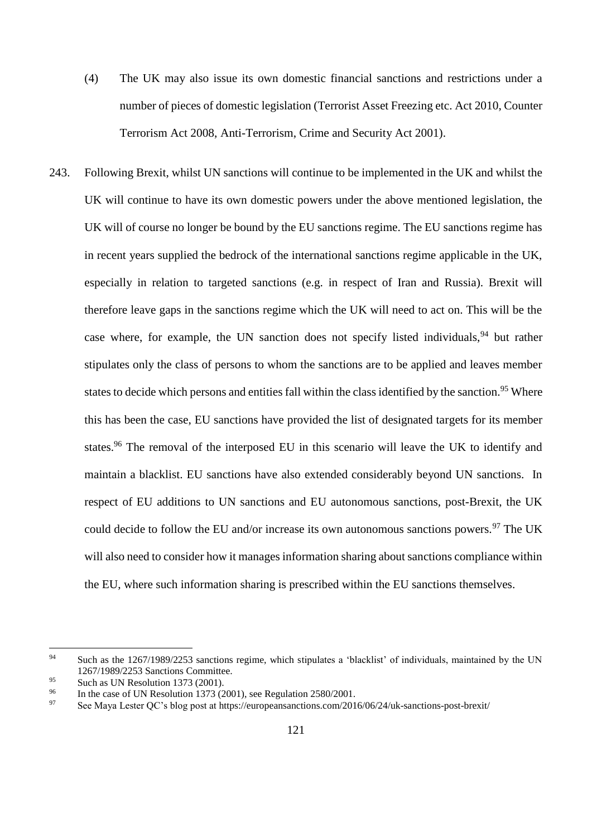- (4) The UK may also issue its own domestic financial sanctions and restrictions under a number of pieces of domestic legislation (Terrorist Asset Freezing etc. Act 2010, Counter Terrorism Act 2008, Anti-Terrorism, Crime and Security Act 2001).
- 243. Following Brexit, whilst UN sanctions will continue to be implemented in the UK and whilst the UK will continue to have its own domestic powers under the above mentioned legislation, the UK will of course no longer be bound by the EU sanctions regime. The EU sanctions regime has in recent years supplied the bedrock of the international sanctions regime applicable in the UK, especially in relation to targeted sanctions (e.g. in respect of Iran and Russia). Brexit will therefore leave gaps in the sanctions regime which the UK will need to act on. This will be the case where, for example, the UN sanction does not specify listed individuals,  $94$  but rather stipulates only the class of persons to whom the sanctions are to be applied and leaves member states to decide which persons and entities fall within the class identified by the sanction.<sup>95</sup> Where this has been the case, EU sanctions have provided the list of designated targets for its member states.<sup>96</sup> The removal of the interposed EU in this scenario will leave the UK to identify and maintain a blacklist. EU sanctions have also extended considerably beyond UN sanctions. In respect of EU additions to UN sanctions and EU autonomous sanctions, post-Brexit, the UK could decide to follow the EU and/or increase its own autonomous sanctions powers.<sup>97</sup> The UK will also need to consider how it manages information sharing about sanctions compliance within the EU, where such information sharing is prescribed within the EU sanctions themselves.

<sup>&</sup>lt;sup>94</sup> Such as the 1267/1989/2253 sanctions regime, which stipulates a 'blacklist' of individuals, maintained by the UN 1267/1989/2253 Sanctions Committee.

<sup>95</sup> Such as UN Resolution 1373 (2001).

<sup>&</sup>lt;sup>96</sup> In the case of UN Resolution 1373 (2001), see Regulation 2580/2001.<br><sup>97</sup> See Maya Letter OC's blog post at https://auropeansanctions.com/201

See Maya Lester OC's blog post at https://europeansanctions.com/2016/06/24/uk-sanctions-post-brexit/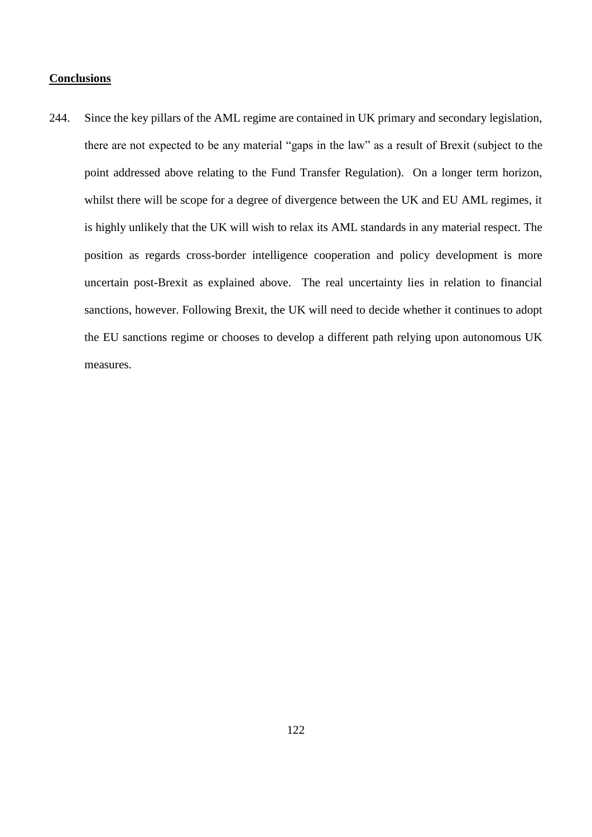### **Conclusions**

244. Since the key pillars of the AML regime are contained in UK primary and secondary legislation, there are not expected to be any material "gaps in the law" as a result of Brexit (subject to the point addressed above relating to the Fund Transfer Regulation). On a longer term horizon, whilst there will be scope for a degree of divergence between the UK and EU AML regimes, it is highly unlikely that the UK will wish to relax its AML standards in any material respect. The position as regards cross-border intelligence cooperation and policy development is more uncertain post-Brexit as explained above. The real uncertainty lies in relation to financial sanctions, however. Following Brexit, the UK will need to decide whether it continues to adopt the EU sanctions regime or chooses to develop a different path relying upon autonomous UK measures.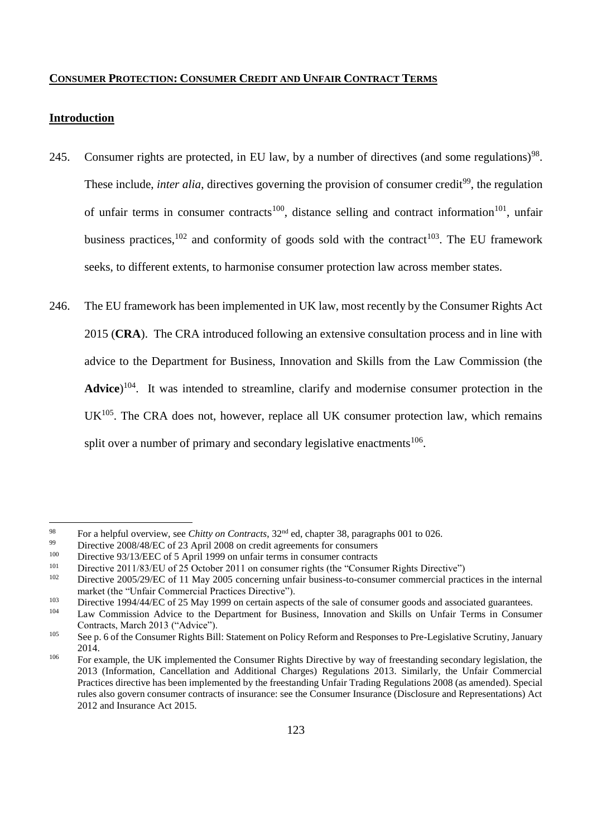#### **CONSUMER PROTECTION: CONSUMER CREDIT AND UNFAIR CONTRACT TERMS**

# **Introduction**

- 245. Consumer rights are protected, in EU law, by a number of directives (and some regulations)<sup>98</sup>. These include, *inter alia*, directives governing the provision of consumer credit<sup>99</sup>, the regulation of unfair terms in consumer contracts<sup>100</sup>, distance selling and contract information<sup>101</sup>, unfair business practices,<sup>102</sup> and conformity of goods sold with the contract<sup>103</sup>. The EU framework seeks, to different extents, to harmonise consumer protection law across member states.
- 246. The EU framework has been implemented in UK law, most recently by the Consumer Rights Act 2015 (**CRA**). The CRA introduced following an extensive consultation process and in line with advice to the Department for Business, Innovation and Skills from the Law Commission (the Advice)<sup>104</sup>. It was intended to streamline, clarify and modernise consumer protection in the  $UK<sup>105</sup>$ . The CRA does not, however, replace all UK consumer protection law, which remains split over a number of primary and secondary legislative enactments<sup>106</sup>.

<sup>&</sup>lt;sup>98</sup> For a helpful overview, see *Chitty on Contracts*, 32<sup>nd</sup> ed, chapter 38, paragraphs 001 to 026.

<sup>&</sup>lt;sup>99</sup> Directive 2008/48/EC of 23 April 2008 on credit agreements for consumers<br><sup>100</sup> Directive 93/13/EEC of 5 April 1999 on unfair terms in consumer contracts

<sup>&</sup>lt;sup>100</sup> Directive 93/13/EEC of 5 April 1999 on unfair terms in consumer contracts<br><sup>101</sup> Directive 2011/83/EU of 25 October 2011 on consumer rights (the "Consum-

 $101$  Directive 2011/83/EU of 25 October 2011 on consumer rights (the "Consumer Rights Directive")

Directive 2005/29/EC of 11 May 2005 concerning unfair business-to-consumer commercial practices in the internal market (the "Unfair Commercial Practices Directive").

<sup>103</sup> Directive 1994/44/EC of 25 May 1999 on certain aspects of the sale of consumer goods and associated guarantees.

Law Commission Advice to the Department for Business, Innovation and Skills on Unfair Terms in Consumer Contracts, March 2013 ("Advice").

<sup>&</sup>lt;sup>105</sup> See p. 6 of the Consumer Rights Bill: Statement on Policy Reform and Responses to Pre-Legislative Scrutiny, January 2014.

<sup>&</sup>lt;sup>106</sup> For example, the UK implemented the Consumer Rights Directive by way of freestanding secondary legislation, the 2013 (Information, Cancellation and Additional Charges) Regulations 2013. Similarly, the Unfair Commercial Practices directive has been implemented by the freestanding Unfair Trading Regulations 2008 (as amended). Special rules also govern consumer contracts of insurance: see the Consumer Insurance (Disclosure and Representations) Act 2012 and Insurance Act 2015.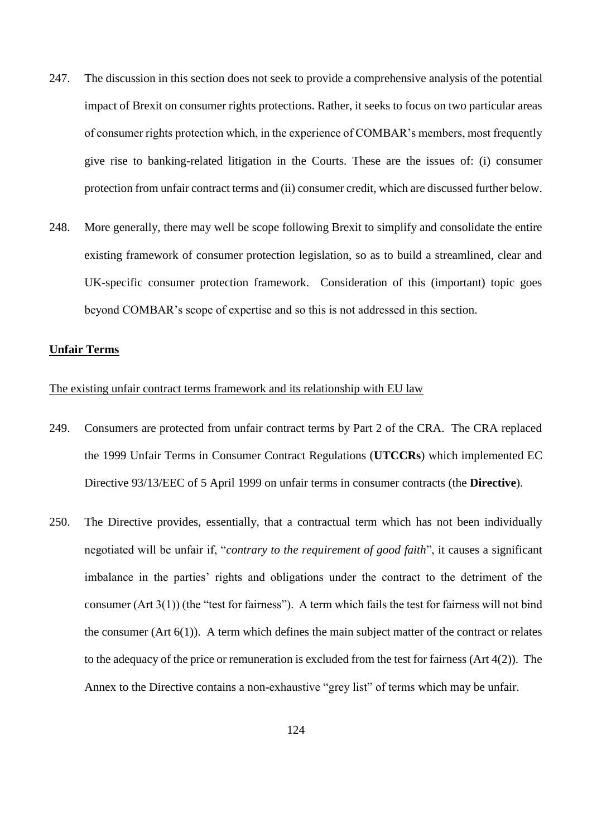- 247. The discussion in this section does not seek to provide a comprehensive analysis of the potential impact of Brexit on consumer rights protections. Rather, it seeks to focus on two particular areas of consumer rights protection which, in the experience of COMBAR's members, most frequently give rise to banking-related litigation in the Courts. These are the issues of: (i) consumer protection from unfair contract terms and (ii) consumer credit, which are discussed further below.
- 248. More generally, there may well be scope following Brexit to simplify and consolidate the entire existing framework of consumer protection legislation, so as to build a streamlined, clear and UK-specific consumer protection framework. Consideration of this (important) topic goes beyond COMBAR's scope of expertise and so this is not addressed in this section.

### **Unfair Terms**

# The existing unfair contract terms framework and its relationship with EU law

- 249. Consumers are protected from unfair contract terms by Part 2 of the CRA. The CRA replaced the 1999 Unfair Terms in Consumer Contract Regulations (**UTCCRs**) which implemented EC Directive 93/13/EEC of 5 April 1999 on unfair terms in consumer contracts (the **Directive**).
- 250. The Directive provides, essentially, that a contractual term which has not been individually negotiated will be unfair if, "*contrary to the requirement of good faith*", it causes a significant imbalance in the parties' rights and obligations under the contract to the detriment of the consumer (Art 3(1)) (the "test for fairness"). A term which fails the test for fairness will not bind the consumer (Art  $6(1)$ ). A term which defines the main subject matter of the contract or relates to the adequacy of the price or remuneration is excluded from the test for fairness (Art 4(2)). The Annex to the Directive contains a non-exhaustive "grey list" of terms which may be unfair.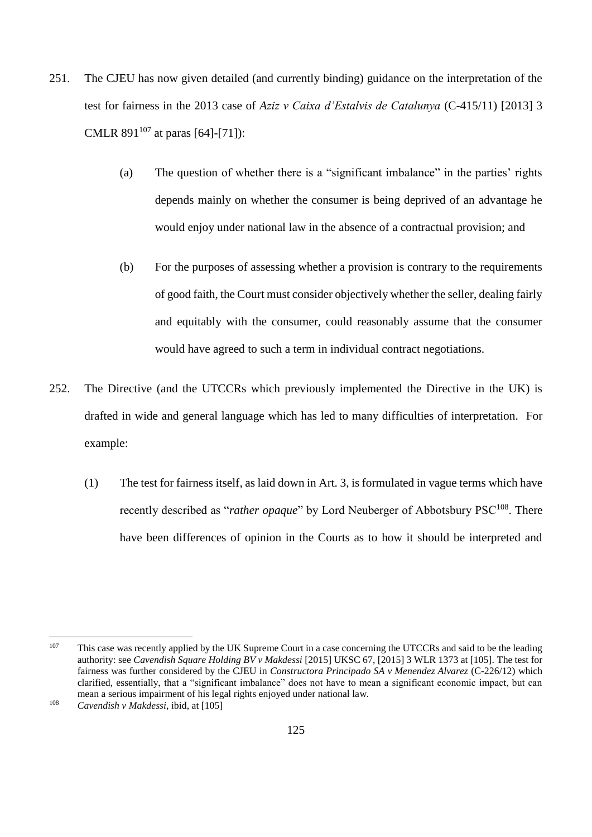- 251. The CJEU has now given detailed (and currently binding) guidance on the interpretation of the test for fairness in the 2013 case of *Aziz v Caixa d'Estalvis de Catalunya* (C-415/11) [2013] 3 CMLR  $891^{107}$  at paras [64]-[71]):
	- (a) The question of whether there is a "significant imbalance" in the parties' rights depends mainly on whether the consumer is being deprived of an advantage he would enjoy under national law in the absence of a contractual provision; and
	- (b) For the purposes of assessing whether a provision is contrary to the requirements of good faith, the Court must consider objectively whether the seller, dealing fairly and equitably with the consumer, could reasonably assume that the consumer would have agreed to such a term in individual contract negotiations.
- 252. The Directive (and the UTCCRs which previously implemented the Directive in the UK) is drafted in wide and general language which has led to many difficulties of interpretation. For example:
	- (1) The test for fairness itself, as laid down in Art. 3, is formulated in vague terms which have recently described as "*rather opaque*" by Lord Neuberger of Abbotsbury PSC<sup>108</sup>. There have been differences of opinion in the Courts as to how it should be interpreted and

<sup>107</sup> This case was recently applied by the UK Supreme Court in a case concerning the UTCCRs and said to be the leading authority: see *Cavendish Square Holding BV v Makdessi* [2015] UKSC 67, [2015] 3 WLR 1373 at [105]. The test for fairness was further considered by the CJEU in *Constructora Principado SA v Menendez Alvarez* (C-226/12) which clarified, essentially, that a "significant imbalance" does not have to mean a significant economic impact, but can mean a serious impairment of his legal rights enjoyed under national law.

<sup>108</sup> *Cavendish v Makdessi*, ibid, at [105]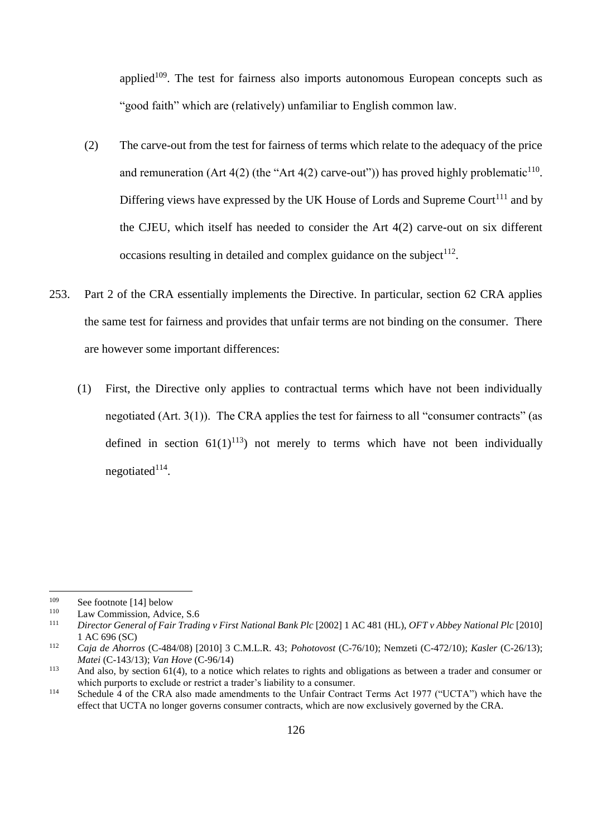applied $109$ . The test for fairness also imports autonomous European concepts such as "good faith" which are (relatively) unfamiliar to English common law.

- (2) The carve-out from the test for fairness of terms which relate to the adequacy of the price and remuneration (Art  $4(2)$  (the "Art  $4(2)$  carve-out")) has proved highly problematic<sup>110</sup>. Differing views have expressed by the UK House of Lords and Supreme Court<sup>111</sup> and by the CJEU, which itself has needed to consider the Art 4(2) carve-out on six different occasions resulting in detailed and complex guidance on the subject<sup>112</sup>.
- 253. Part 2 of the CRA essentially implements the Directive. In particular, section 62 CRA applies the same test for fairness and provides that unfair terms are not binding on the consumer. There are however some important differences:
	- (1) First, the Directive only applies to contractual terms which have not been individually negotiated (Art. 3(1)). The CRA applies the test for fairness to all "consumer contracts" (as defined in section  $61(1)^{113}$  not merely to terms which have not been individually negotiated $114$ .

<sup>&</sup>lt;sup>109</sup> See footnote [14] below<br><sup>110</sup> Law Commission, Advis

<sup>&</sup>lt;sup>110</sup> Law Commission, Advice, S.6<br>
<sup>111</sup> Director Congrad of Esin Turadi

<sup>111</sup> *Director General of Fair Trading v First National Bank Plc* [2002] 1 AC 481 (HL), *OFT v Abbey National Plc* [2010] 1 AC 696 (SC)

<sup>112</sup> *Caja de Ahorros* (C-484/08) [2010] 3 C.M.L.R. 43; *Pohotovost* (C-76/10); Nemzeti (C-472/10); *Kasler* (C-26/13); *Matei* (C-143/13); *Van Hove* (C-96/14)

<sup>&</sup>lt;sup>113</sup> And also, by section 61(4), to a notice which relates to rights and obligations as between a trader and consumer or which purports to exclude or restrict a trader's liability to a consumer.

<sup>&</sup>lt;sup>114</sup> Schedule 4 of the CRA also made amendments to the Unfair Contract Terms Act 1977 ("UCTA") which have the effect that UCTA no longer governs consumer contracts, which are now exclusively governed by the CRA.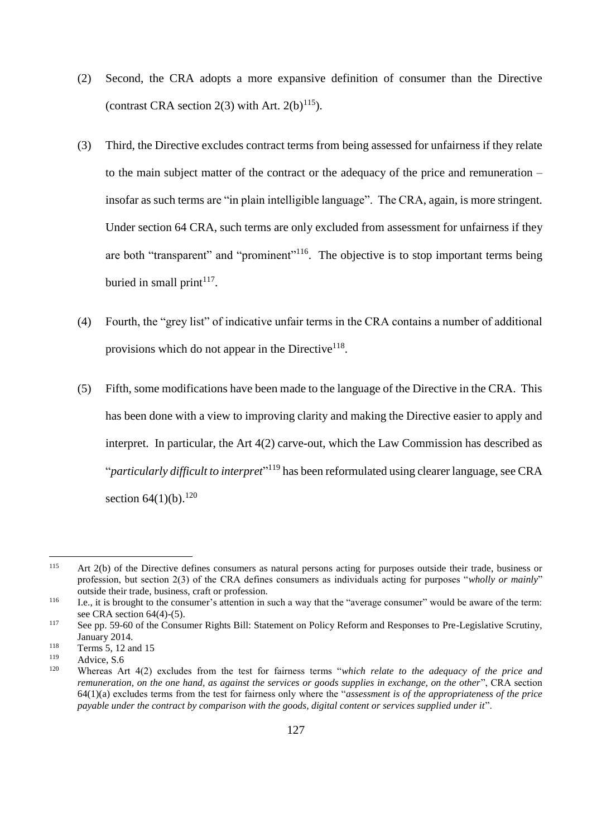- (2) Second, the CRA adopts a more expansive definition of consumer than the Directive (contrast CRA section 2(3) with Art.  $2(b)^{115}$ ).
- (3) Third, the Directive excludes contract terms from being assessed for unfairness if they relate to the main subject matter of the contract or the adequacy of the price and remuneration – insofar as such terms are "in plain intelligible language". The CRA, again, is more stringent. Under section 64 CRA, such terms are only excluded from assessment for unfairness if they are both "transparent" and "prominent"<sup>116</sup>. The objective is to stop important terms being buried in small print<sup> $117$ </sup>.
- (4) Fourth, the "grey list" of indicative unfair terms in the CRA contains a number of additional provisions which do not appear in the Directive<sup>118</sup>.
- (5) Fifth, some modifications have been made to the language of the Directive in the CRA. This has been done with a view to improving clarity and making the Directive easier to apply and interpret. In particular, the Art 4(2) carve-out, which the Law Commission has described as "*particularly difficult to interpret*" <sup>119</sup> has been reformulated using clearer language, see CRA section  $64(1)(b)$ .<sup>120</sup>

<sup>115</sup> Art 2(b) of the Directive defines consumers as natural persons acting for purposes outside their trade, business or profession, but section 2(3) of the CRA defines consumers as individuals acting for purposes "*wholly or mainly*" outside their trade, business, craft or profession.

<sup>116</sup> I.e., it is brought to the consumer's attention in such a way that the "average consumer" would be aware of the term: see CRA section 64(4)-(5).

<sup>&</sup>lt;sup>117</sup> See pp. 59-60 of the Consumer Rights Bill: Statement on Policy Reform and Responses to Pre-Legislative Scrutiny, January 2014.

<sup>&</sup>lt;sup>118</sup> Terms 5, 12 and 15

 $\frac{119}{120}$  Advice, S.6

<sup>120</sup> Whereas Art 4(2) excludes from the test for fairness terms "*which relate to the adequacy of the price and remuneration, on the one hand, as against the services or goods supplies in exchange, on the other*", CRA section 64(1)(a) excludes terms from the test for fairness only where the "*assessment is of the appropriateness of the price payable under the contract by comparison with the goods, digital content or services supplied under it*".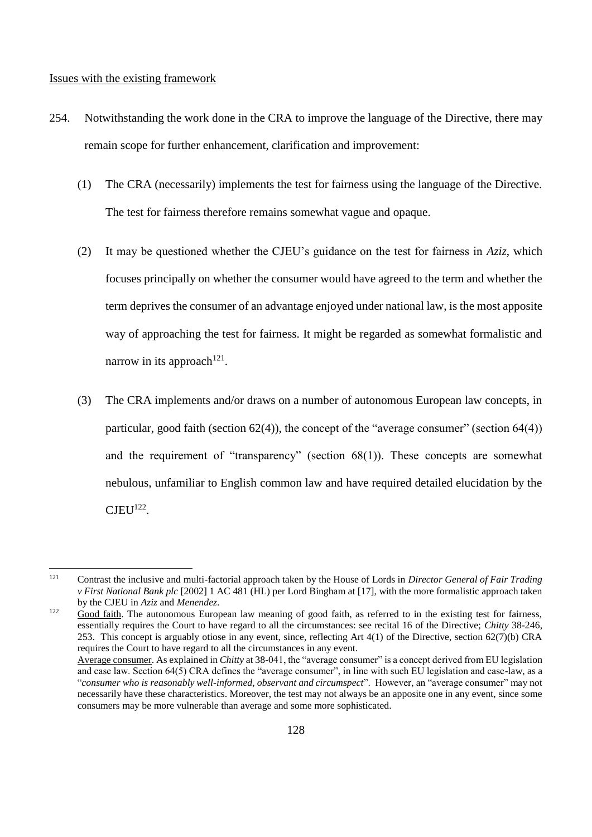#### Issues with the existing framework

- 254. Notwithstanding the work done in the CRA to improve the language of the Directive, there may remain scope for further enhancement, clarification and improvement:
	- (1) The CRA (necessarily) implements the test for fairness using the language of the Directive. The test for fairness therefore remains somewhat vague and opaque.
	- (2) It may be questioned whether the CJEU's guidance on the test for fairness in *Aziz*, which focuses principally on whether the consumer would have agreed to the term and whether the term deprives the consumer of an advantage enjoyed under national law, is the most apposite way of approaching the test for fairness. It might be regarded as somewhat formalistic and narrow in its approach<sup>121</sup>.
	- (3) The CRA implements and/or draws on a number of autonomous European law concepts, in particular, good faith (section  $62(4)$ ), the concept of the "average consumer" (section  $64(4)$ ) and the requirement of "transparency" (section  $68(1)$ ). These concepts are somewhat nebulous, unfamiliar to English common law and have required detailed elucidation by the  $CJEU<sup>122</sup>$ .

<sup>121</sup> Contrast the inclusive and multi-factorial approach taken by the House of Lords in *Director General of Fair Trading v First National Bank plc* [2002] 1 AC 481 (HL) per Lord Bingham at [17], with the more formalistic approach taken by the CJEU in *Aziz* and *Menendez*.

<sup>&</sup>lt;sup>122</sup> Good faith. The autonomous European law meaning of good faith, as referred to in the existing test for fairness, essentially requires the Court to have regard to all the circumstances: see recital 16 of the Directive; *Chitty* 38-246, 253. This concept is arguably otiose in any event, since, reflecting Art 4(1) of the Directive, section 62(7)(b) CRA requires the Court to have regard to all the circumstances in any event.

Average consumer. As explained in *Chitty* at 38-041, the "average consumer" is a concept derived from EU legislation and case law. Section 64(5) CRA defines the "average consumer", in line with such EU legislation and case-law, as a "*consumer who is reasonably well-informed, observant and circumspect*". However, an "average consumer" may not necessarily have these characteristics. Moreover, the test may not always be an apposite one in any event, since some consumers may be more vulnerable than average and some more sophisticated.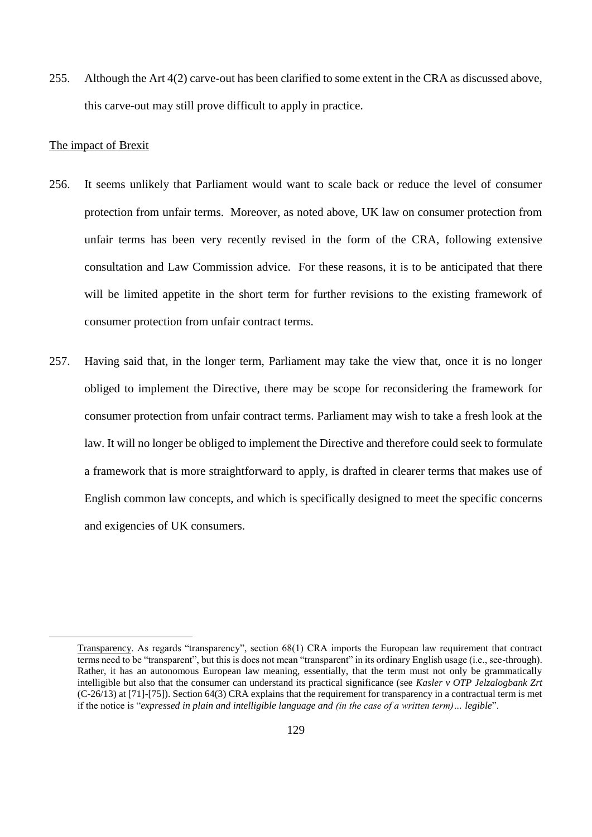255. Although the Art 4(2) carve-out has been clarified to some extent in the CRA as discussed above, this carve-out may still prove difficult to apply in practice.

#### The impact of Brexit

- 256. It seems unlikely that Parliament would want to scale back or reduce the level of consumer protection from unfair terms. Moreover, as noted above, UK law on consumer protection from unfair terms has been very recently revised in the form of the CRA, following extensive consultation and Law Commission advice. For these reasons, it is to be anticipated that there will be limited appetite in the short term for further revisions to the existing framework of consumer protection from unfair contract terms.
- 257. Having said that, in the longer term, Parliament may take the view that, once it is no longer obliged to implement the Directive, there may be scope for reconsidering the framework for consumer protection from unfair contract terms. Parliament may wish to take a fresh look at the law. It will no longer be obliged to implement the Directive and therefore could seek to formulate a framework that is more straightforward to apply, is drafted in clearer terms that makes use of English common law concepts, and which is specifically designed to meet the specific concerns and exigencies of UK consumers.

Transparency. As regards "transparency", section 68(1) CRA imports the European law requirement that contract terms need to be "transparent", but this is does not mean "transparent" in its ordinary English usage (i.e., see-through). Rather, it has an autonomous European law meaning, essentially, that the term must not only be grammatically intelligible but also that the consumer can understand its practical significance (see *Kasler v OTP Jelzalogbank Zrt* (C-26/13) at [71]-[75]). Section 64(3) CRA explains that the requirement for transparency in a contractual term is met if the notice is "*expressed in plain and intelligible language and (in the case of a written term)… legible*".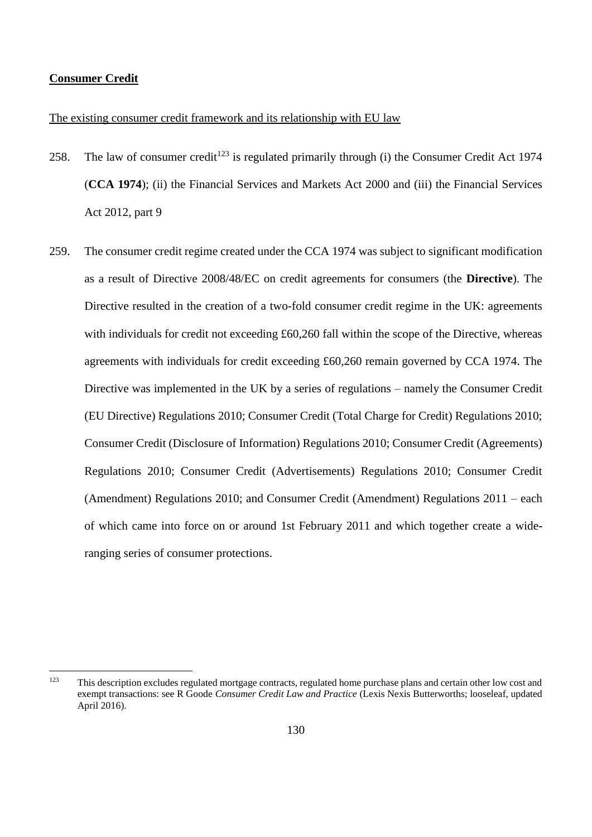### **Consumer Credit**

 $\overline{a}$ 

# The existing consumer credit framework and its relationship with EU law

- 258. The law of consumer credit<sup>123</sup> is regulated primarily through (i) the Consumer Credit Act 1974 (**CCA 1974**); (ii) the Financial Services and Markets Act 2000 and (iii) the Financial Services Act 2012, part 9
- 259. The consumer credit regime created under the CCA 1974 was subject to significant modification as a result of Directive 2008/48/EC on credit agreements for consumers (the **Directive**). The Directive resulted in the creation of a two-fold consumer credit regime in the UK: agreements with individuals for credit not exceeding £60,260 fall within the scope of the Directive, whereas agreements with individuals for credit exceeding £60,260 remain governed by CCA 1974. The Directive was implemented in the UK by a series of regulations – namely the Consumer Credit (EU Directive) Regulations 2010; Consumer Credit (Total Charge for Credit) Regulations 2010; Consumer Credit (Disclosure of Information) Regulations 2010; Consumer Credit (Agreements) Regulations 2010; Consumer Credit (Advertisements) Regulations 2010; Consumer Credit (Amendment) Regulations 2010; and Consumer Credit (Amendment) Regulations 2011 – each of which came into force on or around 1st February 2011 and which together create a wideranging series of consumer protections.

<sup>&</sup>lt;sup>123</sup> This description excludes regulated mortgage contracts, regulated home purchase plans and certain other low cost and exempt transactions: see R Goode *Consumer Credit Law and Practice* (Lexis Nexis Butterworths; looseleaf, updated April 2016).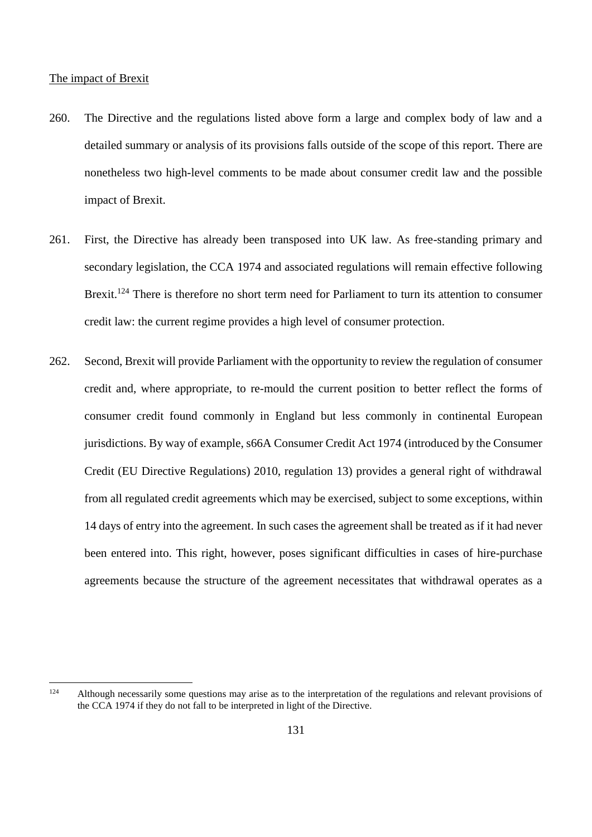#### The impact of Brexit

- 260. The Directive and the regulations listed above form a large and complex body of law and a detailed summary or analysis of its provisions falls outside of the scope of this report. There are nonetheless two high-level comments to be made about consumer credit law and the possible impact of Brexit.
- 261. First, the Directive has already been transposed into UK law. As free-standing primary and secondary legislation, the CCA 1974 and associated regulations will remain effective following Brexit.<sup>124</sup> There is therefore no short term need for Parliament to turn its attention to consumer credit law: the current regime provides a high level of consumer protection.
- 262. Second, Brexit will provide Parliament with the opportunity to review the regulation of consumer credit and, where appropriate, to re-mould the current position to better reflect the forms of consumer credit found commonly in England but less commonly in continental European jurisdictions. By way of example, s66A Consumer Credit Act 1974 (introduced by the Consumer Credit (EU Directive Regulations) 2010, regulation 13) provides a general right of withdrawal from all regulated credit agreements which may be exercised, subject to some exceptions, within 14 days of entry into the agreement. In such cases the agreement shall be treated as if it had never been entered into. This right, however, poses significant difficulties in cases of hire-purchase agreements because the structure of the agreement necessitates that withdrawal operates as a

<sup>124</sup> Although necessarily some questions may arise as to the interpretation of the regulations and relevant provisions of the CCA 1974 if they do not fall to be interpreted in light of the Directive.